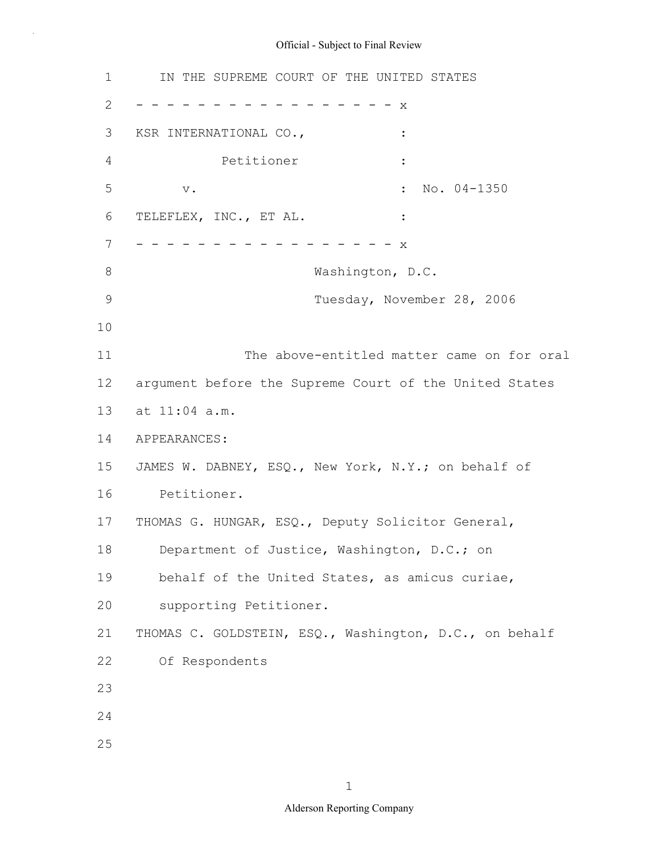1 2 3 4 5 6 7 8 9 10 11 12 13 14 15 16 17 18 19 20 21 22 23 24 25 IN THE SUPREME COURT OF THE UNITED STATES - - - - - - - - - - - - - - - - - x KSR INTERNATIONAL CO., Petitioner : v.  $\qquad \qquad \bullet$  : No. 04-1350 TELEFLEX, INC., ET AL. : - - - - - - - - - - - - - - - - X Washington, D.C. Tuesday, November 28, 2006 The above-entitled matter came on for oral argument before the Supreme Court of the United States at 11:04 a.m. APPEARANCES: JAMES W. DABNEY, ESQ., New York, N.Y.; on behalf of Petitioner. THOMAS G. HUNGAR, ESQ., Deputy Solicitor General, Department of Justice, Washington, D.C.; on behalf of the United States, as amicus curiae, supporting Petitioner. THOMAS C. GOLDSTEIN, ESQ., Washington, D.C., on behalf Of Respondents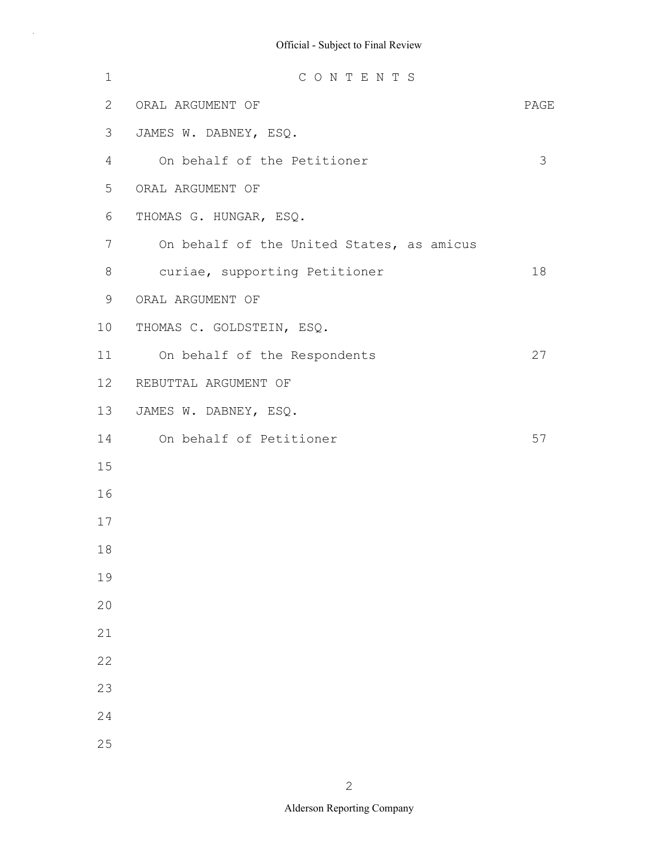| $1\,$ | CONTENTS                                  |      |
|-------|-------------------------------------------|------|
| 2     | ORAL ARGUMENT OF                          | PAGE |
| 3     | JAMES W. DABNEY, ESQ.                     |      |
| 4     | On behalf of the Petitioner               | 3    |
| 5     | ORAL ARGUMENT OF                          |      |
| 6     | THOMAS G. HUNGAR, ESQ.                    |      |
| 7     | On behalf of the United States, as amicus |      |
| 8     | curiae, supporting Petitioner             | 18   |
| 9     | ORAL ARGUMENT OF                          |      |
| 10    | THOMAS C. GOLDSTEIN, ESQ.                 |      |
| 11    | On behalf of the Respondents              | 27   |
| 12    | REBUTTAL ARGUMENT OF                      |      |
| 13    | JAMES W. DABNEY, ESQ.                     |      |
| 14    | On behalf of Petitioner                   | 57   |
| 15    |                                           |      |
| 16    |                                           |      |
| 17    |                                           |      |
| 18    |                                           |      |
| 19    |                                           |      |
| 20    |                                           |      |
| 21    |                                           |      |
| 22    |                                           |      |
| 23    |                                           |      |
| 24    |                                           |      |
| 25    |                                           |      |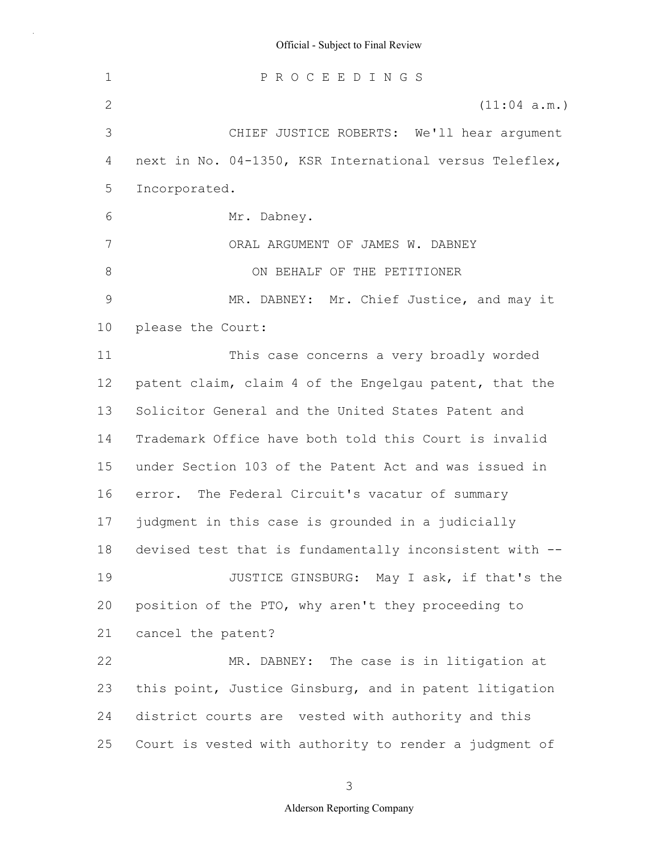1 2 3 4 5 6 7 8 9 10 11 12 13 14 15 16 17 18 19 20 21 22 23 24 25 P R O C E E D I N G S (11:04 a.m.) CHIEF JUSTICE ROBERTS: We'll hear argument next in No. 04-1350, KSR International versus Teleflex, Incorporated. Mr. Dabney. ORAL ARGUMENT OF JAMES W. DABNEY ON BEHALF OF THE PETITIONER MR. DABNEY: Mr. Chief Justice, and may it please the Court: This case concerns a very broadly worded patent claim, claim 4 of the Engelgau patent, that the Solicitor General and the United States Patent and Trademark Office have both told this Court is invalid under Section 103 of the Patent Act and was issued in error. The Federal Circuit's vacatur of summary judgment in this case is grounded in a judicially devised test that is fundamentally inconsistent with -- JUSTICE GINSBURG: May I ask, if that's the position of the PTO, why aren't they proceeding to cancel the patent? MR. DABNEY: The case is in litigation at this point, Justice Ginsburg, and in patent litigation district courts are vested with authority and this Court is vested with authority to render a judgment of

3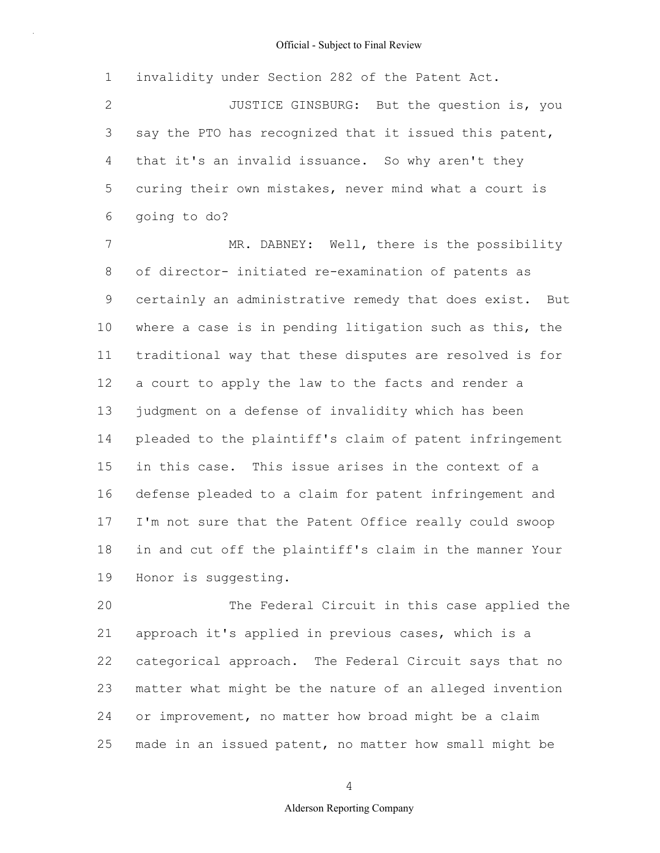1 2 3 4 5 6 7 8 9 10 invalidity under Section 282 of the Patent Act. JUSTICE GINSBURG: But the question is, you say the PTO has recognized that it issued this patent, that it's an invalid issuance. So why aren't they curing their own mistakes, never mind what a court is going to do? MR. DABNEY: Well, there is the possibility of director- initiated re-examination of patents as certainly an administrative remedy that does exist. But where a case is in pending litigation such as this, the

11 12 13 14 15 16 17 18 19 traditional way that these disputes are resolved is for a court to apply the law to the facts and render a judgment on a defense of invalidity which has been pleaded to the plaintiff's claim of patent infringement in this case. This issue arises in the context of a defense pleaded to a claim for patent infringement and I'm not sure that the Patent Office really could swoop in and cut off the plaintiff's claim in the manner Your Honor is suggesting.

20 21 22 23 24 25 The Federal Circuit in this case applied the approach it's applied in previous cases, which is a categorical approach. The Federal Circuit says that no matter what might be the nature of an alleged invention or improvement, no matter how broad might be a claim made in an issued patent, no matter how small might be

4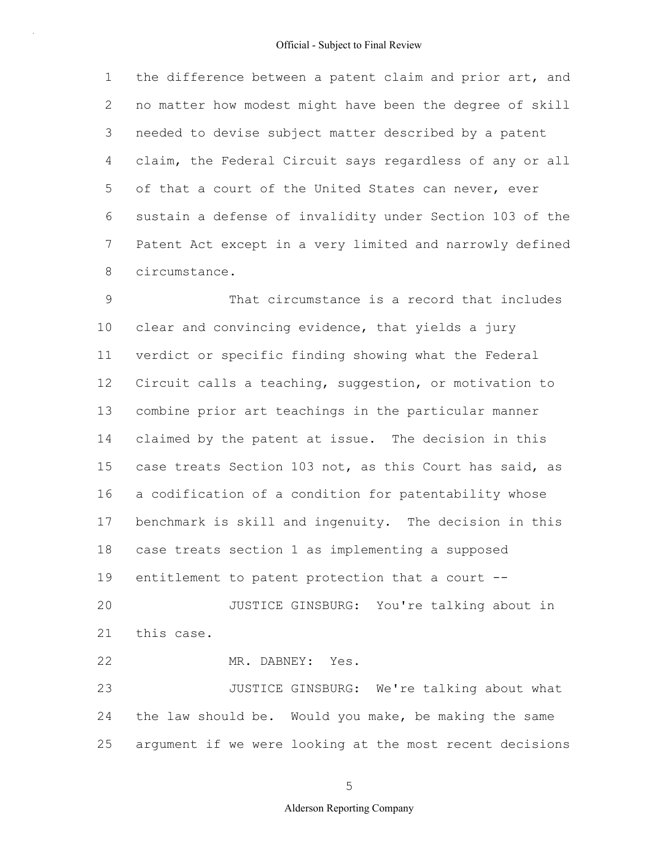1 2 3 4 5 6 7 8 the difference between a patent claim and prior art, and no matter how modest might have been the degree of skill needed to devise subject matter described by a patent claim, the Federal Circuit says regardless of any or all of that a court of the United States can never, ever sustain a defense of invalidity under Section 103 of the Patent Act except in a very limited and narrowly defined circumstance.

9 10 11 12 13 14 15 16 17 18 19 20 21 22 23 24 25 That circumstance is a record that includes clear and convincing evidence, that yields a jury verdict or specific finding showing what the Federal Circuit calls a teaching, suggestion, or motivation to combine prior art teachings in the particular manner claimed by the patent at issue. The decision in this case treats Section 103 not, as this Court has said, as a codification of a condition for patentability whose benchmark is skill and ingenuity. The decision in this case treats section 1 as implementing a supposed entitlement to patent protection that a court -- JUSTICE GINSBURG: You're talking about in this case. MR. DABNEY: Yes. JUSTICE GINSBURG: We're talking about what the law should be. Would you make, be making the same argument if we were looking at the most recent decisions

5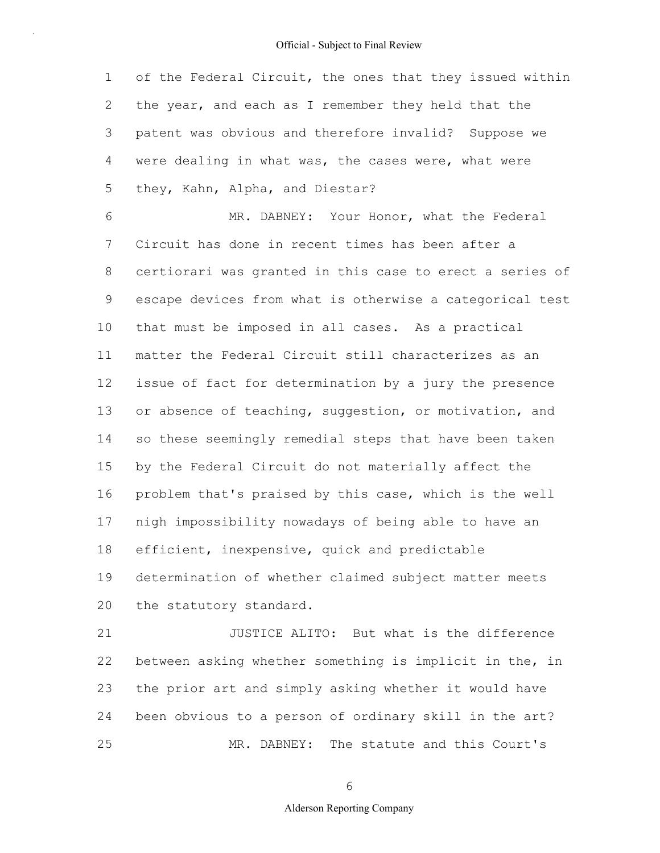1 2 3 4 5 of the Federal Circuit, the ones that they issued within the year, and each as I remember they held that the patent was obvious and therefore invalid? Suppose we were dealing in what was, the cases were, what were they, Kahn, Alpha, and Diestar?

6 7 8 9 10 11 12 13 14 15 16 17 18 19 20 MR. DABNEY: Your Honor, what the Federal Circuit has done in recent times has been after a certiorari was granted in this case to erect a series of escape devices from what is otherwise a categorical test that must be imposed in all cases. As a practical matter the Federal Circuit still characterizes as an issue of fact for determination by a jury the presence or absence of teaching, suggestion, or motivation, and so these seemingly remedial steps that have been taken by the Federal Circuit do not materially affect the problem that's praised by this case, which is the well nigh impossibility nowadays of being able to have an efficient, inexpensive, quick and predictable determination of whether claimed subject matter meets the statutory standard.

21 22 23 24 25 JUSTICE ALITO: But what is the difference between asking whether something is implicit in the, in the prior art and simply asking whether it would have been obvious to a person of ordinary skill in the art? MR. DABNEY: The statute and this Court's

6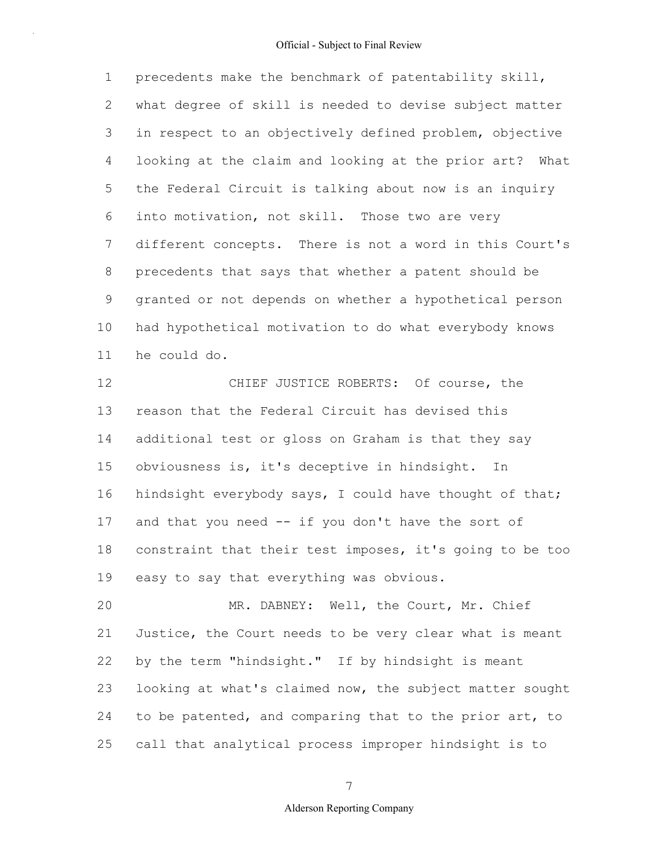1 2 3 4 5 6 7 8 9 10 11 precedents make the benchmark of patentability skill, what degree of skill is needed to devise subject matter in respect to an objectively defined problem, objective looking at the claim and looking at the prior art? What the Federal Circuit is talking about now is an inquiry into motivation, not skill. Those two are very different concepts. There is not a word in this Court's precedents that says that whether a patent should be granted or not depends on whether a hypothetical person had hypothetical motivation to do what everybody knows he could do.

12 13 14 15 16 17 18 19 CHIEF JUSTICE ROBERTS: Of course, the reason that the Federal Circuit has devised this additional test or gloss on Graham is that they say obviousness is, it's deceptive in hindsight. In hindsight everybody says, I could have thought of that; and that you need -- if you don't have the sort of constraint that their test imposes, it's going to be too easy to say that everything was obvious.

20 21 22 23 24 25 MR. DABNEY: Well, the Court, Mr. Chief Justice, the Court needs to be very clear what is meant by the term "hindsight." If by hindsight is meant looking at what's claimed now, the subject matter sought to be patented, and comparing that to the prior art, to call that analytical process improper hindsight is to

7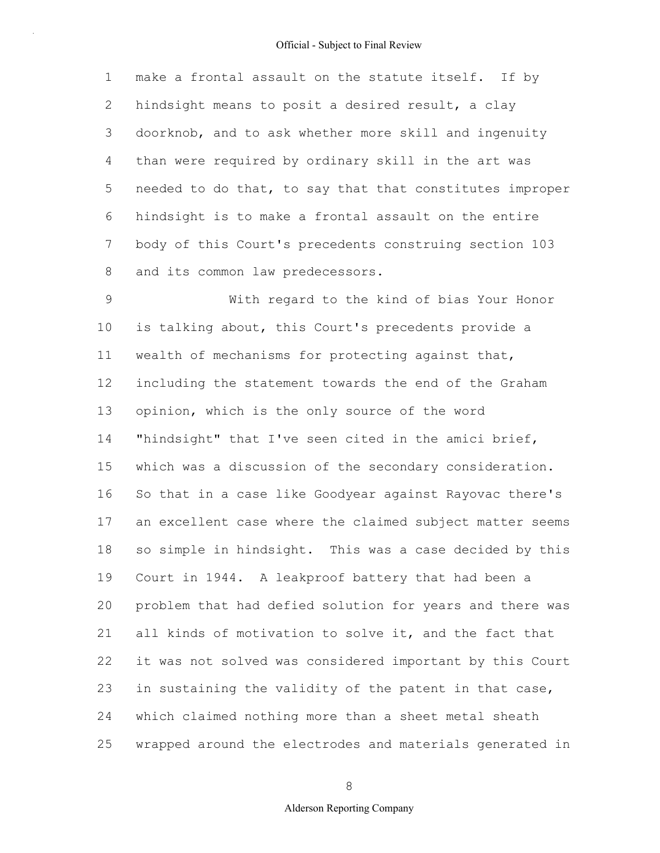1 2 3 4 5 6 7 8 make a frontal assault on the statute itself. If by hindsight means to posit a desired result, a clay doorknob, and to ask whether more skill and ingenuity than were required by ordinary skill in the art was needed to do that, to say that that constitutes improper hindsight is to make a frontal assault on the entire body of this Court's precedents construing section 103 and its common law predecessors.

9 10 11 12 13 14 15 16 17 18 19 20 21 22 23 24 25 With regard to the kind of bias Your Honor is talking about, this Court's precedents provide a wealth of mechanisms for protecting against that, including the statement towards the end of the Graham opinion, which is the only source of the word "hindsight" that I've seen cited in the amici brief, which was a discussion of the secondary consideration. So that in a case like Goodyear against Rayovac there's an excellent case where the claimed subject matter seems so simple in hindsight. This was a case decided by this Court in 1944. A leakproof battery that had been a problem that had defied solution for years and there was all kinds of motivation to solve it, and the fact that it was not solved was considered important by this Court in sustaining the validity of the patent in that case, which claimed nothing more than a sheet metal sheath wrapped around the electrodes and materials generated in

8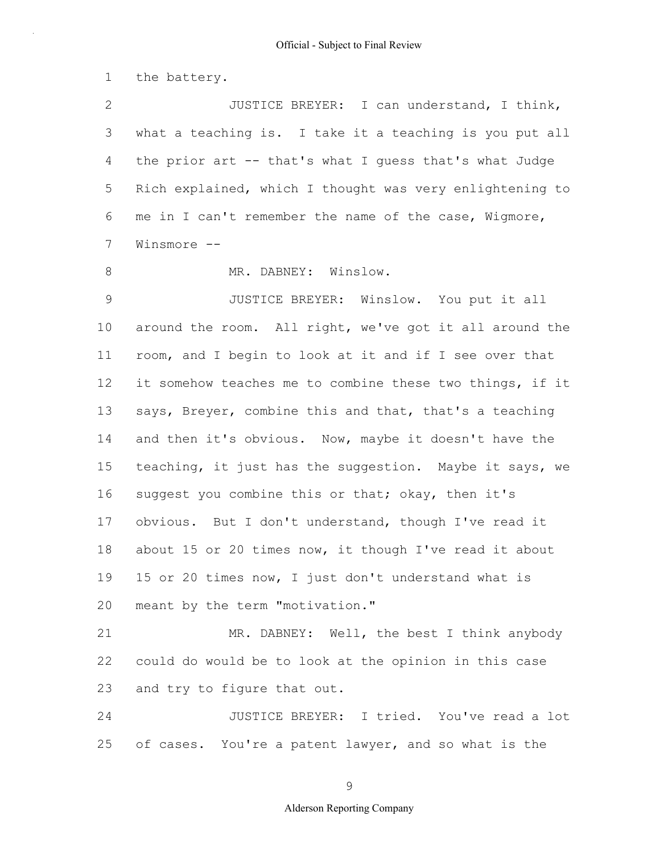1 the battery.

2 3 4 5 6 7 JUSTICE BREYER: I can understand, I think, what a teaching is. I take it a teaching is you put all the prior art -- that's what I guess that's what Judge Rich explained, which I thought was very enlightening to me in I can't remember the name of the case, Wigmore, Winsmore --

8 MR. DABNEY: Winslow.

9 10 11 12 13 14 15 16 17 18 19 20 JUSTICE BREYER: Winslow. You put it all around the room. All right, we've got it all around the room, and I begin to look at it and if I see over that it somehow teaches me to combine these two things, if it says, Breyer, combine this and that, that's a teaching and then it's obvious. Now, maybe it doesn't have the teaching, it just has the suggestion. Maybe it says, we suggest you combine this or that; okay, then it's obvious. But I don't understand, though I've read it about 15 or 20 times now, it though I've read it about 15 or 20 times now, I just don't understand what is meant by the term "motivation."

21 22 23 MR. DABNEY: Well, the best I think anybody could do would be to look at the opinion in this case and try to figure that out.

24 25 JUSTICE BREYER: I tried. You've read a lot of cases. You're a patent lawyer, and so what is the

9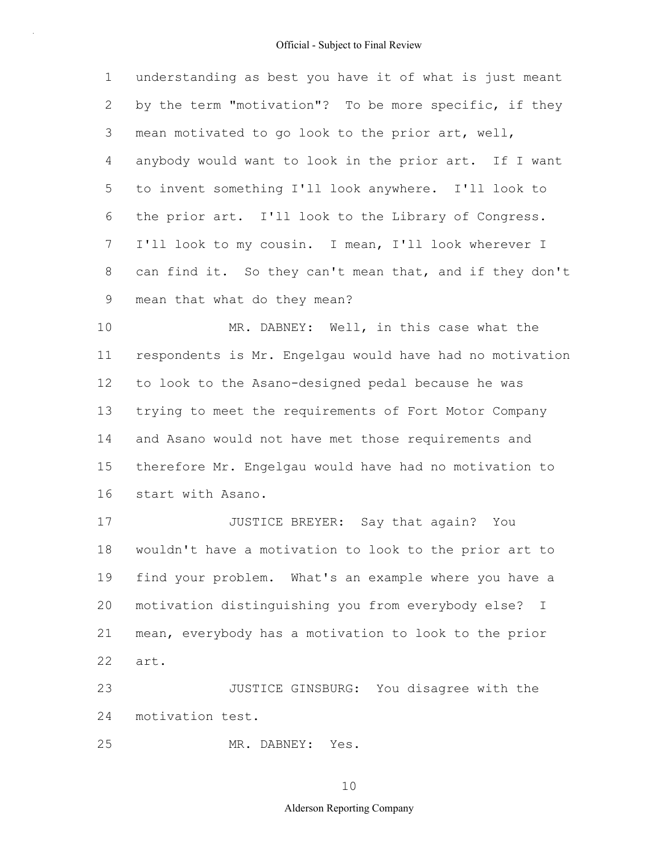1 2 3 4 5 6 7 8 9 understanding as best you have it of what is just meant by the term "motivation"? To be more specific, if they mean motivated to go look to the prior art, well, anybody would want to look in the prior art. If I want to invent something I'll look anywhere. I'll look to the prior art. I'll look to the Library of Congress. I'll look to my cousin. I mean, I'll look wherever I can find it. So they can't mean that, and if they don't mean that what do they mean?

10 11 12 13 14 15 16 MR. DABNEY: Well, in this case what the respondents is Mr. Engelgau would have had no motivation to look to the Asano-designed pedal because he was trying to meet the requirements of Fort Motor Company and Asano would not have met those requirements and therefore Mr. Engelgau would have had no motivation to start with Asano.

17 18 19 20 21 22 JUSTICE BREYER: Say that again? You wouldn't have a motivation to look to the prior art to find your problem. What's an example where you have a motivation distinguishing you from everybody else? I mean, everybody has a motivation to look to the prior art.

23 24 JUSTICE GINSBURG: You disagree with the motivation test.

25 MR. DABNEY: Yes.

10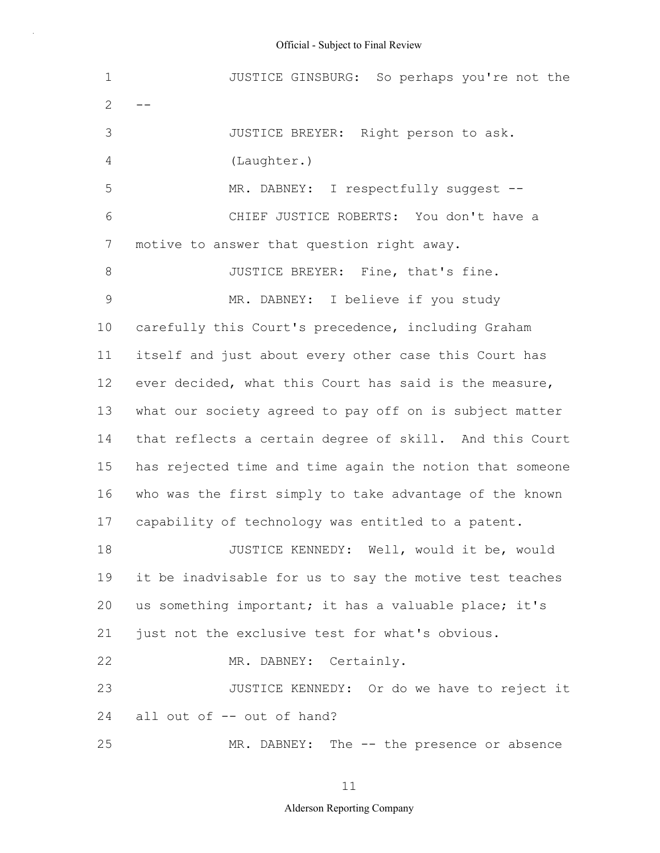1  $2 - -$ 3 4 5 6 7 8 9 10 11 12 13 14 15 16 17 18 19 20 21 22 23 24 25 JUSTICE GINSBURG: So perhaps you're not the JUSTICE BREYER: Right person to ask. (Laughter.) MR. DABNEY: I respectfully suggest --CHIEF JUSTICE ROBERTS: You don't have a motive to answer that question right away. JUSTICE BREYER: Fine, that's fine. MR. DABNEY: I believe if you study carefully this Court's precedence, including Graham itself and just about every other case this Court has ever decided, what this Court has said is the measure, what our society agreed to pay off on is subject matter that reflects a certain degree of skill. And this Court has rejected time and time again the notion that someone who was the first simply to take advantage of the known capability of technology was entitled to a patent. JUSTICE KENNEDY: Well, would it be, would it be inadvisable for us to say the motive test teaches us something important; it has a valuable place; it's just not the exclusive test for what's obvious. MR. DABNEY: Certainly. JUSTICE KENNEDY: Or do we have to reject it all out of -- out of hand? MR. DABNEY: The -- the presence or absence

11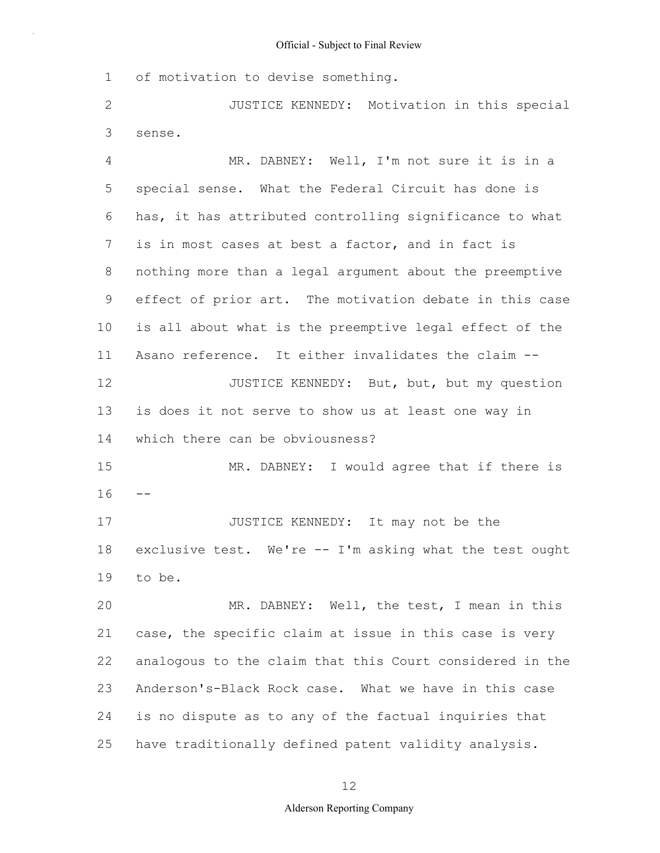1 of motivation to devise something.

2 3 JUSTICE KENNEDY: Motivation in this special sense.

4 5 6 7 8 9 10 11 12 13 14 15  $16 - -$ 17 18 19 20 21 22 23 24 MR. DABNEY: Well, I'm not sure it is in a special sense. What the Federal Circuit has done is has, it has attributed controlling significance to what is in most cases at best a factor, and in fact is nothing more than a legal argument about the preemptive effect of prior art. The motivation debate in this case is all about what is the preemptive legal effect of the Asano reference. It either invalidates the claim -- JUSTICE KENNEDY: But, but, but my question is does it not serve to show us at least one way in which there can be obviousness? MR. DABNEY: I would agree that if there is JUSTICE KENNEDY: It may not be the exclusive test. We're -- I'm asking what the test ought to be. MR. DABNEY: Well, the test, I mean in this case, the specific claim at issue in this case is very analogous to the claim that this Court considered in the Anderson's-Black Rock case. What we have in this case is no dispute as to any of the factual inquiries that

25 have traditionally defined patent validity analysis.

12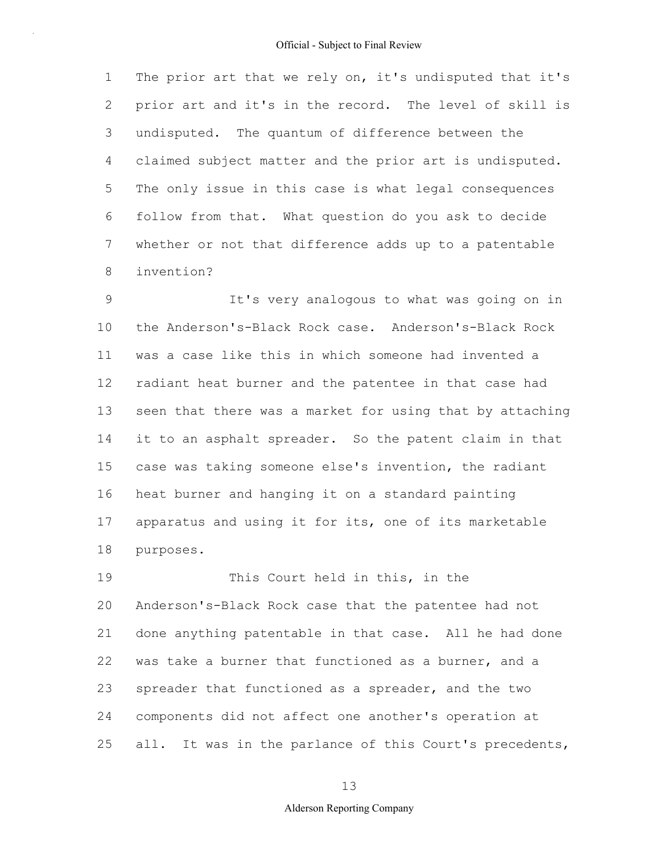1 2 3 4 5 6 7 8 The prior art that we rely on, it's undisputed that it's prior art and it's in the record. The level of skill is undisputed. The quantum of difference between the claimed subject matter and the prior art is undisputed. The only issue in this case is what legal consequences follow from that. What question do you ask to decide whether or not that difference adds up to a patentable invention?

9 10 11 12 13 14 15 16 17 18 It's very analogous to what was going on in the Anderson's-Black Rock case. Anderson's-Black Rock was a case like this in which someone had invented a radiant heat burner and the patentee in that case had seen that there was a market for using that by attaching it to an asphalt spreader. So the patent claim in that case was taking someone else's invention, the radiant heat burner and hanging it on a standard painting apparatus and using it for its, one of its marketable purposes.

19 20 21 22 23 24 25 This Court held in this, in the Anderson's-Black Rock case that the patentee had not done anything patentable in that case. All he had done was take a burner that functioned as a burner, and a spreader that functioned as a spreader, and the two components did not affect one another's operation at all. It was in the parlance of this Court's precedents,

13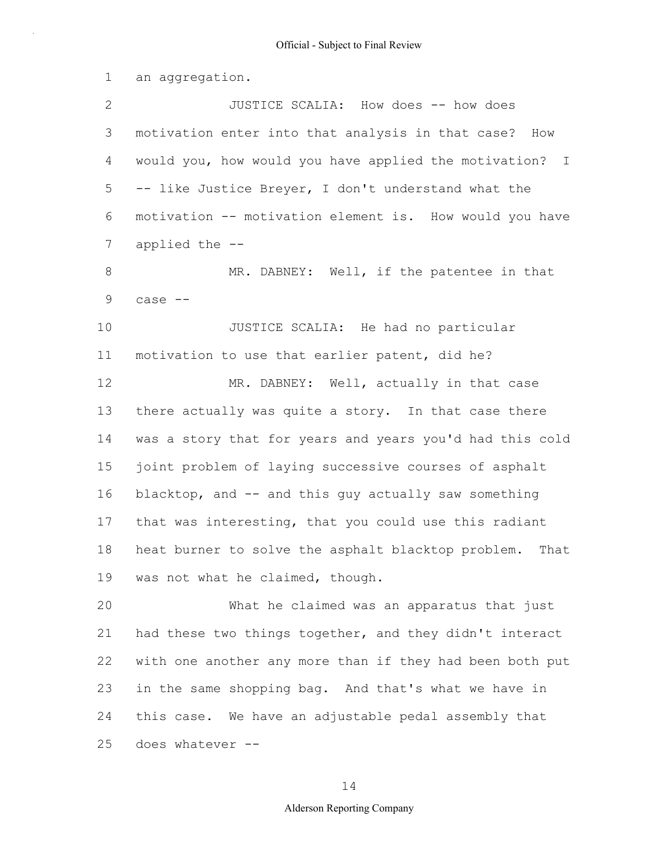1 2 3 4 5 6 7 8 9 10 11 12 13 14 15 16 17 18 19 20 21 an aggregation. JUSTICE SCALIA: How does -- how does motivation enter into that analysis in that case? How would you, how would you have applied the motivation? I -- like Justice Breyer, I don't understand what the motivation -- motivation element is. How would you have applied the -- MR. DABNEY: Well, if the patentee in that case -- JUSTICE SCALIA: He had no particular motivation to use that earlier patent, did he? MR. DABNEY: Well, actually in that case there actually was quite a story. In that case there was a story that for years and years you'd had this cold joint problem of laying successive courses of asphalt blacktop, and -- and this guy actually saw something that was interesting, that you could use this radiant heat burner to solve the asphalt blacktop problem. That was not what he claimed, though. What he claimed was an apparatus that just had these two things together, and they didn't interact

22 23 24 25 with one another any more than if they had been both put in the same shopping bag. And that's what we have in this case. We have an adjustable pedal assembly that does whatever --

14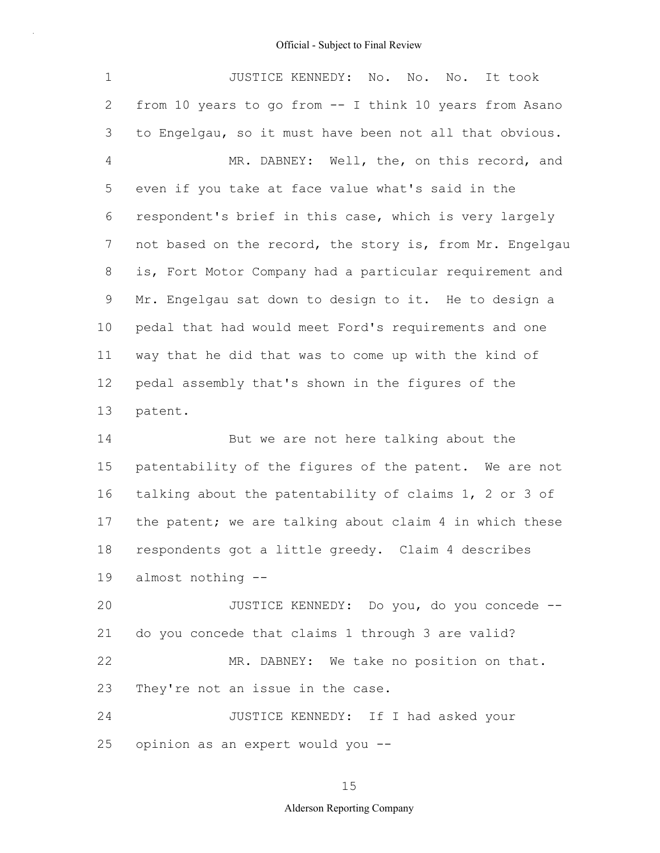1 2 3 4 5 6 7 8 9 10 11 12 13 14 15 16 17 18 19 20 21 22 23 24 25 JUSTICE KENNEDY: No. No. No. It took from 10 years to go from -- I think 10 years from Asano to Engelgau, so it must have been not all that obvious. MR. DABNEY: Well, the, on this record, and even if you take at face value what's said in the respondent's brief in this case, which is very largely not based on the record, the story is, from Mr. Engelgau is, Fort Motor Company had a particular requirement and Mr. Engelgau sat down to design to it. He to design a pedal that had would meet Ford's requirements and one way that he did that was to come up with the kind of pedal assembly that's shown in the figures of the patent. But we are not here talking about the patentability of the figures of the patent. We are not talking about the patentability of claims 1, 2 or 3 of the patent; we are talking about claim 4 in which these respondents got a little greedy. Claim 4 describes almost nothing -- JUSTICE KENNEDY: Do you, do you concede - do you concede that claims 1 through 3 are valid? MR. DABNEY: We take no position on that. They're not an issue in the case. JUSTICE KENNEDY: If I had asked your opinion as an expert would you --

15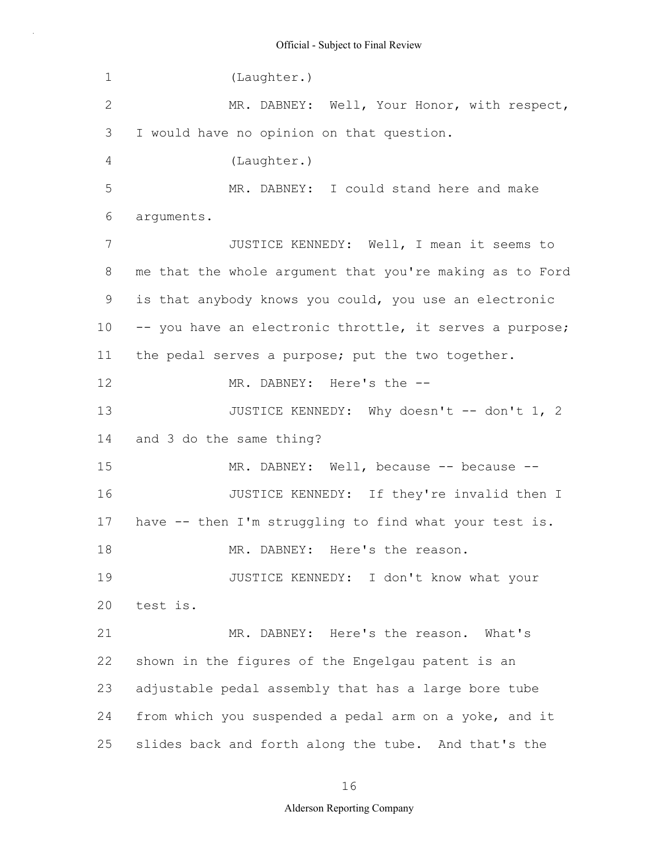| $\mathbf 1$     | (Laughter.)                                              |
|-----------------|----------------------------------------------------------|
| $\mathbf{2}$    | MR. DABNEY: Well, Your Honor, with respect,              |
| 3               | I would have no opinion on that question.                |
| 4               | (Laughter.)                                              |
| 5               | MR. DABNEY: I could stand here and make                  |
| 6               | arguments.                                               |
| $\overline{7}$  | JUSTICE KENNEDY: Well, I mean it seems to                |
| 8               | me that the whole argument that you're making as to Ford |
| 9               | is that anybody knows you could, you use an electronic   |
| 10 <sub>o</sub> | -- you have an electronic throttle, it serves a purpose; |
| 11              | the pedal serves a purpose; put the two together.        |
| 12              | MR. DABNEY: Here's the --                                |
| 13              | JUSTICE KENNEDY: Why doesn't -- don't 1, 2               |
| 14              | and 3 do the same thing?                                 |
| 15              | MR. DABNEY: Well, because -- because --                  |
| 16              | JUSTICE KENNEDY: If they're invalid then I               |
| 17              | have -- then I'm struggling to find what your test is.   |
| 18              | MR. DABNEY: Here's the reason.                           |
| 19              | JUSTICE KENNEDY: I don't know what your                  |
| 20              | test is.                                                 |
| 21              | MR. DABNEY: Here's the reason. What's                    |
| 22              | shown in the figures of the Engelgau patent is an        |
| 23              | adjustable pedal assembly that has a large bore tube     |
| 24              | from which you suspended a pedal arm on a yoke, and it   |
| 25              | slides back and forth along the tube. And that's the     |

16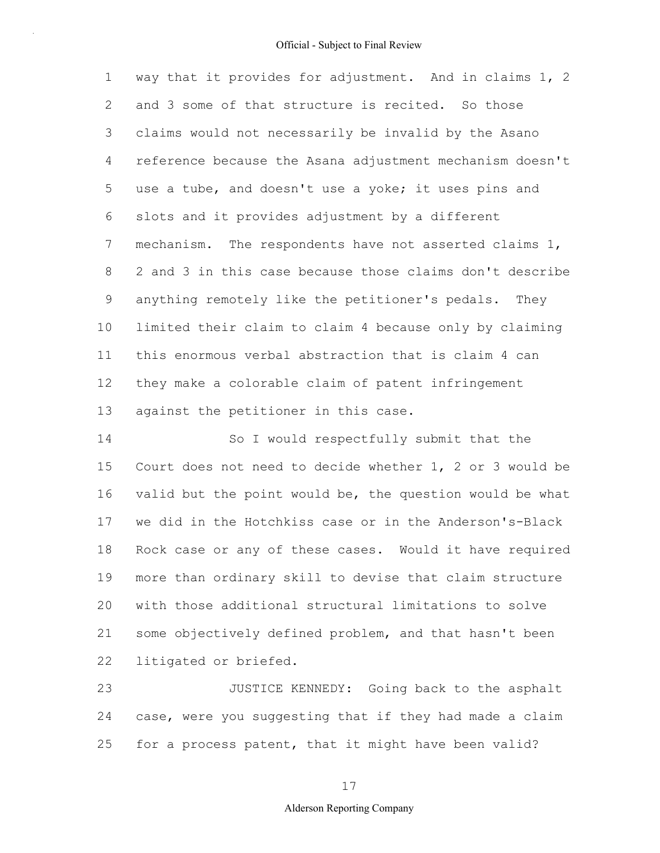1 2 3 4 5 6 7 8 9 10 11 12 13 way that it provides for adjustment. And in claims 1, 2 and 3 some of that structure is recited. So those claims would not necessarily be invalid by the Asano reference because the Asana adjustment mechanism doesn't use a tube, and doesn't use a yoke; it uses pins and slots and it provides adjustment by a different mechanism. The respondents have not asserted claims 1, 2 and 3 in this case because those claims don't describe anything remotely like the petitioner's pedals. They limited their claim to claim 4 because only by claiming this enormous verbal abstraction that is claim 4 can they make a colorable claim of patent infringement against the petitioner in this case.

14 15 16 17 18 19 20 21 22 So I would respectfully submit that the Court does not need to decide whether 1, 2 or 3 would be valid but the point would be, the question would be what we did in the Hotchkiss case or in the Anderson's-Black Rock case or any of these cases. Would it have required more than ordinary skill to devise that claim structure with those additional structural limitations to solve some objectively defined problem, and that hasn't been litigated or briefed.

23 24 25 JUSTICE KENNEDY: Going back to the asphalt case, were you suggesting that if they had made a claim for a process patent, that it might have been valid?

#### 17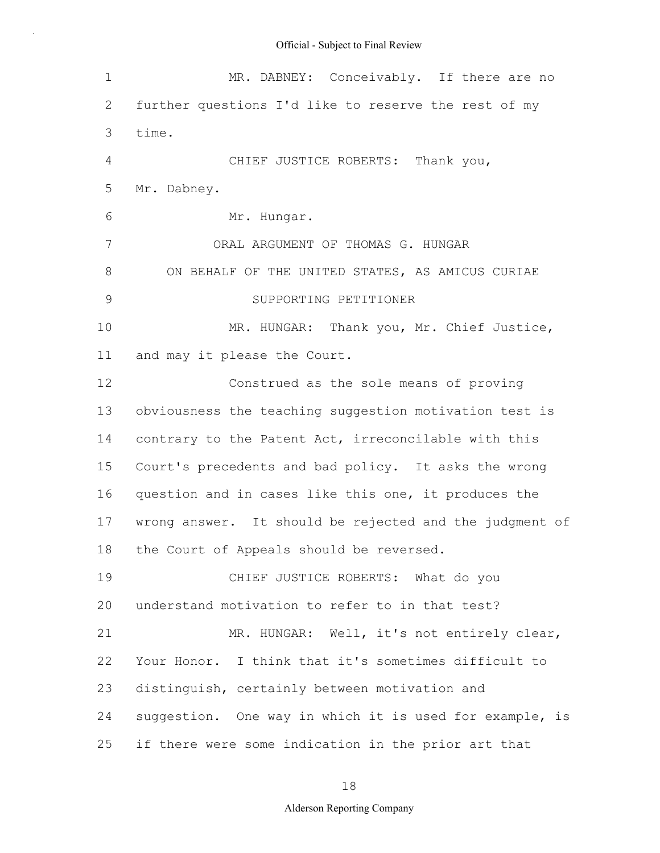| $\mathbf 1$     | MR. DABNEY: Conceivably. If there are no                |
|-----------------|---------------------------------------------------------|
| 2               | further questions I'd like to reserve the rest of my    |
| 3               | time.                                                   |
| 4               | CHIEF JUSTICE ROBERTS: Thank you,                       |
| 5               | Mr. Dabney.                                             |
| 6               | Mr. Hungar.                                             |
| $7\phantom{.0}$ | ORAL ARGUMENT OF THOMAS G. HUNGAR                       |
| 8               | ON BEHALF OF THE UNITED STATES, AS AMICUS CURIAE        |
| $\mathcal{G}$   | SUPPORTING PETITIONER                                   |
| 10              | MR. HUNGAR: Thank you, Mr. Chief Justice,               |
| 11              | and may it please the Court.                            |
| 12              | Construed as the sole means of proving                  |
| 13              | obviousness the teaching suggestion motivation test is  |
| 14              | contrary to the Patent Act, irreconcilable with this    |
| 15              | Court's precedents and bad policy. It asks the wrong    |
| 16              | question and in cases like this one, it produces the    |
| 17              | wrong answer. It should be rejected and the judgment of |
| 18              | the Court of Appeals should be reversed.                |
| 19              | CHIEF JUSTICE ROBERTS: What do you                      |
| 20              | understand motivation to refer to in that test?         |
| 21              | MR. HUNGAR: Well, it's not entirely clear,              |
| 22              | Your Honor. I think that it's sometimes difficult to    |
| 23              | distinguish, certainly between motivation and           |
| 24              | suggestion. One way in which it is used for example, is |
| 25              | if there were some indication in the prior art that     |

18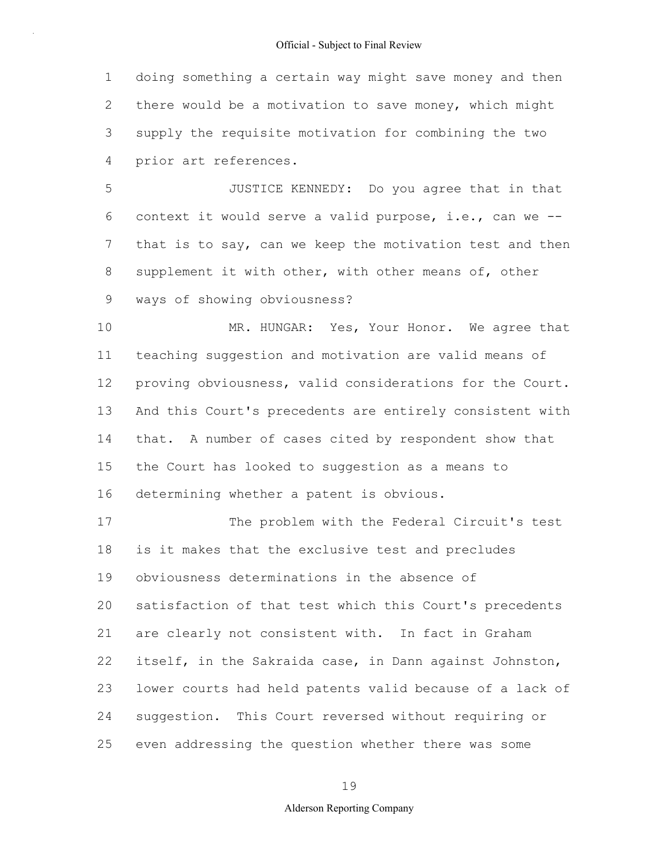1 2 3 4 doing something a certain way might save money and then there would be a motivation to save money, which might supply the requisite motivation for combining the two prior art references.

5 6 7 8 9 JUSTICE KENNEDY: Do you agree that in that context it would serve a valid purpose, i.e., can we - that is to say, can we keep the motivation test and then supplement it with other, with other means of, other ways of showing obviousness?

10 11 12 13 14 15 16 MR. HUNGAR: Yes, Your Honor. We agree that teaching suggestion and motivation are valid means of proving obviousness, valid considerations for the Court. And this Court's precedents are entirely consistent with that. A number of cases cited by respondent show that the Court has looked to suggestion as a means to determining whether a patent is obvious.

17 18 19 20 21 22 23 24 25 The problem with the Federal Circuit's test is it makes that the exclusive test and precludes obviousness determinations in the absence of satisfaction of that test which this Court's precedents are clearly not consistent with. In fact in Graham itself, in the Sakraida case, in Dann against Johnston, lower courts had held patents valid because of a lack of suggestion. This Court reversed without requiring or even addressing the question whether there was some

19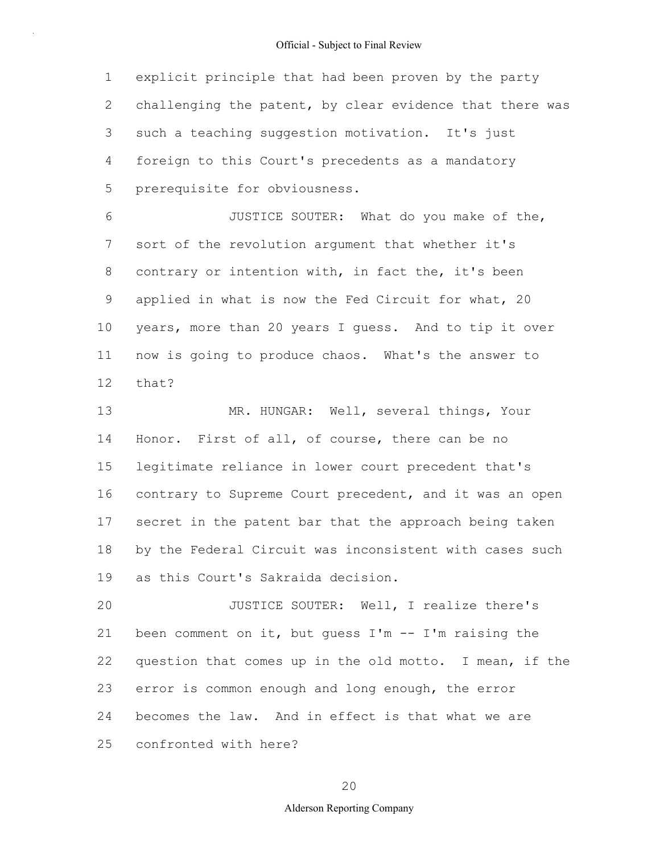1 2 3 4 5 explicit principle that had been proven by the party challenging the patent, by clear evidence that there was such a teaching suggestion motivation. It's just foreign to this Court's precedents as a mandatory prerequisite for obviousness.

6 7 8 9 10 11 12 JUSTICE SOUTER: What do you make of the, sort of the revolution argument that whether it's contrary or intention with, in fact the, it's been applied in what is now the Fed Circuit for what, 20 years, more than 20 years I guess. And to tip it over now is going to produce chaos. What's the answer to that?

13 14 15 16 17 18 19 MR. HUNGAR: Well, several things, Your Honor. First of all, of course, there can be no legitimate reliance in lower court precedent that's contrary to Supreme Court precedent, and it was an open secret in the patent bar that the approach being taken by the Federal Circuit was inconsistent with cases such as this Court's Sakraida decision.

20 21 22 23 24 25 JUSTICE SOUTER: Well, I realize there's been comment on it, but guess  $I'm - - I'm$  raising the question that comes up in the old motto. I mean, if the error is common enough and long enough, the error becomes the law. And in effect is that what we are confronted with here?

20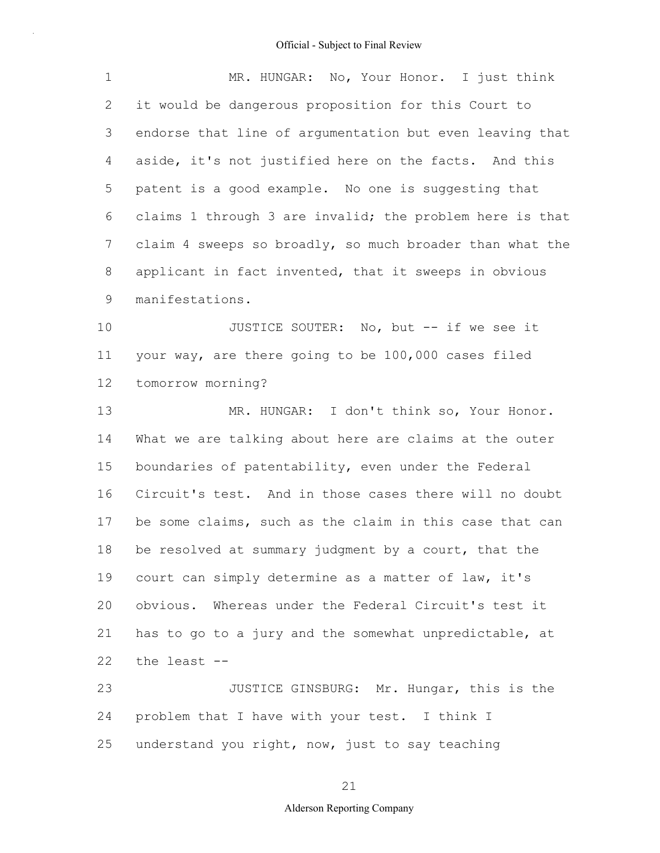| 1            | MR. HUNGAR: No, Your Honor. I just think                 |
|--------------|----------------------------------------------------------|
| $\mathbf{2}$ | it would be dangerous proposition for this Court to      |
| 3            | endorse that line of argumentation but even leaving that |
| 4            | aside, it's not justified here on the facts. And this    |
| 5            | patent is a good example. No one is suggesting that      |
| 6            | claims 1 through 3 are invalid; the problem here is that |
| 7            | claim 4 sweeps so broadly, so much broader than what the |
| 8            | applicant in fact invented, that it sweeps in obvious    |
| 9            | manifestations.                                          |
| 10           | JUSTICE SOUTER: No, but -- if we see it                  |
| 11           | your way, are there going to be 100,000 cases filed      |
| 12           | tomorrow morning?                                        |
| 13           | MR. HUNGAR: I don't think so, Your Honor.                |
| 14           | What we are talking about here are claims at the outer   |
| 15           | boundaries of patentability, even under the Federal      |
| 16           | Circuit's test. And in those cases there will no doubt   |
| 17           | be some claims, such as the claim in this case that can  |
| 18           | be resolved at summary judgment by a court, that the     |
| 19           | court can simply determine as a matter of law, it's      |
| 20           | obvious. Whereas under the Federal Circuit's test it     |
| 21           | has to go to a jury and the somewhat unpredictable, at   |
| 22           | the least --                                             |
| 23           | JUSTICE GINSBURG: Mr. Hungar, this is the                |
| 24           | problem that I have with your test. I think I            |
| 25           | understand you right, now, just to say teaching          |

21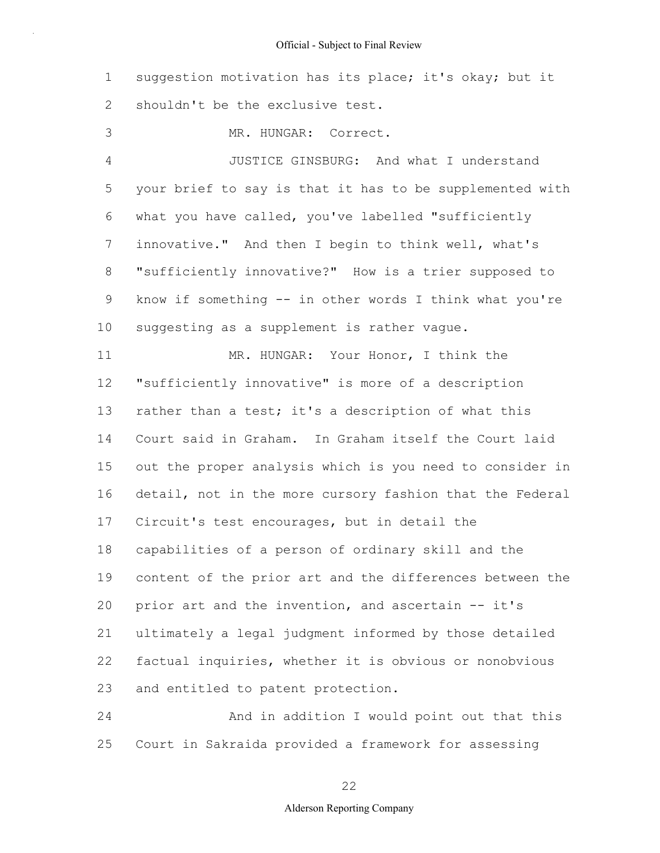1 2 suggestion motivation has its place; it's okay; but it shouldn't be the exclusive test.

3 MR. HUNGAR: Correct.

4 5 6 7 8 9 10 JUSTICE GINSBURG: And what I understand your brief to say is that it has to be supplemented with what you have called, you've labelled "sufficiently innovative." And then I begin to think well, what's "sufficiently innovative?" How is a trier supposed to know if something -- in other words I think what you're suggesting as a supplement is rather vague.

11 12 13 14 15 16 17 18 19 20 21 22 23 MR. HUNGAR: Your Honor, I think the "sufficiently innovative" is more of a description rather than a test; it's a description of what this Court said in Graham. In Graham itself the Court laid out the proper analysis which is you need to consider in detail, not in the more cursory fashion that the Federal Circuit's test encourages, but in detail the capabilities of a person of ordinary skill and the content of the prior art and the differences between the prior art and the invention, and ascertain -- it's ultimately a legal judgment informed by those detailed factual inquiries, whether it is obvious or nonobvious and entitled to patent protection.

24 25 And in addition I would point out that this Court in Sakraida provided a framework for assessing

22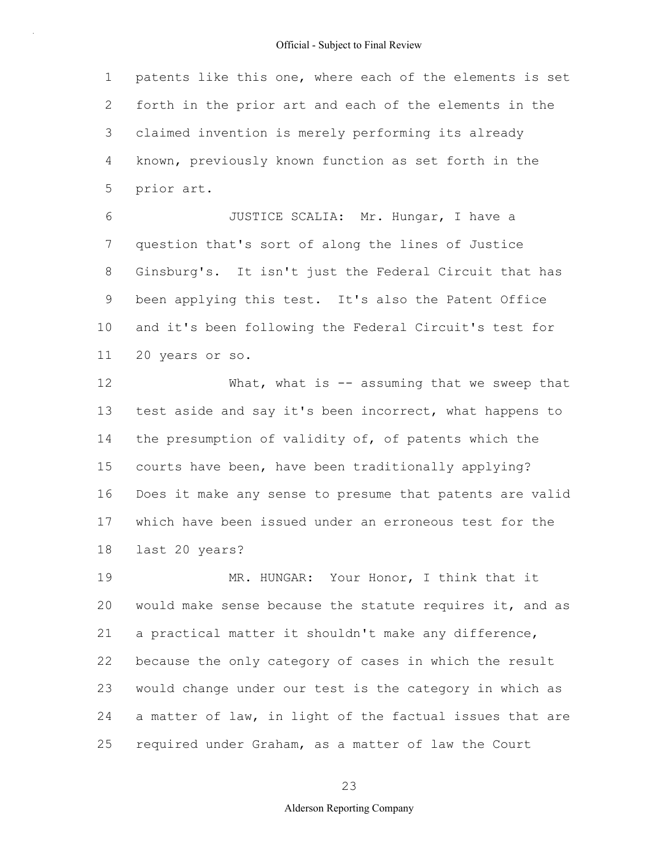1 2 3 4 5 patents like this one, where each of the elements is set forth in the prior art and each of the elements in the claimed invention is merely performing its already known, previously known function as set forth in the prior art.

6 7 8 9 10 11 JUSTICE SCALIA: Mr. Hungar, I have a question that's sort of along the lines of Justice Ginsburg's. It isn't just the Federal Circuit that has been applying this test. It's also the Patent Office and it's been following the Federal Circuit's test for 20 years or so.

12 13 14 15 16 17 18 What, what is  $-$  assuming that we sweep that test aside and say it's been incorrect, what happens to the presumption of validity of, of patents which the courts have been, have been traditionally applying? Does it make any sense to presume that patents are valid which have been issued under an erroneous test for the last 20 years?

19 20 21 22 23 24 25 MR. HUNGAR: Your Honor, I think that it would make sense because the statute requires it, and as a practical matter it shouldn't make any difference, because the only category of cases in which the result would change under our test is the category in which as a matter of law, in light of the factual issues that are required under Graham, as a matter of law the Court

23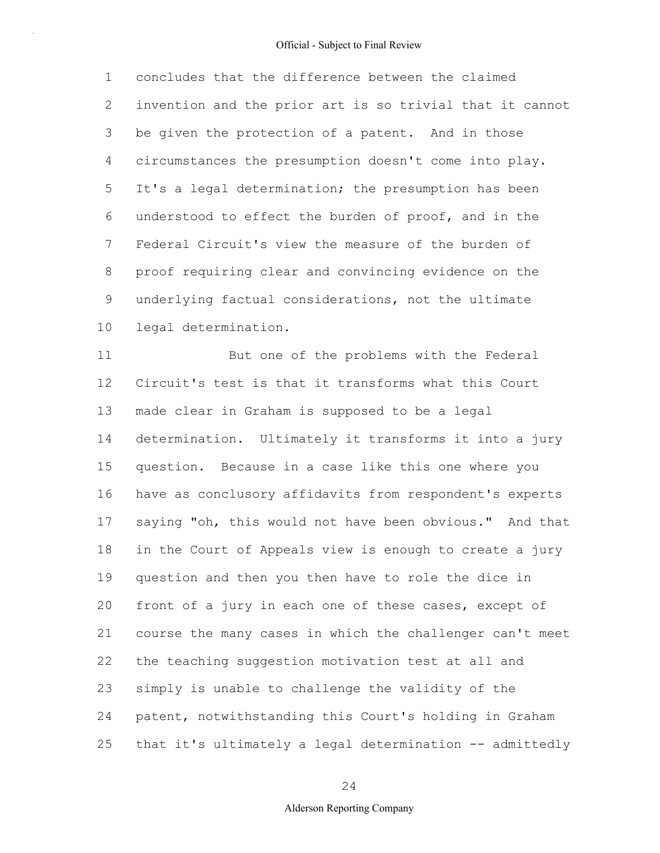1 2 3 4 5 6 7 8 9 10 concludes that the difference between the claimed invention and the prior art is so trivial that it cannot be given the protection of a patent. And in those circumstances the presumption doesn't come into play. It's a legal determination; the presumption has been understood to effect the burden of proof, and in the Federal Circuit's view the measure of the burden of proof requiring clear and convincing evidence on the underlying factual considerations, not the ultimate legal determination.

11 12 13 14 15 16 17 18 19 20 21 22 23 24 25 But one of the problems with the Federal Circuit's test is that it transforms what this Court made clear in Graham is supposed to be a legal determination. Ultimately it transforms it into a jury question. Because in a case like this one where you have as conclusory affidavits from respondent's experts saying "oh, this would not have been obvious." And that in the Court of Appeals view is enough to create a jury question and then you then have to role the dice in front of a jury in each one of these cases, except of course the many cases in which the challenger can't meet the teaching suggestion motivation test at all and simply is unable to challenge the validity of the patent, notwithstanding this Court's holding in Graham that it's ultimately a legal determination -- admittedly

# 24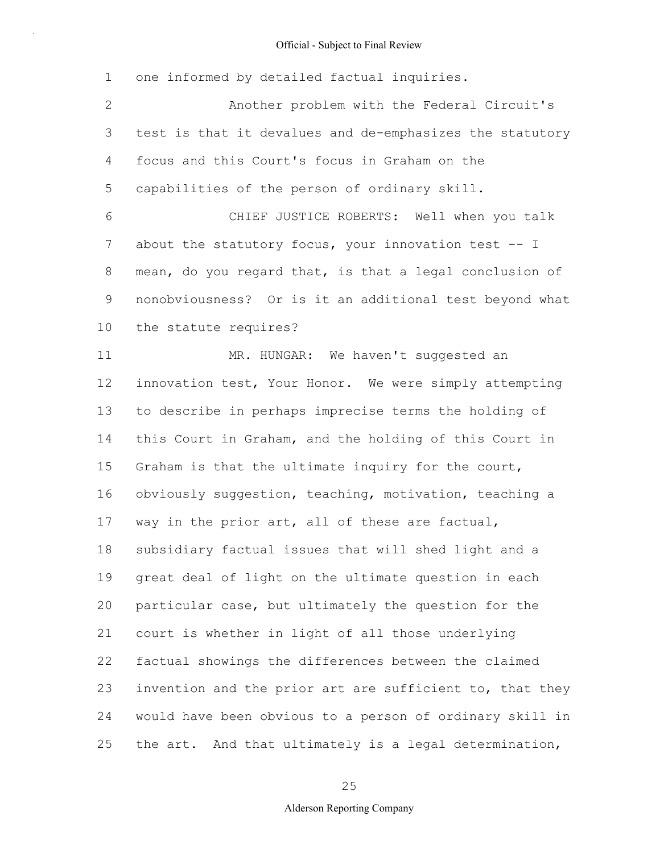1 2 3 4 5 6 7 8 9 10 11 12 13 14 15 16 17 18 19 20 21 22 23 24 25 one informed by detailed factual inquiries. Another problem with the Federal Circuit's test is that it devalues and de-emphasizes the statutory focus and this Court's focus in Graham on the capabilities of the person of ordinary skill. CHIEF JUSTICE ROBERTS: Well when you talk about the statutory focus, your innovation test -- I mean, do you regard that, is that a legal conclusion of nonobviousness? Or is it an additional test beyond what the statute requires? MR. HUNGAR: We haven't suggested an innovation test, Your Honor. We were simply attempting to describe in perhaps imprecise terms the holding of this Court in Graham, and the holding of this Court in Graham is that the ultimate inquiry for the court, obviously suggestion, teaching, motivation, teaching a way in the prior art, all of these are factual, subsidiary factual issues that will shed light and a great deal of light on the ultimate question in each particular case, but ultimately the question for the court is whether in light of all those underlying factual showings the differences between the claimed invention and the prior art are sufficient to, that they would have been obvious to a person of ordinary skill in the art. And that ultimately is a legal determination,

25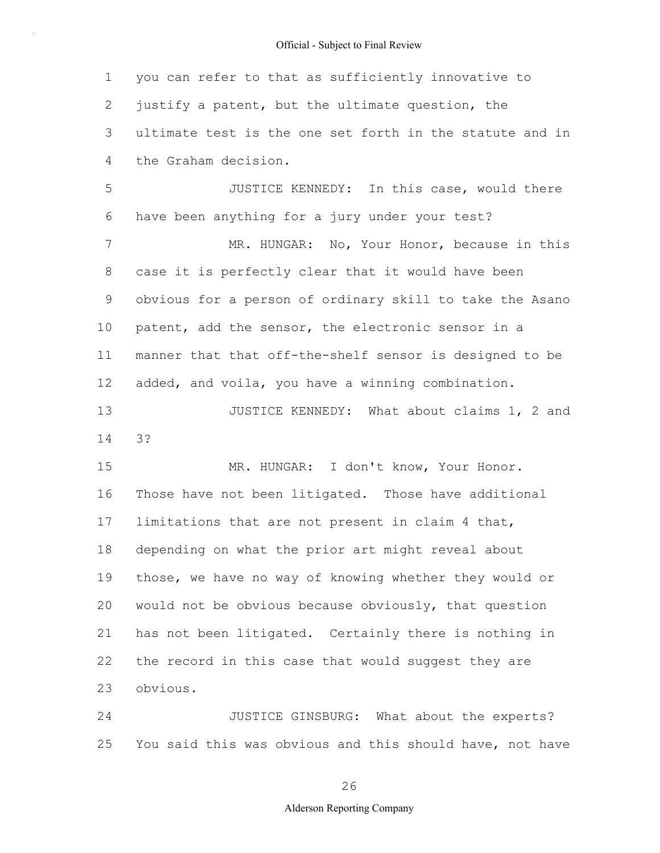1 2 3 4 you can refer to that as sufficiently innovative to justify a patent, but the ultimate question, the ultimate test is the one set forth in the statute and in the Graham decision.

5 6 7 8 9 10 11 12 13 14 15 16 17 18 19 JUSTICE KENNEDY: In this case, would there have been anything for a jury under your test? MR. HUNGAR: No, Your Honor, because in this case it is perfectly clear that it would have been obvious for a person of ordinary skill to take the Asano patent, add the sensor, the electronic sensor in a manner that that off-the-shelf sensor is designed to be added, and voila, you have a winning combination. JUSTICE KENNEDY: What about claims 1, 2 and 3? MR. HUNGAR: I don't know, Your Honor. Those have not been litigated. Those have additional limitations that are not present in claim 4 that, depending on what the prior art might reveal about those, we have no way of knowing whether they would or

20 21 22 23 would not be obvious because obviously, that question has not been litigated. Certainly there is nothing in the record in this case that would suggest they are obvious.

24 25 JUSTICE GINSBURG: What about the experts? You said this was obvious and this should have, not have

26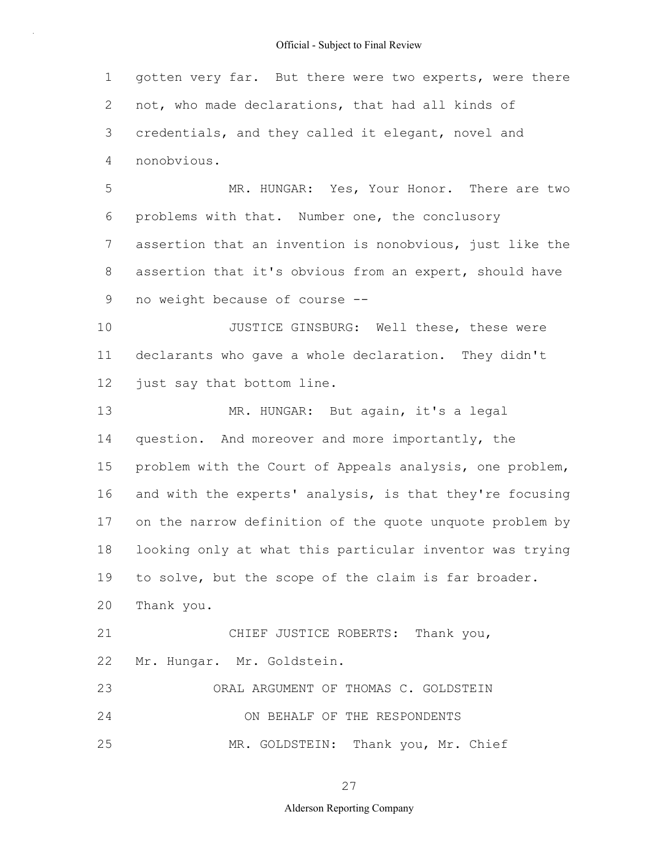1 2 3 4 5 gotten very far. But there were two experts, were there not, who made declarations, that had all kinds of credentials, and they called it elegant, novel and nonobvious. MR. HUNGAR: Yes, Your Honor. There are two

6 7 8 9 problems with that. Number one, the conclusory assertion that an invention is nonobvious, just like the assertion that it's obvious from an expert, should have no weight because of course --

10 11 12 JUSTICE GINSBURG: Well these, these were declarants who gave a whole declaration. They didn't just say that bottom line.

13 14 15 16 17 18 19 20 21 MR. HUNGAR: But again, it's a legal question. And moreover and more importantly, the problem with the Court of Appeals analysis, one problem, and with the experts' analysis, is that they're focusing on the narrow definition of the quote unquote problem by looking only at what this particular inventor was trying to solve, but the scope of the claim is far broader. Thank you. CHIEF JUSTICE ROBERTS: Thank you,

22 Mr. Hungar. Mr. Goldstein.

23 24 25 ORAL ARGUMENT OF THOMAS C. GOLDSTEIN ON BEHALF OF THE RESPONDENTS MR. GOLDSTEIN: Thank you, Mr. Chief

27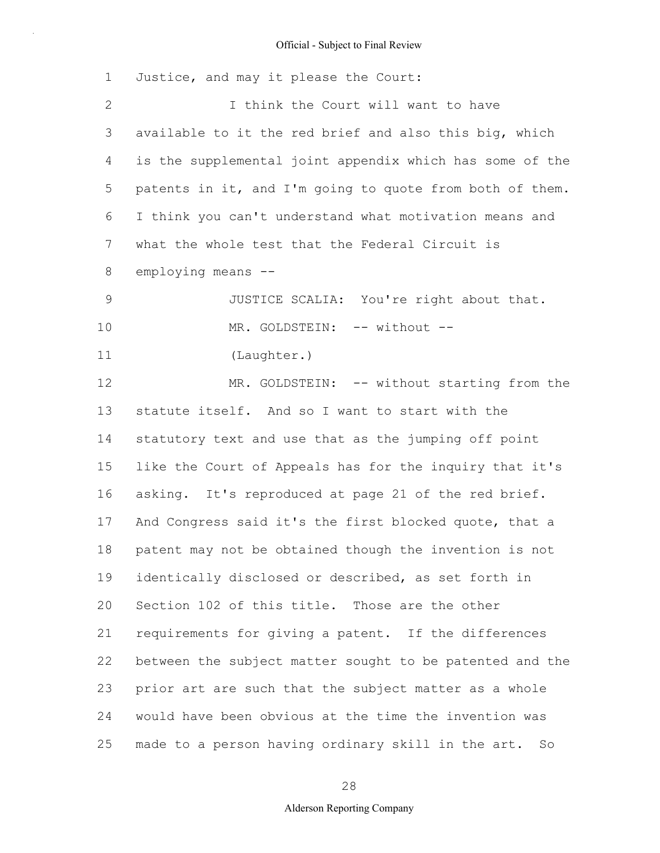| $\mathbf 1$  | Justice, and may it please the Court:                    |
|--------------|----------------------------------------------------------|
| $\mathbf{2}$ | I think the Court will want to have                      |
| 3            | available to it the red brief and also this big, which   |
| 4            | is the supplemental joint appendix which has some of the |
| 5            | patents in it, and I'm going to quote from both of them. |
| 6            | I think you can't understand what motivation means and   |
| 7            | what the whole test that the Federal Circuit is          |
| 8            | employing means --                                       |
| $\mathsf 9$  | JUSTICE SCALIA: You're right about that.                 |
| 10           | MR. GOLDSTEIN: -- without --                             |
| 11           | (Laughter.)                                              |
| 12           | MR. GOLDSTEIN: -- without starting from the              |
| 13           | statute itself. And so I want to start with the          |
| 14           | statutory text and use that as the jumping off point     |
| 15           | like the Court of Appeals has for the inquiry that it's  |
| 16           | asking. It's reproduced at page 21 of the red brief.     |
| 17           | And Congress said it's the first blocked quote, that a   |
| 18           | patent may not be obtained though the invention is not   |
| 19           | identically disclosed or described, as set forth in      |
| 20           | Section 102 of this title. Those are the other           |
| 21           | requirements for giving a patent. If the differences     |
| 22           | between the subject matter sought to be patented and the |
| 23           | prior art are such that the subject matter as a whole    |
| 24           | would have been obvious at the time the invention was    |
| 25           | made to a person having ordinary skill in the art.<br>So |

# 28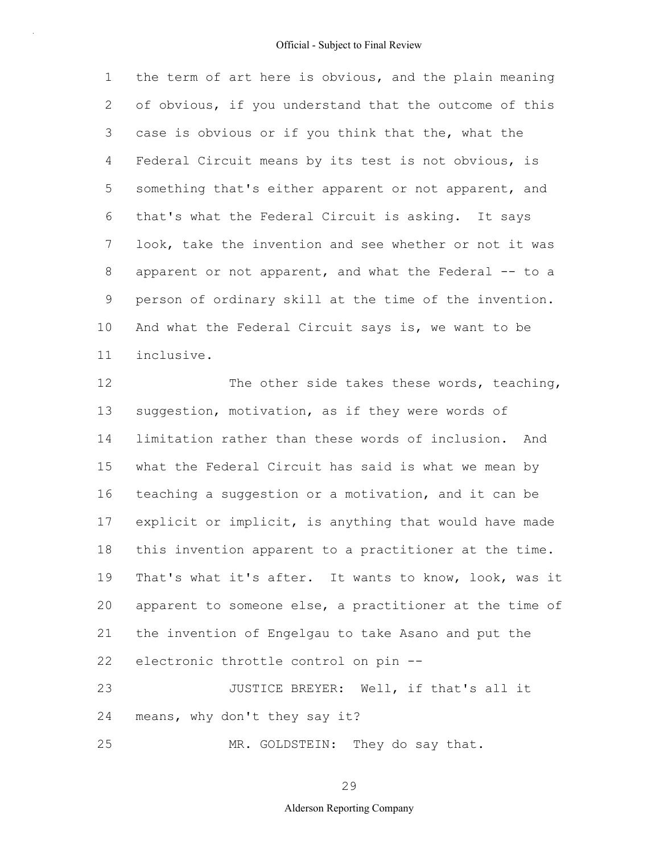1 2 3 4 5 6 7 8 9 10 11 the term of art here is obvious, and the plain meaning of obvious, if you understand that the outcome of this case is obvious or if you think that the, what the Federal Circuit means by its test is not obvious, is something that's either apparent or not apparent, and that's what the Federal Circuit is asking. It says look, take the invention and see whether or not it was apparent or not apparent, and what the Federal -- to a person of ordinary skill at the time of the invention. And what the Federal Circuit says is, we want to be inclusive.

12 13 14 15 16 17 18 19 20 21 22 23 The other side takes these words, teaching, suggestion, motivation, as if they were words of limitation rather than these words of inclusion. And what the Federal Circuit has said is what we mean by teaching a suggestion or a motivation, and it can be explicit or implicit, is anything that would have made this invention apparent to a practitioner at the time. That's what it's after. It wants to know, look, was it apparent to someone else, a practitioner at the time of the invention of Engelgau to take Asano and put the electronic throttle control on pin -- JUSTICE BREYER: Well, if that's all it

24 means, why don't they say it?

25 MR. GOLDSTEIN: They do say that.

29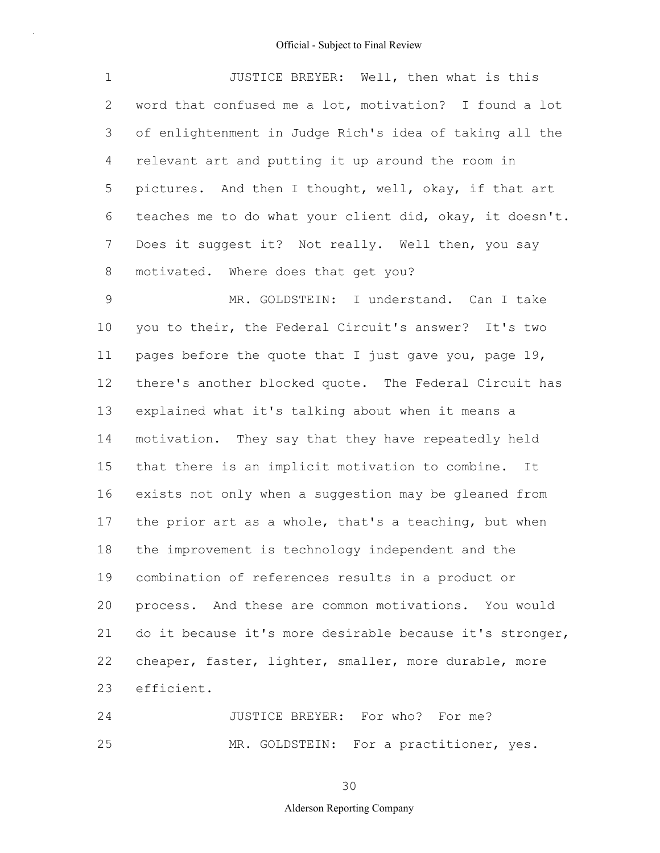1 2 3 4 5 6 7 8 JUSTICE BREYER: Well, then what is this word that confused me a lot, motivation? I found a lot of enlightenment in Judge Rich's idea of taking all the relevant art and putting it up around the room in pictures. And then I thought, well, okay, if that art teaches me to do what your client did, okay, it doesn't. Does it suggest it? Not really. Well then, you say motivated. Where does that get you?

9 10 11 12 13 14 15 16 17 18 19 20 21 22 23 MR. GOLDSTEIN: I understand. Can I take you to their, the Federal Circuit's answer? It's two pages before the quote that I just gave you, page 19, there's another blocked quote. The Federal Circuit has explained what it's talking about when it means a motivation. They say that they have repeatedly held that there is an implicit motivation to combine. It exists not only when a suggestion may be gleaned from the prior art as a whole, that's a teaching, but when the improvement is technology independent and the combination of references results in a product or process. And these are common motivations. You would do it because it's more desirable because it's stronger, cheaper, faster, lighter, smaller, more durable, more efficient.

24 25 JUSTICE BREYER: For who? For me? MR. GOLDSTEIN: For a practitioner, yes.

30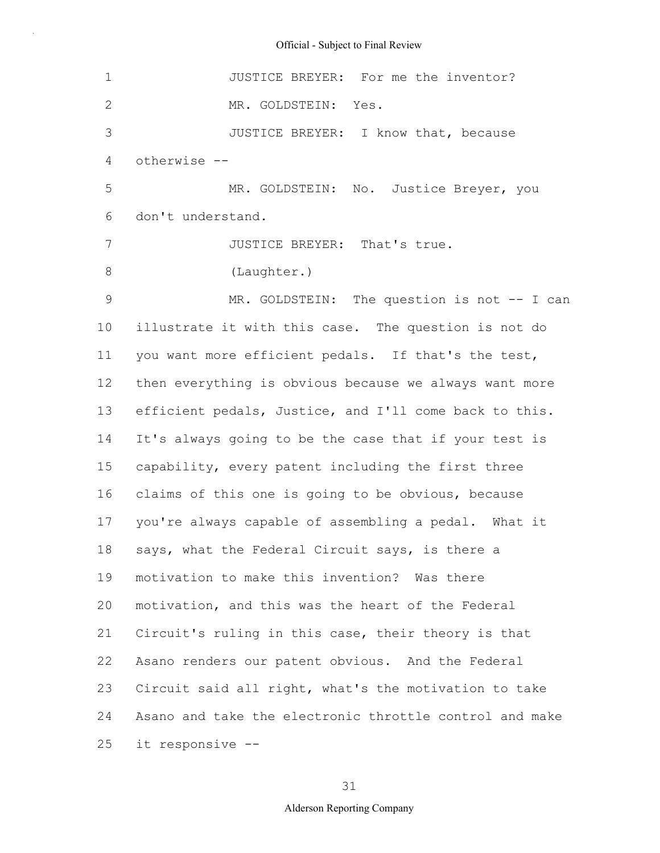1 2 3 4 5 6 7 8 9 10 11 12 13 14 15 16 17 18 19 20 21 22 23 24 25 JUSTICE BREYER: For me the inventor? MR. GOLDSTEIN: Yes. JUSTICE BREYER: I know that, because otherwise -- MR. GOLDSTEIN: No. Justice Breyer, you don't understand. JUSTICE BREYER: That's true. (Laughter.) MR. GOLDSTEIN: The question is not -- I can illustrate it with this case. The question is not do you want more efficient pedals. If that's the test, then everything is obvious because we always want more efficient pedals, Justice, and I'll come back to this. It's always going to be the case that if your test is capability, every patent including the first three claims of this one is going to be obvious, because you're always capable of assembling a pedal. What it says, what the Federal Circuit says, is there a motivation to make this invention? Was there motivation, and this was the heart of the Federal Circuit's ruling in this case, their theory is that Asano renders our patent obvious. And the Federal Circuit said all right, what's the motivation to take Asano and take the electronic throttle control and make it responsive --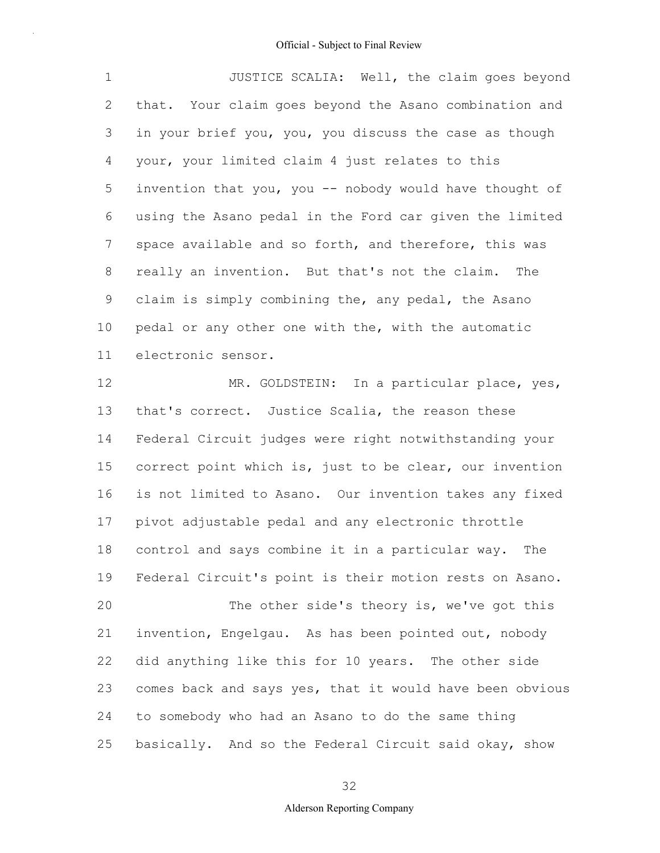1 2 3 4 5 6 7 8 9 10 11 JUSTICE SCALIA: Well, the claim goes beyond that. Your claim goes beyond the Asano combination and in your brief you, you, you discuss the case as though your, your limited claim 4 just relates to this invention that you, you -- nobody would have thought of using the Asano pedal in the Ford car given the limited space available and so forth, and therefore, this was really an invention. But that's not the claim. The claim is simply combining the, any pedal, the Asano pedal or any other one with the, with the automatic electronic sensor.

12 13 14 15 16 17 18 19 20 21 22 23 24 25 MR. GOLDSTEIN: In a particular place, yes, that's correct. Justice Scalia, the reason these Federal Circuit judges were right notwithstanding your correct point which is, just to be clear, our invention is not limited to Asano. Our invention takes any fixed pivot adjustable pedal and any electronic throttle control and says combine it in a particular way. The Federal Circuit's point is their motion rests on Asano. The other side's theory is, we've got this invention, Engelgau. As has been pointed out, nobody did anything like this for 10 years. The other side comes back and says yes, that it would have been obvious to somebody who had an Asano to do the same thing basically. And so the Federal Circuit said okay, show

32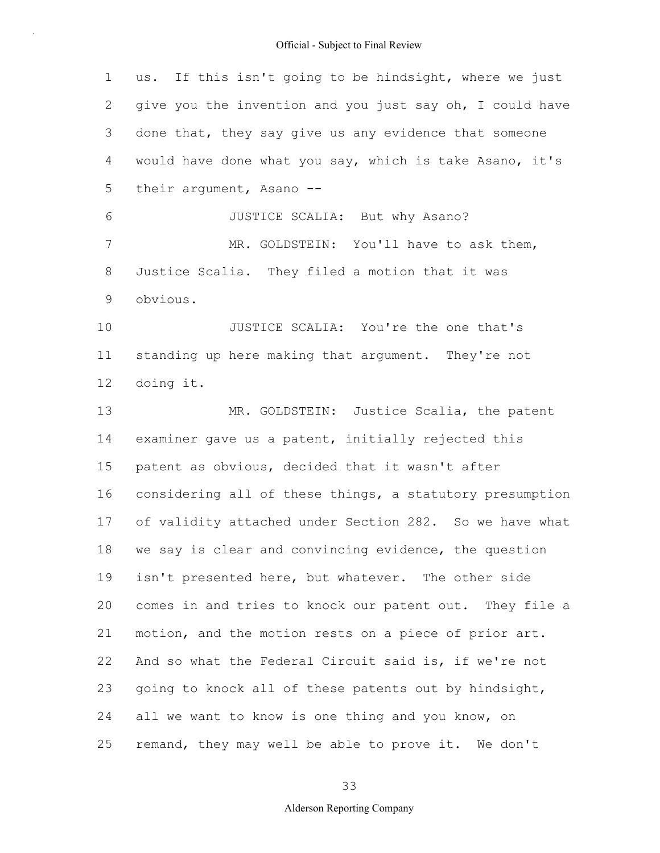| $\mathbf 1$    | us. If this isn't going to be hindsight, where we just   |
|----------------|----------------------------------------------------------|
| 2              | give you the invention and you just say oh, I could have |
| 3              | done that, they say give us any evidence that someone    |
| 4              | would have done what you say, which is take Asano, it's  |
| 5              | their argument, Asano --                                 |
| 6              | JUSTICE SCALIA: But why Asano?                           |
| $\overline{7}$ | MR. GOLDSTEIN: You'll have to ask them,                  |
| 8              | Justice Scalia. They filed a motion that it was          |
| 9              | obvious.                                                 |
| 10             | JUSTICE SCALIA: You're the one that's                    |
| 11             | standing up here making that argument. They're not       |
| 12             | doing it.                                                |
| 13             | MR. GOLDSTEIN: Justice Scalia, the patent                |
| 14             | examiner gave us a patent, initially rejected this       |
| 15             | patent as obvious, decided that it wasn't after          |
| 16             | considering all of these things, a statutory presumption |
| 17             | of validity attached under Section 282. So we have what  |
| 18             | we say is clear and convincing evidence, the question    |
| 19             | isn't presented here, but whatever. The other side       |
| 20             | comes in and tries to knock our patent out. They file a  |
| 21             | motion, and the motion rests on a piece of prior art.    |
| 22             | And so what the Federal Circuit said is, if we're not    |
| 23             | going to knock all of these patents out by hindsight,    |
| 24             | all we want to know is one thing and you know, on        |
| 25             | remand, they may well be able to prove it. We don't      |

33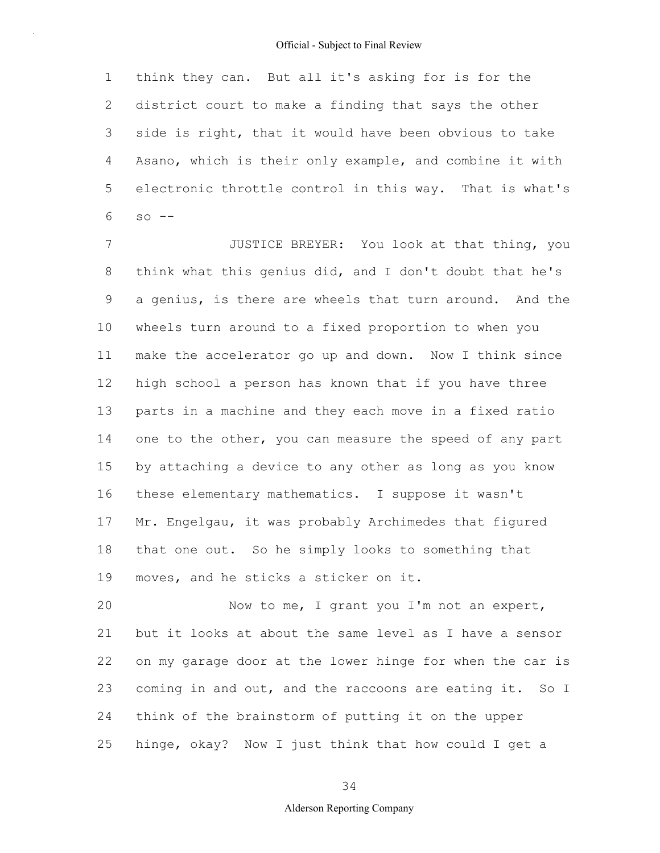1 2 3 4 5 6 think they can. But all it's asking for is for the district court to make a finding that says the other side is right, that it would have been obvious to take Asano, which is their only example, and combine it with electronic throttle control in this way. That is what's  $SO = -$ 

7 8 9 10 11 12 13 14 15 16 17 18 19 JUSTICE BREYER: You look at that thing, you think what this genius did, and I don't doubt that he's a genius, is there are wheels that turn around. And the wheels turn around to a fixed proportion to when you make the accelerator go up and down. Now I think since high school a person has known that if you have three parts in a machine and they each move in a fixed ratio one to the other, you can measure the speed of any part by attaching a device to any other as long as you know these elementary mathematics. I suppose it wasn't Mr. Engelgau, it was probably Archimedes that figured that one out. So he simply looks to something that moves, and he sticks a sticker on it.

20 21 22 23 24 25 Now to me, I grant you I'm not an expert, but it looks at about the same level as I have a sensor on my garage door at the lower hinge for when the car is coming in and out, and the raccoons are eating it. So I think of the brainstorm of putting it on the upper hinge, okay? Now I just think that how could I get a

34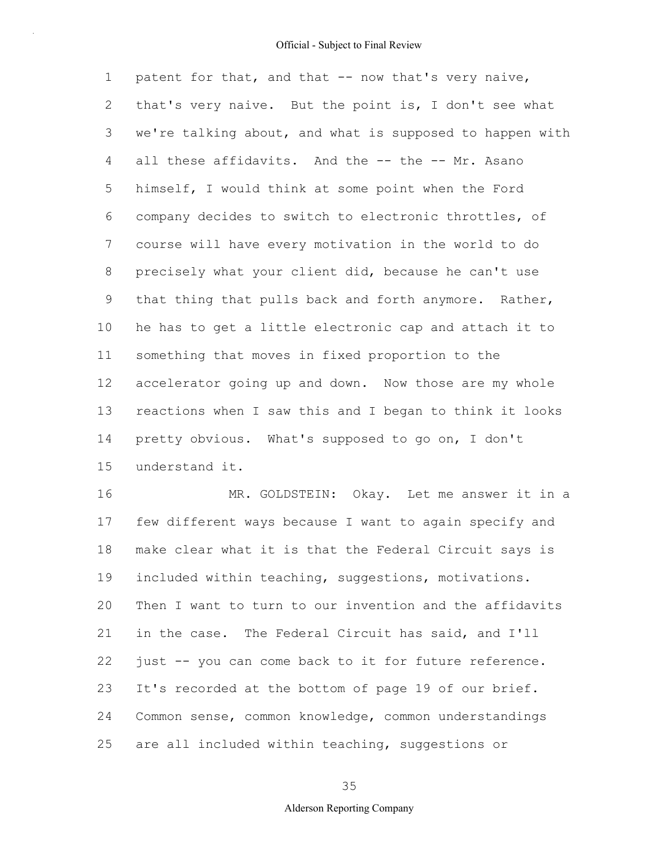1 2 3 4 5 6 7 8 9 10 11 12 13 14 15 patent for that, and that -- now that's very naive, that's very naive. But the point is, I don't see what we're talking about, and what is supposed to happen with all these affidavits. And the -- the -- Mr. Asano himself, I would think at some point when the Ford company decides to switch to electronic throttles, of course will have every motivation in the world to do precisely what your client did, because he can't use that thing that pulls back and forth anymore. Rather, he has to get a little electronic cap and attach it to something that moves in fixed proportion to the accelerator going up and down. Now those are my whole reactions when I saw this and I began to think it looks pretty obvious. What's supposed to go on, I don't understand it.

16 17 18 19 20 21 22 23 24 25 MR. GOLDSTEIN: Okay. Let me answer it in a few different ways because I want to again specify and make clear what it is that the Federal Circuit says is included within teaching, suggestions, motivations. Then I want to turn to our invention and the affidavits in the case. The Federal Circuit has said, and I'll just -- you can come back to it for future reference. It's recorded at the bottom of page 19 of our brief. Common sense, common knowledge, common understandings are all included within teaching, suggestions or

35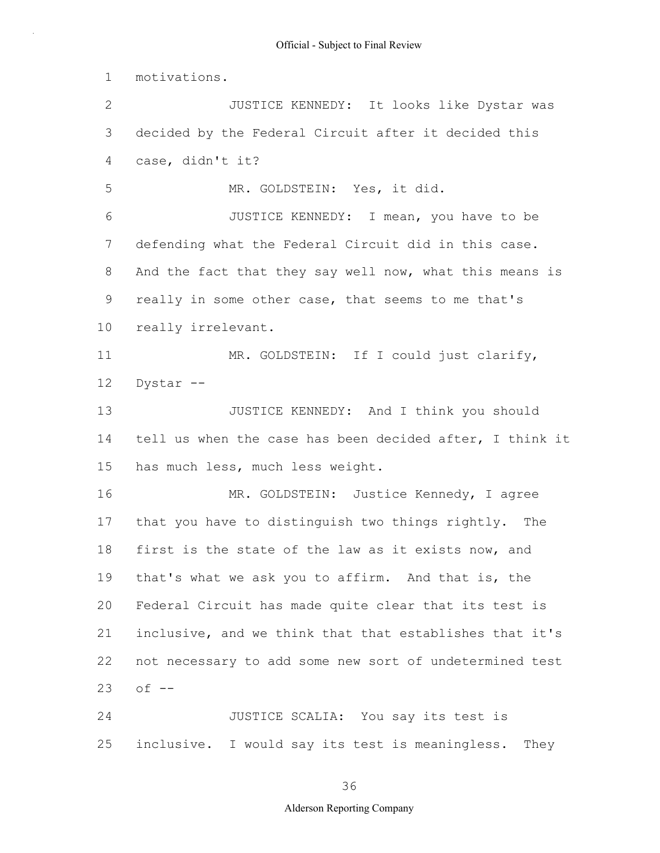1 2 3 4 5 6 7 8 9 10 11 12 13 14 15 16 17 18 19 20 21 22 23 24 25 motivations. JUSTICE KENNEDY: It looks like Dystar was decided by the Federal Circuit after it decided this case, didn't it? MR. GOLDSTEIN: Yes, it did. JUSTICE KENNEDY: I mean, you have to be defending what the Federal Circuit did in this case. And the fact that they say well now, what this means is really in some other case, that seems to me that's really irrelevant. MR. GOLDSTEIN: If I could just clarify, Dystar -- JUSTICE KENNEDY: And I think you should tell us when the case has been decided after, I think it has much less, much less weight. MR. GOLDSTEIN: Justice Kennedy, I agree that you have to distinguish two things rightly. The first is the state of the law as it exists now, and that's what we ask you to affirm. And that is, the Federal Circuit has made quite clear that its test is inclusive, and we think that that establishes that it's not necessary to add some new sort of undetermined test  $of --$ JUSTICE SCALIA: You say its test is inclusive. I would say its test is meaningless. They

### 36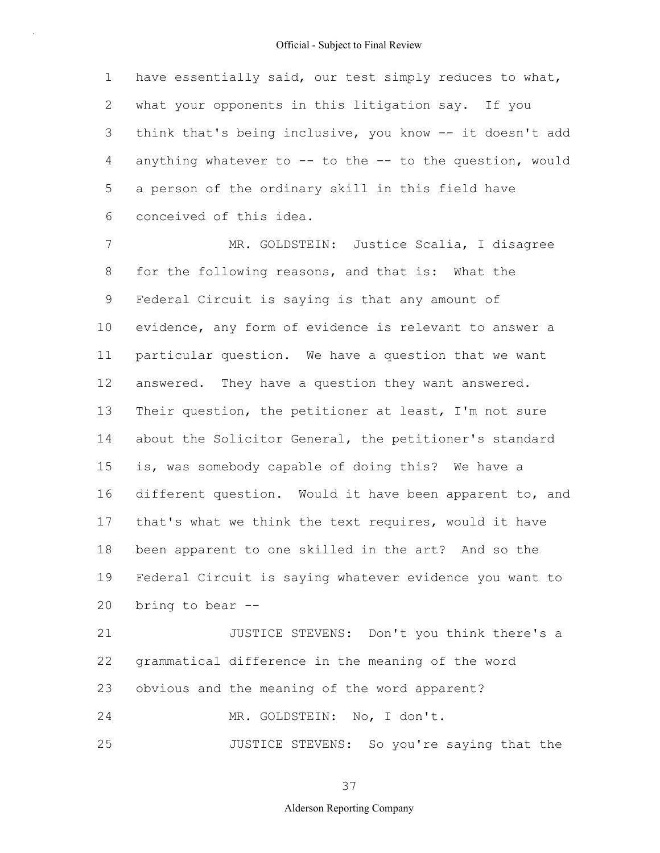1 2 3 4 5 6 have essentially said, our test simply reduces to what, what your opponents in this litigation say. If you think that's being inclusive, you know -- it doesn't add anything whatever to  $--$  to the  $--$  to the question, would a person of the ordinary skill in this field have conceived of this idea.

7 8 9 10 11 12 13 14 15 16 17 18 19 20 MR. GOLDSTEIN: Justice Scalia, I disagree for the following reasons, and that is: What the Federal Circuit is saying is that any amount of evidence, any form of evidence is relevant to answer a particular question. We have a question that we want answered. They have a question they want answered. Their question, the petitioner at least, I'm not sure about the Solicitor General, the petitioner's standard is, was somebody capable of doing this? We have a different question. Would it have been apparent to, and that's what we think the text requires, would it have been apparent to one skilled in the art? And so the Federal Circuit is saying whatever evidence you want to bring to bear --

21 22 23 24 JUSTICE STEVENS: Don't you think there's a grammatical difference in the meaning of the word obvious and the meaning of the word apparent? MR. GOLDSTEIN: No, I don't.

25 JUSTICE STEVENS: So you're saying that the

37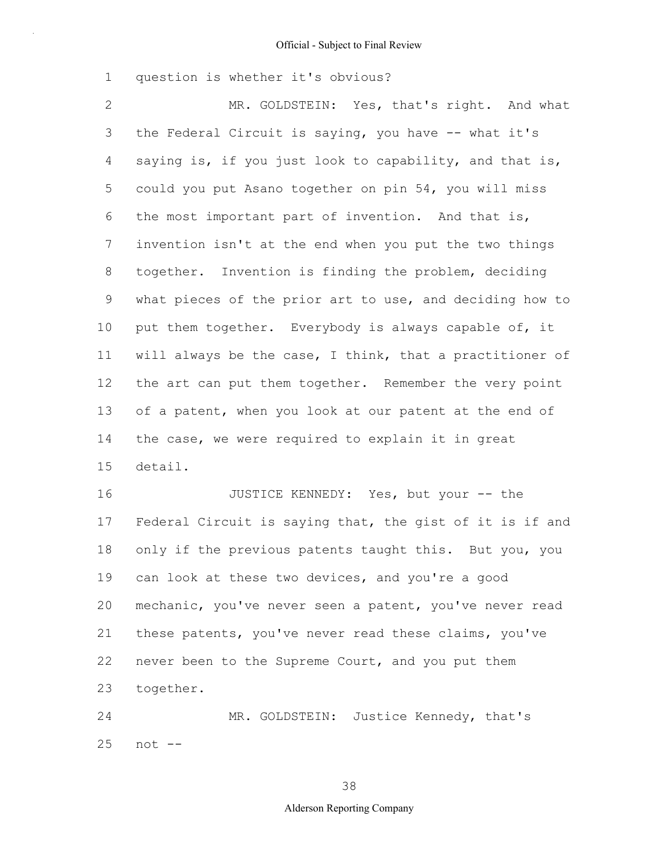1 question is whether it's obvious?

2 3 4 5 6 7 8 9 10 11 12 13 14 15 MR. GOLDSTEIN: Yes, that's right. And what the Federal Circuit is saying, you have -- what it's saying is, if you just look to capability, and that is, could you put Asano together on pin 54, you will miss the most important part of invention. And that is, invention isn't at the end when you put the two things together. Invention is finding the problem, deciding what pieces of the prior art to use, and deciding how to put them together. Everybody is always capable of, it will always be the case, I think, that a practitioner of the art can put them together. Remember the very point of a patent, when you look at our patent at the end of the case, we were required to explain it in great detail.

16 17 18 19 20 21 22 23 JUSTICE KENNEDY: Yes, but your -- the Federal Circuit is saying that, the gist of it is if and only if the previous patents taught this. But you, you can look at these two devices, and you're a good mechanic, you've never seen a patent, you've never read these patents, you've never read these claims, you've never been to the Supreme Court, and you put them together.

24 25 MR. GOLDSTEIN: Justice Kennedy, that's not --

38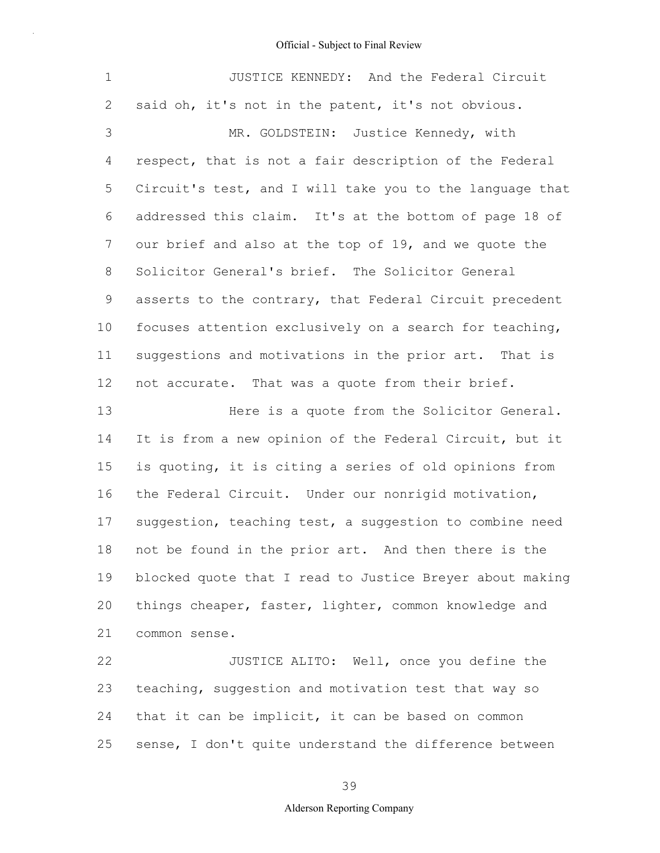| $\mathbf 1$ | JUSTICE KENNEDY: And the Federal Circuit                 |
|-------------|----------------------------------------------------------|
| 2           | said oh, it's not in the patent, it's not obvious.       |
| 3           | MR. GOLDSTEIN: Justice Kennedy, with                     |
| 4           | respect, that is not a fair description of the Federal   |
| 5           | Circuit's test, and I will take you to the language that |
| 6           | addressed this claim. It's at the bottom of page 18 of   |
| 7           | our brief and also at the top of 19, and we quote the    |
| 8           | Solicitor General's brief. The Solicitor General         |
| $\mathsf 9$ | asserts to the contrary, that Federal Circuit precedent  |
| 10          | focuses attention exclusively on a search for teaching,  |
| 11          | suggestions and motivations in the prior art. That is    |
| 12          | not accurate. That was a quote from their brief.         |
| 13          | Here is a quote from the Solicitor General.              |
| 14          | It is from a new opinion of the Federal Circuit, but it  |
| 15          | is quoting, it is citing a series of old opinions from   |
| 16          | the Federal Circuit. Under our nonrigid motivation,      |
| 17          | suggestion, teaching test, a suggestion to combine need  |
| 18          | not be found in the prior art. And then there is the     |
| 19          | blocked quote that I read to Justice Breyer about making |
| 20          | things cheaper, faster, lighter, common knowledge and    |
| 21          | common sense.                                            |
| 22          | JUSTICE ALITO: Well, once you define the                 |

23 24 25 teaching, suggestion and motivation test that way so that it can be implicit, it can be based on common sense, I don't quite understand the difference between

39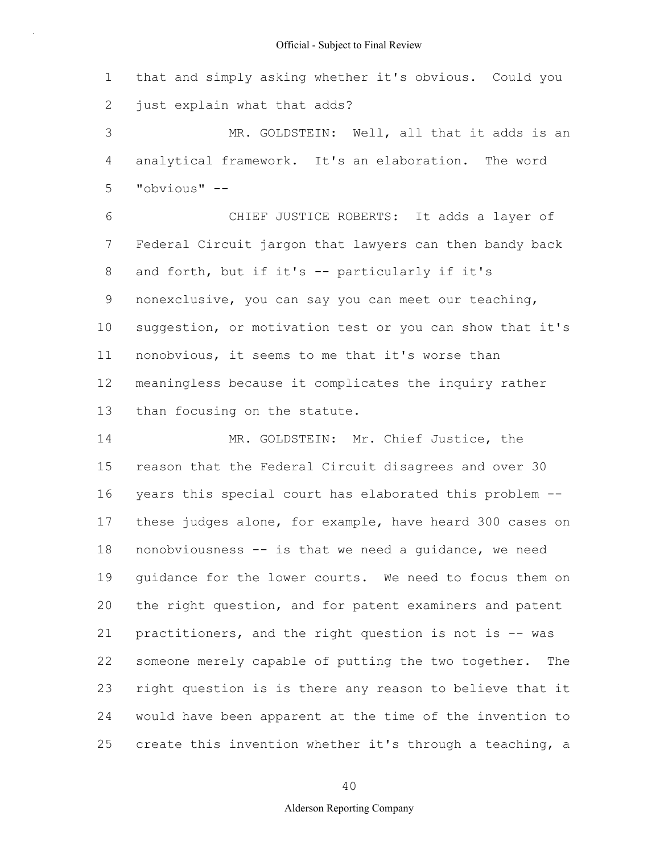1 2 that and simply asking whether it's obvious. Could you just explain what that adds?

3 4 5 MR. GOLDSTEIN: Well, all that it adds is an analytical framework. It's an elaboration. The word "obvious" --

6 7 8 9 10 11 12 13 CHIEF JUSTICE ROBERTS: It adds a layer of Federal Circuit jargon that lawyers can then bandy back and forth, but if it's -- particularly if it's nonexclusive, you can say you can meet our teaching, suggestion, or motivation test or you can show that it's nonobvious, it seems to me that it's worse than meaningless because it complicates the inquiry rather than focusing on the statute.

14 15 16 17 18 19 20 21 22 23 24 25 MR. GOLDSTEIN: Mr. Chief Justice, the reason that the Federal Circuit disagrees and over 30 years this special court has elaborated this problem - these judges alone, for example, have heard 300 cases on nonobviousness -- is that we need a guidance, we need guidance for the lower courts. We need to focus them on the right question, and for patent examiners and patent practitioners, and the right question is not is -- was someone merely capable of putting the two together. The right question is is there any reason to believe that it would have been apparent at the time of the invention to create this invention whether it's through a teaching, a

40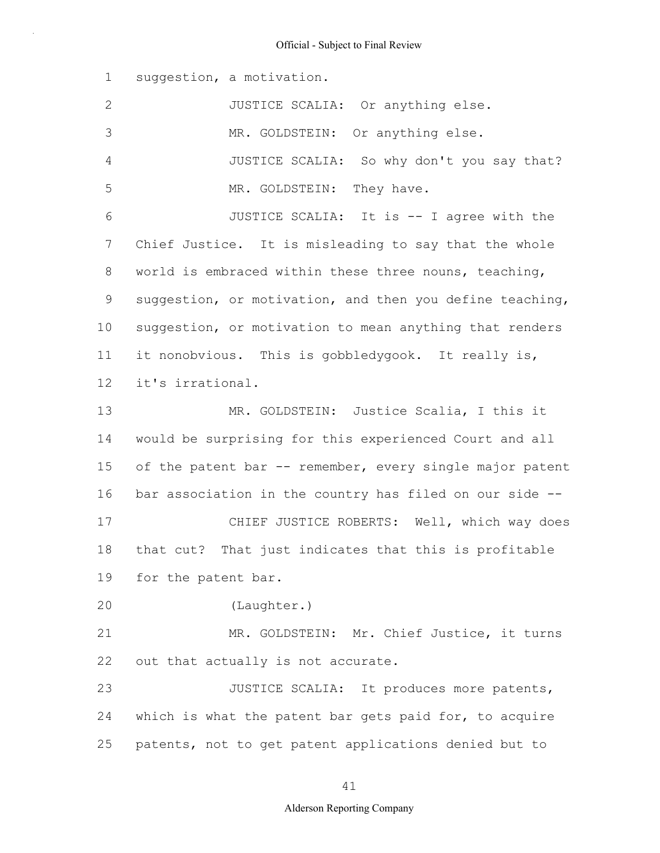1 2 3 4 5 6 7 8 9 10 11 12 13 14 15 16 17 18 19 20 21 22 23 24 25 suggestion, a motivation. JUSTICE SCALIA: Or anything else. MR. GOLDSTEIN: Or anything else. JUSTICE SCALIA: So why don't you say that? MR. GOLDSTEIN: They have. JUSTICE SCALIA: It is -- I agree with the Chief Justice. It is misleading to say that the whole world is embraced within these three nouns, teaching, suggestion, or motivation, and then you define teaching, suggestion, or motivation to mean anything that renders it nonobvious. This is gobbledygook. It really is, it's irrational. MR. GOLDSTEIN: Justice Scalia, I this it would be surprising for this experienced Court and all of the patent bar -- remember, every single major patent bar association in the country has filed on our side -- CHIEF JUSTICE ROBERTS: Well, which way does that cut? That just indicates that this is profitable for the patent bar. (Laughter.) MR. GOLDSTEIN: Mr. Chief Justice, it turns out that actually is not accurate. JUSTICE SCALIA: It produces more patents, which is what the patent bar gets paid for, to acquire patents, not to get patent applications denied but to

#### 41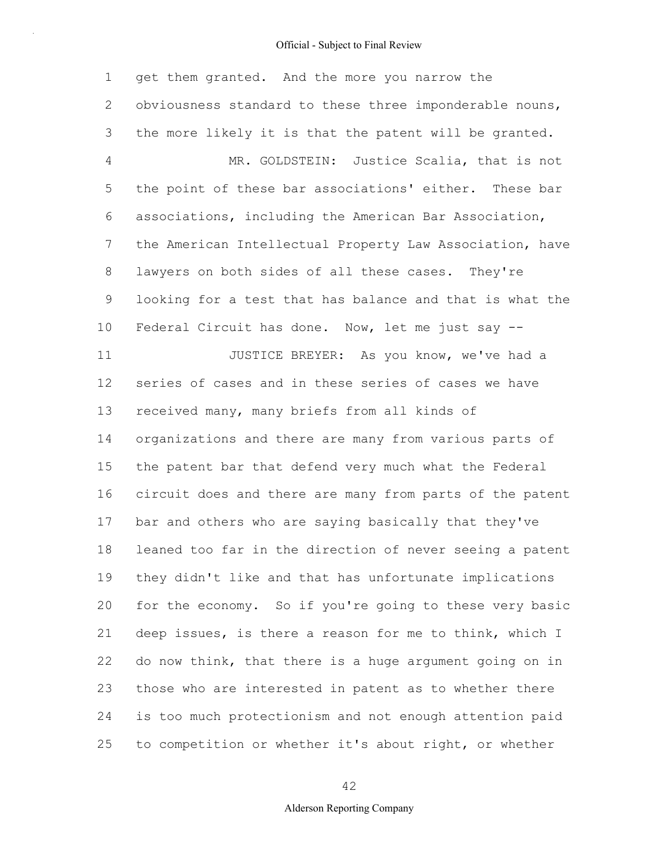1 2 3 4 5 6 7 8 9 10 11 12 13 14 15 16 17 18 19 20 21 22 23 24 25 get them granted. And the more you narrow the obviousness standard to these three imponderable nouns, the more likely it is that the patent will be granted. MR. GOLDSTEIN: Justice Scalia, that is not the point of these bar associations' either. These bar associations, including the American Bar Association, the American Intellectual Property Law Association, have lawyers on both sides of all these cases. They're looking for a test that has balance and that is what the Federal Circuit has done. Now, let me just say -- JUSTICE BREYER: As you know, we've had a series of cases and in these series of cases we have received many, many briefs from all kinds of organizations and there are many from various parts of the patent bar that defend very much what the Federal circuit does and there are many from parts of the patent bar and others who are saying basically that they've leaned too far in the direction of never seeing a patent they didn't like and that has unfortunate implications for the economy. So if you're going to these very basic deep issues, is there a reason for me to think, which I do now think, that there is a huge argument going on in those who are interested in patent as to whether there is too much protectionism and not enough attention paid to competition or whether it's about right, or whether

42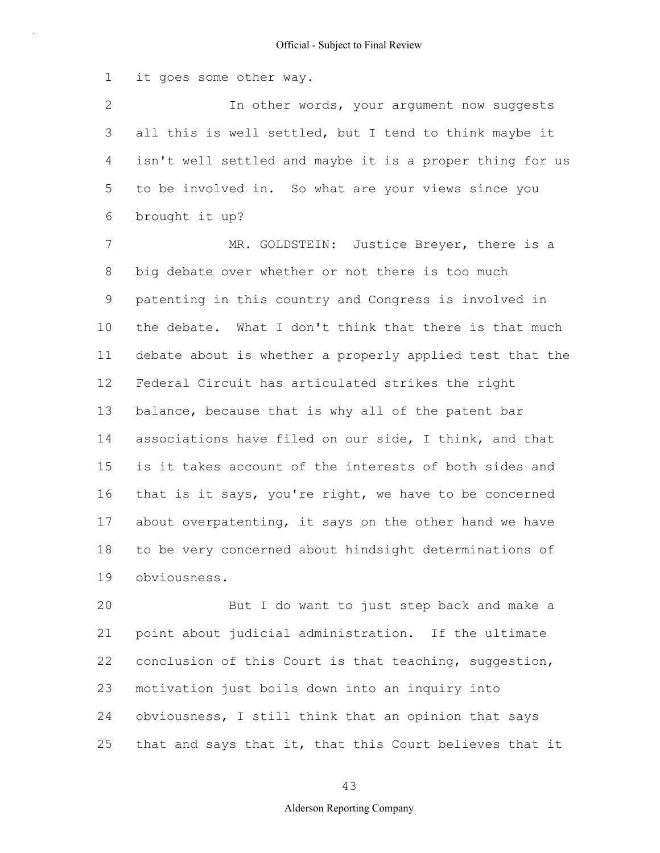1 it goes some other way.

2 3 4 5 6 In other words, your argument now suggests all this is well settled, but I tend to think maybe it isn't well settled and maybe it is a proper thing for us to be involved in. So what are your views since you brought it up?

7 8 9 10 11 12 13 14 15 16 17 18 19 MR. GOLDSTEIN: Justice Breyer, there is a big debate over whether or not there is too much patenting in this country and Congress is involved in the debate. What I don't think that there is that much debate about is whether a properly applied test that the Federal Circuit has articulated strikes the right balance, because that is why all of the patent bar associations have filed on our side, I think, and that is it takes account of the interests of both sides and that is it says, you're right, we have to be concerned about overpatenting, it says on the other hand we have to be very concerned about hindsight determinations of obviousness.

20 21 22 23 24 25 But I do want to just step back and make a point about judicial administration. If the ultimate conclusion of this Court is that teaching, suggestion, motivation just boils down into an inquiry into obviousness, I still think that an opinion that says that and says that it, that this Court believes that it

43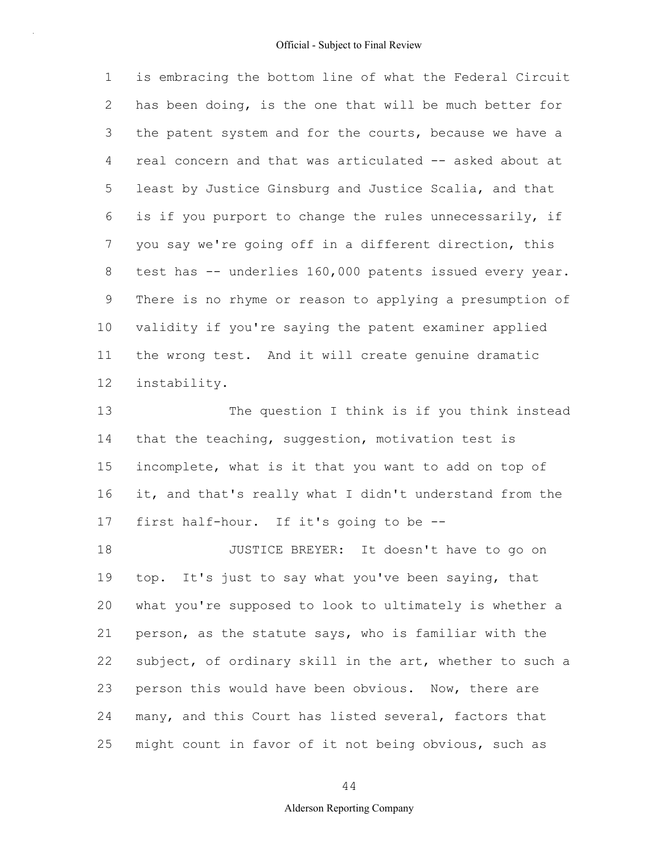1 2 3 4 5 6 7 8 9 10 11 12 is embracing the bottom line of what the Federal Circuit has been doing, is the one that will be much better for the patent system and for the courts, because we have a real concern and that was articulated -- asked about at least by Justice Ginsburg and Justice Scalia, and that is if you purport to change the rules unnecessarily, if you say we're going off in a different direction, this test has -- underlies 160,000 patents issued every year. There is no rhyme or reason to applying a presumption of validity if you're saying the patent examiner applied the wrong test. And it will create genuine dramatic instability.

13 14 15 16 17 The question I think is if you think instead that the teaching, suggestion, motivation test is incomplete, what is it that you want to add on top of it, and that's really what I didn't understand from the first half-hour. If it's going to be --

18 19 20 21 22 23 24 25 JUSTICE BREYER: It doesn't have to go on top. It's just to say what you've been saying, that what you're supposed to look to ultimately is whether a person, as the statute says, who is familiar with the subject, of ordinary skill in the art, whether to such a person this would have been obvious. Now, there are many, and this Court has listed several, factors that might count in favor of it not being obvious, such as

44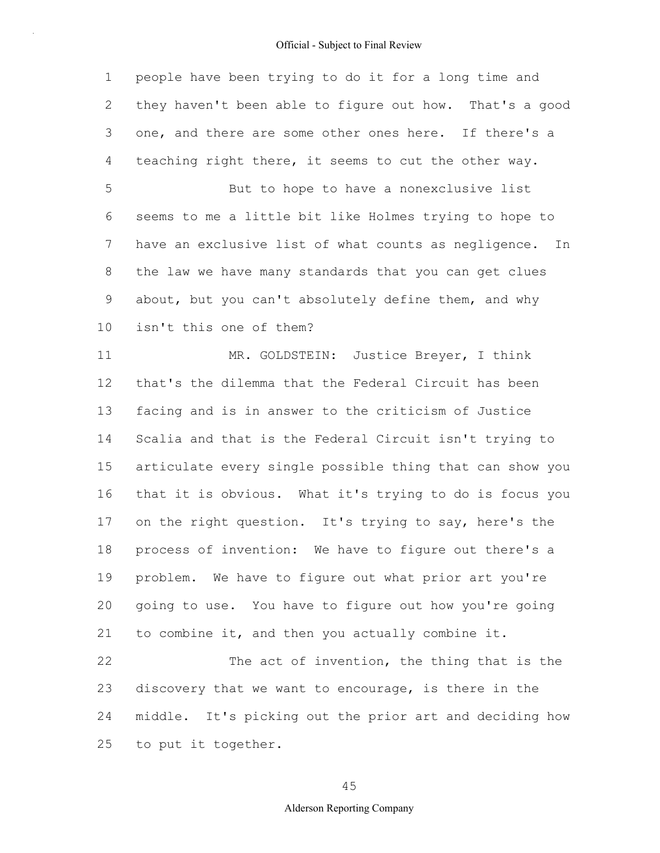1 2 3 4 5 6 7 8 9 10 11 12 13 14 15 16 17 18 19 20 21 22 23 24 25 people have been trying to do it for a long time and they haven't been able to figure out how. That's a good one, and there are some other ones here. If there's a teaching right there, it seems to cut the other way. But to hope to have a nonexclusive list seems to me a little bit like Holmes trying to hope to have an exclusive list of what counts as negligence. In the law we have many standards that you can get clues about, but you can't absolutely define them, and why isn't this one of them? MR. GOLDSTEIN: Justice Breyer, I think that's the dilemma that the Federal Circuit has been facing and is in answer to the criticism of Justice Scalia and that is the Federal Circuit isn't trying to articulate every single possible thing that can show you that it is obvious. What it's trying to do is focus you on the right question. It's trying to say, here's the process of invention: We have to figure out there's a problem. We have to figure out what prior art you're going to use. You have to figure out how you're going to combine it, and then you actually combine it. The act of invention, the thing that is the discovery that we want to encourage, is there in the middle. It's picking out the prior art and deciding how to put it together.

45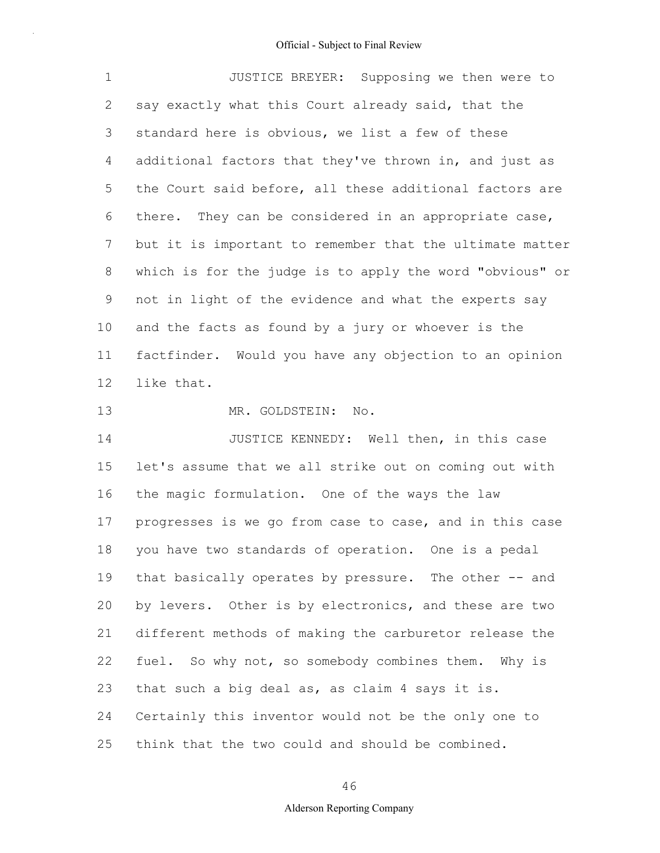1 2 3 4 5 6 7 8 9 10 11 12 13 14 JUSTICE BREYER: Supposing we then were to say exactly what this Court already said, that the standard here is obvious, we list a few of these additional factors that they've thrown in, and just as the Court said before, all these additional factors are there. They can be considered in an appropriate case, but it is important to remember that the ultimate matter which is for the judge is to apply the word "obvious" or not in light of the evidence and what the experts say and the facts as found by a jury or whoever is the factfinder. Would you have any objection to an opinion like that. MR. GOLDSTEIN: No. JUSTICE KENNEDY: Well then, in this case

15 16 17 18 19 20 21 22 23 24 25 let's assume that we all strike out on coming out with the magic formulation. One of the ways the law progresses is we go from case to case, and in this case you have two standards of operation. One is a pedal that basically operates by pressure. The other -- and by levers. Other is by electronics, and these are two different methods of making the carburetor release the fuel. So why not, so somebody combines them. Why is that such a big deal as, as claim 4 says it is. Certainly this inventor would not be the only one to think that the two could and should be combined.

46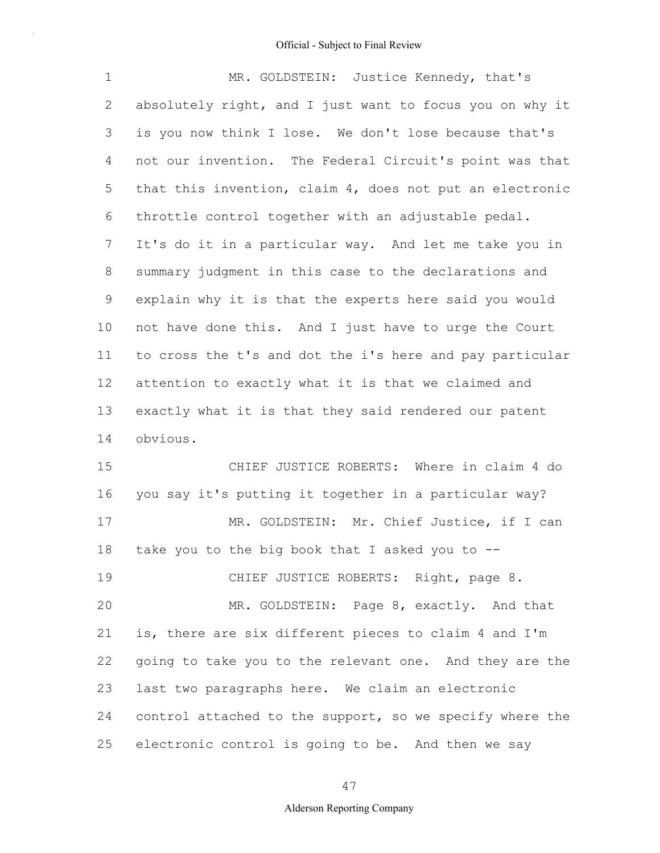| 1  | MR. GOLDSTEIN: Justice Kennedy, that's                   |
|----|----------------------------------------------------------|
| 2  | absolutely right, and I just want to focus you on why it |
| 3  | is you now think I lose. We don't lose because that's    |
| 4  | not our invention. The Federal Circuit's point was that  |
| 5  | that this invention, claim 4, does not put an electronic |
| 6  | throttle control together with an adjustable pedal.      |
| 7  | It's do it in a particular way. And let me take you in   |
| 8  | summary judgment in this case to the declarations and    |
| 9  | explain why it is that the experts here said you would   |
| 10 | not have done this. And I just have to urge the Court    |
| 11 | to cross the t's and dot the i's here and pay particular |
| 12 | attention to exactly what it is that we claimed and      |
| 13 | exactly what it is that they said rendered our patent    |
| 14 | obvious.                                                 |
| 15 | CHIEF JUSTICE ROBERTS: Where in claim 4 do               |
| 16 | you say it's putting it together in a particular way?    |
| 17 | MR. GOLDSTEIN: Mr. Chief Justice, if I can               |
| 18 | take you to the big book that I asked you to $-$ -       |
| 19 | CHIEF JUSTICE ROBERTS: Right, page 8.                    |
| 20 | MR. GOLDSTEIN: Page 8, exactly. And that                 |
| 21 | is, there are six different pieces to claim 4 and I'm    |
| 22 | going to take you to the relevant one. And they are the  |
| 23 | last two paragraphs here. We claim an electronic         |
| 24 | control attached to the support, so we specify where the |
| 25 | electronic control is going to be. And then we say       |

47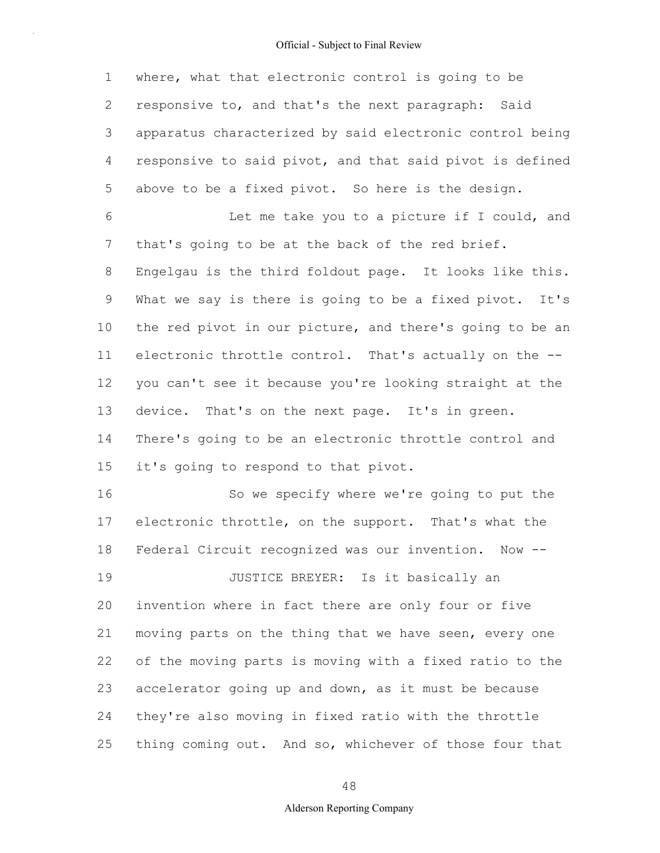1 2 3 4 5 where, what that electronic control is going to be responsive to, and that's the next paragraph: Said apparatus characterized by said electronic control being responsive to said pivot, and that said pivot is defined above to be a fixed pivot. So here is the design.

6 7 8 9 10 11 12 13 14 15 Let me take you to a picture if I could, and that's going to be at the back of the red brief. Engelgau is the third foldout page. It looks like this. What we say is there is going to be a fixed pivot. It's the red pivot in our picture, and there's going to be an electronic throttle control. That's actually on the - you can't see it because you're looking straight at the device. That's on the next page. It's in green. There's going to be an electronic throttle control and it's going to respond to that pivot.

16 17 18 19 20 21 22 23 24 25 So we specify where we're going to put the electronic throttle, on the support. That's what the Federal Circuit recognized was our invention. Now -- JUSTICE BREYER: Is it basically an invention where in fact there are only four or five moving parts on the thing that we have seen, every one of the moving parts is moving with a fixed ratio to the accelerator going up and down, as it must be because they're also moving in fixed ratio with the throttle thing coming out. And so, whichever of those four that

48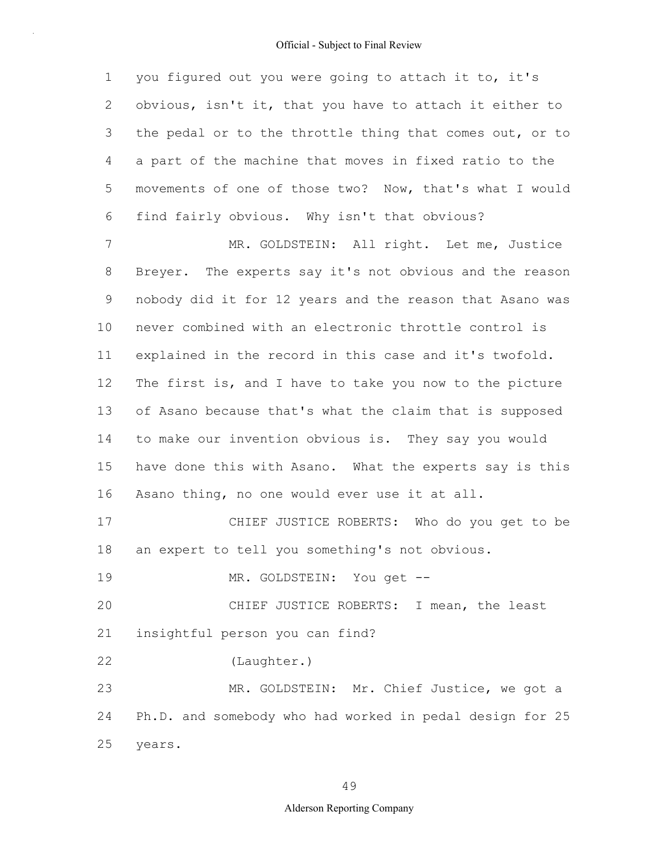1 2 3 4 5 6 7 8 9 10 11 12 13 14 15 16 17 18 19 20 21 22 23 24 25 you figured out you were going to attach it to, it's obvious, isn't it, that you have to attach it either to the pedal or to the throttle thing that comes out, or to a part of the machine that moves in fixed ratio to the movements of one of those two? Now, that's what I would find fairly obvious. Why isn't that obvious? MR. GOLDSTEIN: All right. Let me, Justice Breyer. The experts say it's not obvious and the reason nobody did it for 12 years and the reason that Asano was never combined with an electronic throttle control is explained in the record in this case and it's twofold. The first is, and I have to take you now to the picture of Asano because that's what the claim that is supposed to make our invention obvious is. They say you would have done this with Asano. What the experts say is this Asano thing, no one would ever use it at all. CHIEF JUSTICE ROBERTS: Who do you get to be an expert to tell you something's not obvious. MR. GOLDSTEIN: You get --CHIEF JUSTICE ROBERTS: I mean, the least insightful person you can find? (Laughter.) MR. GOLDSTEIN: Mr. Chief Justice, we got a Ph.D. and somebody who had worked in pedal design for 25 years.

49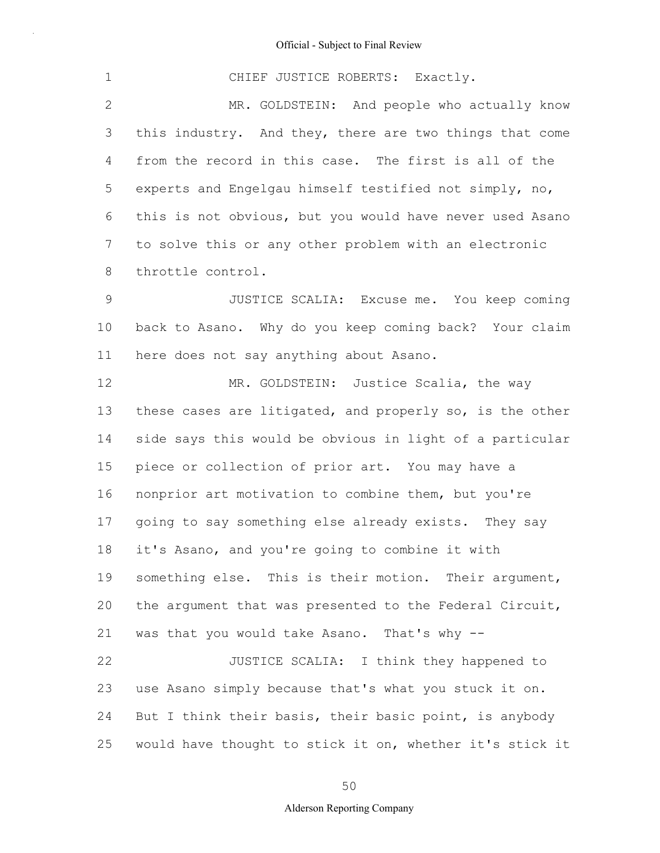| $\mathbf 1$  | CHIEF JUSTICE ROBERTS: Exactly.                          |
|--------------|----------------------------------------------------------|
| $\mathbf{2}$ | MR. GOLDSTEIN: And people who actually know              |
| 3            | this industry. And they, there are two things that come  |
| 4            | from the record in this case. The first is all of the    |
| 5            | experts and Engelgau himself testified not simply, no,   |
| 6            | this is not obvious, but you would have never used Asano |
| 7            | to solve this or any other problem with an electronic    |
| 8            | throttle control.                                        |
| 9            | JUSTICE SCALIA: Excuse me. You keep coming               |
| 10           | back to Asano. Why do you keep coming back? Your claim   |
| 11           | here does not say anything about Asano.                  |
| 12           | MR. GOLDSTEIN: Justice Scalia, the way                   |
| 13           | these cases are litigated, and properly so, is the other |
| 14           | side says this would be obvious in light of a particular |
| 15           | piece or collection of prior art. You may have a         |
| 16           | nonprior art motivation to combine them, but you're      |
| 17           | going to say something else already exists. They say     |
| 18           | it's Asano, and you're going to combine it with          |
| 19           | something else. This is their motion. Their argument,    |
| 20           | the argument that was presented to the Federal Circuit,  |
| 21           | was that you would take Asano. That's why --             |
| 22           | JUSTICE SCALIA: I think they happened to                 |
| 23           | use Asano simply because that's what you stuck it on.    |
| 24           | But I think their basis, their basic point, is anybody   |
| 25           | would have thought to stick it on, whether it's stick it |

50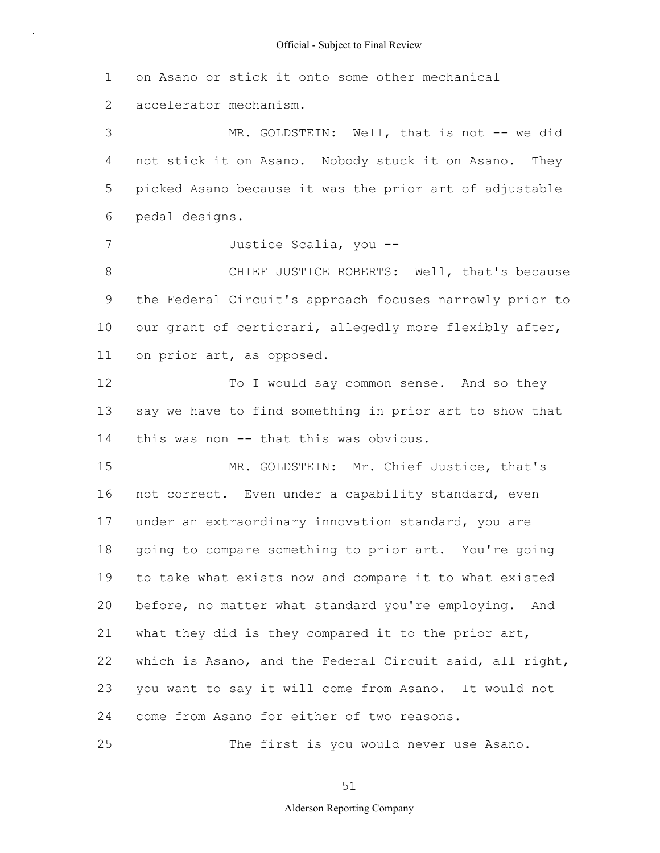1 on Asano or stick it onto some other mechanical

2 accelerator mechanism.

25

3 4 5 6 MR. GOLDSTEIN: Well, that is not -- we did not stick it on Asano. Nobody stuck it on Asano. They picked Asano because it was the prior art of adjustable pedal designs.

7 Justice Scalia, you --

8 9 10 11 CHIEF JUSTICE ROBERTS: Well, that's because the Federal Circuit's approach focuses narrowly prior to our grant of certiorari, allegedly more flexibly after, on prior art, as opposed.

12 13 14 To I would say common sense. And so they say we have to find something in prior art to show that this was non -- that this was obvious.

15 16 17 18 19 20 21 22 23 24 MR. GOLDSTEIN: Mr. Chief Justice, that's not correct. Even under a capability standard, even under an extraordinary innovation standard, you are going to compare something to prior art. You're going to take what exists now and compare it to what existed before, no matter what standard you're employing. And what they did is they compared it to the prior art, which is Asano, and the Federal Circuit said, all right, you want to say it will come from Asano. It would not come from Asano for either of two reasons.

The first is you would never use Asano.

51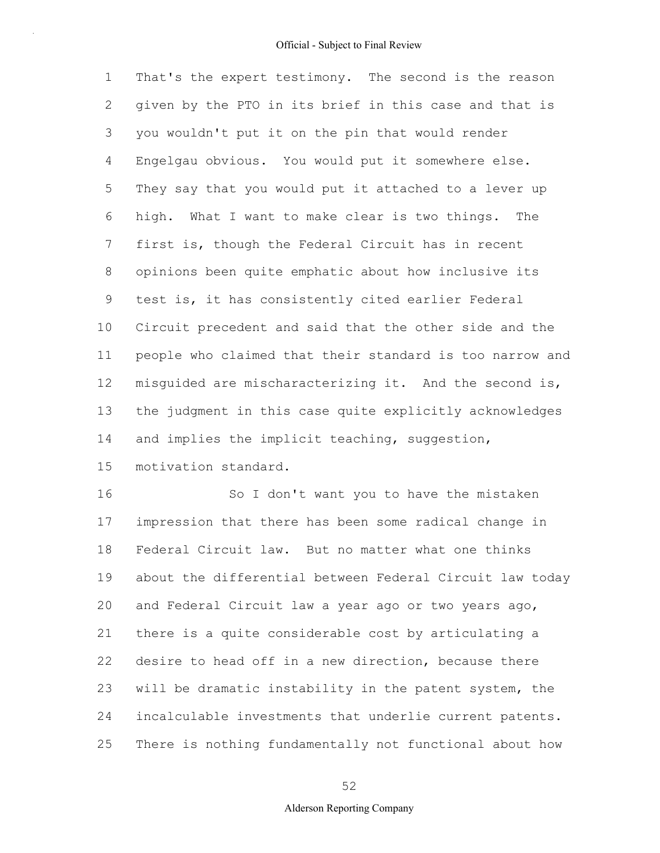1 2 3 4 5 6 7 8 9 10 11 12 13 14 15 That's the expert testimony. The second is the reason given by the PTO in its brief in this case and that is you wouldn't put it on the pin that would render Engelgau obvious. You would put it somewhere else. They say that you would put it attached to a lever up high. What I want to make clear is two things. The first is, though the Federal Circuit has in recent opinions been quite emphatic about how inclusive its test is, it has consistently cited earlier Federal Circuit precedent and said that the other side and the people who claimed that their standard is too narrow and misguided are mischaracterizing it. And the second is, the judgment in this case quite explicitly acknowledges and implies the implicit teaching, suggestion, motivation standard.

16 17 18 19 20 21 22 23 24 25 So I don't want you to have the mistaken impression that there has been some radical change in Federal Circuit law. But no matter what one thinks about the differential between Federal Circuit law today and Federal Circuit law a year ago or two years ago, there is a quite considerable cost by articulating a desire to head off in a new direction, because there will be dramatic instability in the patent system, the incalculable investments that underlie current patents. There is nothing fundamentally not functional about how

### 52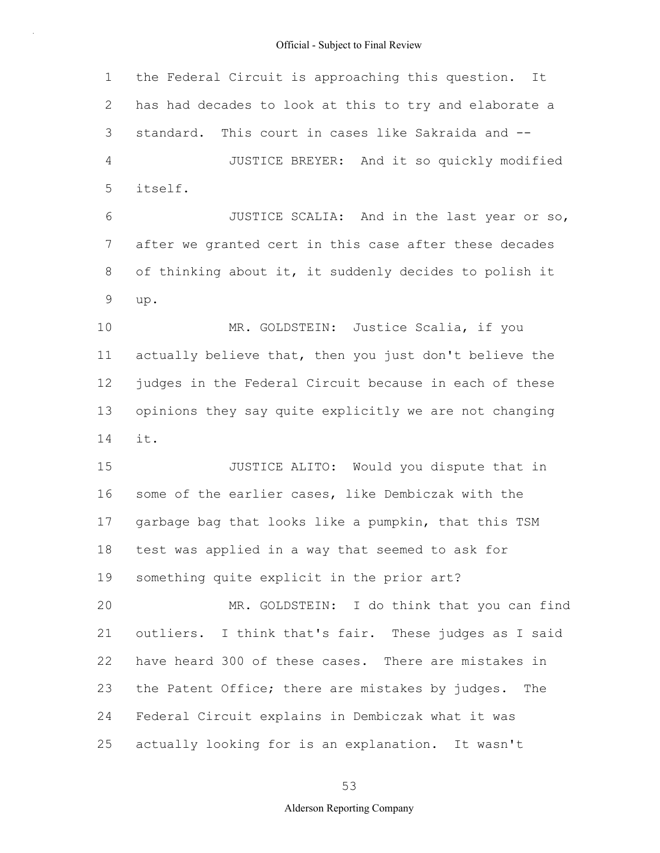1 2 3 4 5 6 7 8 9 10 11 12 13 14 15 16 17 18 19 20 21 22 23 24 25 the Federal Circuit is approaching this question. It has had decades to look at this to try and elaborate a standard. This court in cases like Sakraida and -- JUSTICE BREYER: And it so quickly modified itself. JUSTICE SCALIA: And in the last year or so, after we granted cert in this case after these decades of thinking about it, it suddenly decides to polish it up. MR. GOLDSTEIN: Justice Scalia, if you actually believe that, then you just don't believe the judges in the Federal Circuit because in each of these opinions they say quite explicitly we are not changing it. JUSTICE ALITO: Would you dispute that in some of the earlier cases, like Dembiczak with the garbage bag that looks like a pumpkin, that this TSM test was applied in a way that seemed to ask for something quite explicit in the prior art? MR. GOLDSTEIN: I do think that you can find outliers. I think that's fair. These judges as I said have heard 300 of these cases. There are mistakes in the Patent Office; there are mistakes by judges. The Federal Circuit explains in Dembiczak what it was actually looking for is an explanation. It wasn't

53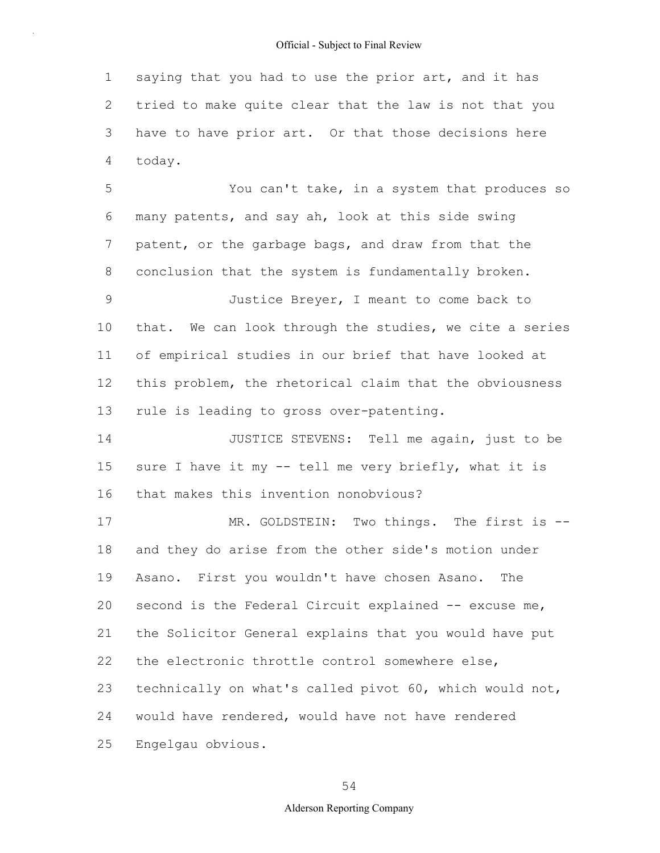1 2 3 4 saying that you had to use the prior art, and it has tried to make quite clear that the law is not that you have to have prior art. Or that those decisions here today.

5 6 7 8 9 10 11 12 13 14 15 16 17 18 19 20 21 22 23 24 25 You can't take, in a system that produces so many patents, and say ah, look at this side swing patent, or the garbage bags, and draw from that the conclusion that the system is fundamentally broken. Justice Breyer, I meant to come back to that. We can look through the studies, we cite a series of empirical studies in our brief that have looked at this problem, the rhetorical claim that the obviousness rule is leading to gross over-patenting. JUSTICE STEVENS: Tell me again, just to be sure I have it my -- tell me very briefly, what it is that makes this invention nonobvious? MR. GOLDSTEIN: Two things. The first is -and they do arise from the other side's motion under Asano. First you wouldn't have chosen Asano. The second is the Federal Circuit explained -- excuse me, the Solicitor General explains that you would have put the electronic throttle control somewhere else, technically on what's called pivot 60, which would not, would have rendered, would have not have rendered Engelgau obvious.

54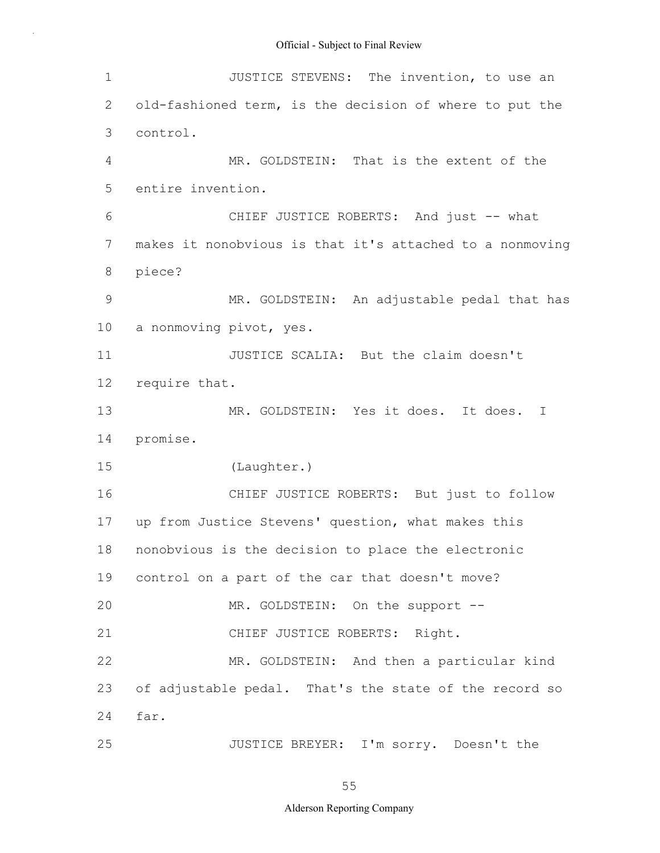| $\mathbf 1$   | JUSTICE STEVENS: The invention, to use an                |
|---------------|----------------------------------------------------------|
| 2             | old-fashioned term, is the decision of where to put the  |
| 3             | control.                                                 |
| 4             | MR. GOLDSTEIN: That is the extent of the                 |
| 5             | entire invention.                                        |
| 6             | CHIEF JUSTICE ROBERTS: And just -- what                  |
| 7             | makes it nonobvious is that it's attached to a nonmoving |
| 8             | piece?                                                   |
| $\mathcal{G}$ | MR. GOLDSTEIN: An adjustable pedal that has              |
| 10            | a nonmoving pivot, yes.                                  |
| 11            | JUSTICE SCALIA: But the claim doesn't                    |
| 12            | require that.                                            |
| 13            | MR. GOLDSTEIN: Yes it does. It does.<br>T                |
| 14            | promise.                                                 |
| 15            | (Laughter.)                                              |
| 16            | CHIEF JUSTICE ROBERTS: But just to follow                |
| 17            | up from Justice Stevens' question, what makes this       |
| 18            | nonobvious is the decision to place the electronic       |
| 19            | control on a part of the car that doesn't move?          |
| 20            | MR. GOLDSTEIN: On the support --                         |
| 21            | CHIEF JUSTICE ROBERTS: Right.                            |
| 22            | MR. GOLDSTEIN: And then a particular kind                |
| 23            | of adjustable pedal. That's the state of the record so   |
| 24            | far.                                                     |
| 25            | JUSTICE BREYER: I'm sorry. Doesn't the                   |

55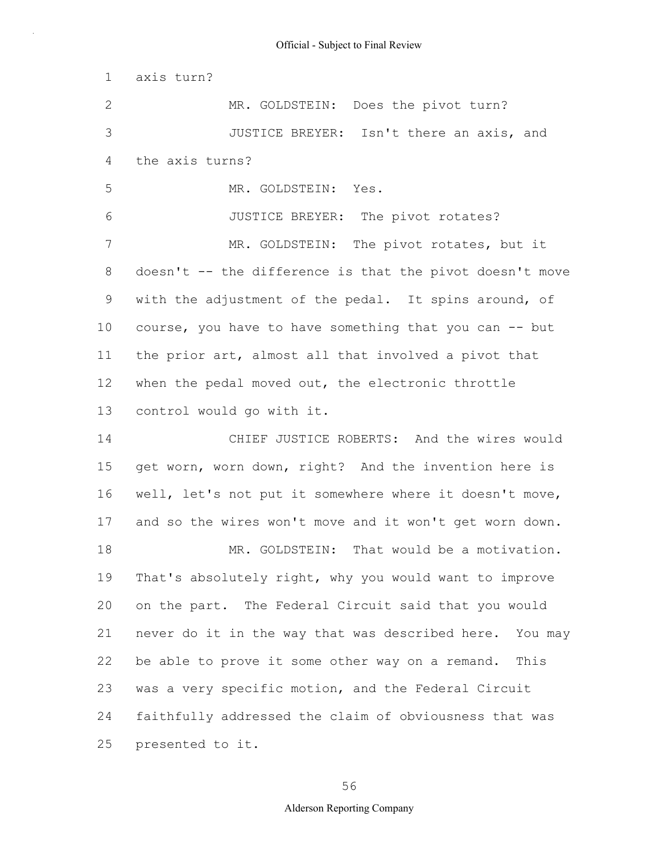1 2 3 4 5 6 7 8 9 10 11 12 13 14 15 16 17 18 19 20 21 22 23 24 25 axis turn? MR. GOLDSTEIN: Does the pivot turn? JUSTICE BREYER: Isn't there an axis, and the axis turns? MR. GOLDSTEIN: Yes. JUSTICE BREYER: The pivot rotates? MR. GOLDSTEIN: The pivot rotates, but it doesn't  $--$  the difference is that the pivot doesn't move with the adjustment of the pedal. It spins around, of course, you have to have something that you can -- but the prior art, almost all that involved a pivot that when the pedal moved out, the electronic throttle control would go with it. CHIEF JUSTICE ROBERTS: And the wires would get worn, worn down, right? And the invention here is well, let's not put it somewhere where it doesn't move, and so the wires won't move and it won't get worn down. MR. GOLDSTEIN: That would be a motivation. That's absolutely right, why you would want to improve on the part. The Federal Circuit said that you would never do it in the way that was described here. You may be able to prove it some other way on a remand. This was a very specific motion, and the Federal Circuit faithfully addressed the claim of obviousness that was presented to it.

56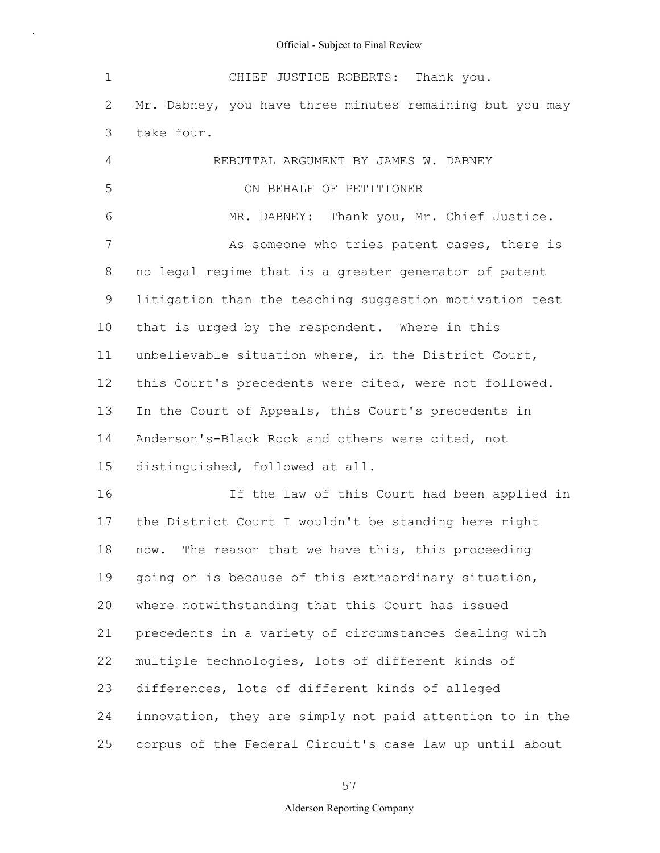| $\mathbf 1$ | CHIEF JUSTICE ROBERTS: Thank you.                        |
|-------------|----------------------------------------------------------|
| 2           | Mr. Dabney, you have three minutes remaining but you may |
| 3           | take four.                                               |
| 4           | REBUTTAL ARGUMENT BY JAMES W. DABNEY                     |
| 5           | ON BEHALF OF PETITIONER                                  |
| 6           | MR. DABNEY: Thank you, Mr. Chief Justice.                |
| 7           | As someone who tries patent cases, there is              |
| 8           | no legal regime that is a greater generator of patent    |
| 9           | litigation than the teaching suggestion motivation test  |
| 10          | that is urged by the respondent. Where in this           |
| 11          | unbelievable situation where, in the District Court,     |
| 12          | this Court's precedents were cited, were not followed.   |
| 13          | In the Court of Appeals, this Court's precedents in      |
| 14          | Anderson's-Black Rock and others were cited, not         |
| 15          | distinguished, followed at all.                          |
| 16          | If the law of this Court had been applied in             |
| 17          | the District Court I wouldn't be standing here right     |
| 18          | now. The reason that we have this, this proceeding       |
| 19          | going on is because of this extraordinary situation,     |
| 20          | where notwithstanding that this Court has issued         |
| 21          | precedents in a variety of circumstances dealing with    |
| 22          | multiple technologies, lots of different kinds of        |
| 23          | differences, lots of different kinds of alleged          |
| 24          | innovation, they are simply not paid attention to in the |
| 25          | corpus of the Federal Circuit's case law up until about  |

57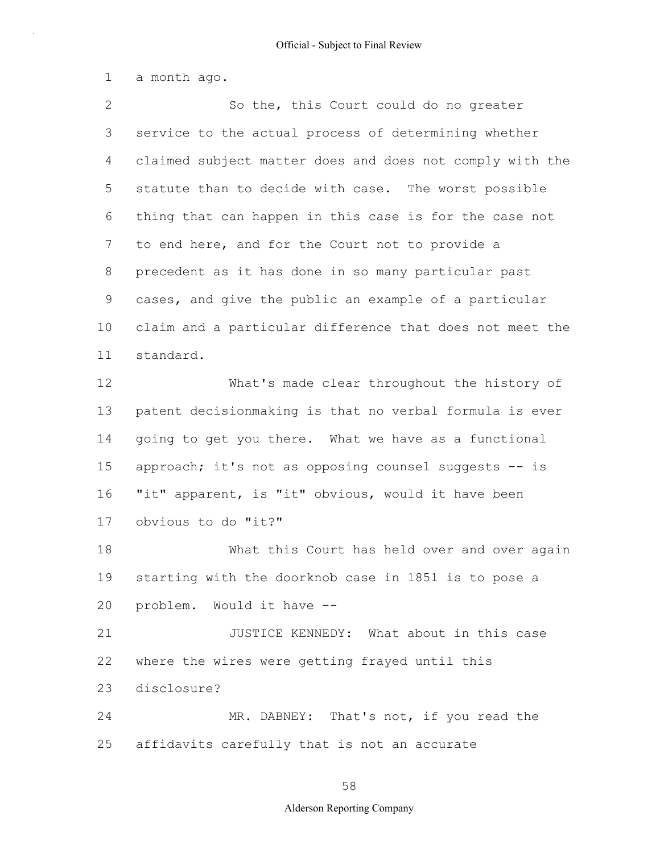1 a month ago.

2 3 4 5 6 7 8 9 10 11 12 13 14 15 16 17 18 19 20 21 22 23 24 25 So the, this Court could do no greater service to the actual process of determining whether claimed subject matter does and does not comply with the statute than to decide with case. The worst possible thing that can happen in this case is for the case not to end here, and for the Court not to provide a precedent as it has done in so many particular past cases, and give the public an example of a particular claim and a particular difference that does not meet the standard. What's made clear throughout the history of patent decisionmaking is that no verbal formula is ever going to get you there. What we have as a functional approach; it's not as opposing counsel suggests -- is "it" apparent, is "it" obvious, would it have been obvious to do "it?" What this Court has held over and over again starting with the doorknob case in 1851 is to pose a problem. Would it have -- JUSTICE KENNEDY: What about in this case where the wires were getting frayed until this disclosure? MR. DABNEY: That's not, if you read the affidavits carefully that is not an accurate

58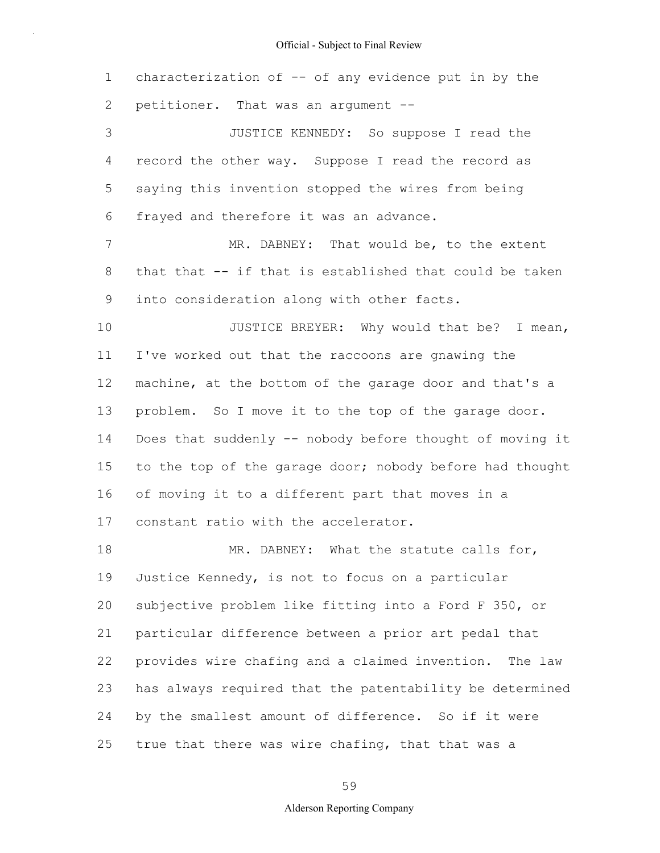1 2 3 4 5 6 7 8 9 10 11 12 13 14 15 16 17 18 19 20 21 22 23 24 25 characterization of -- of any evidence put in by the petitioner. That was an argument -- JUSTICE KENNEDY: So suppose I read the record the other way. Suppose I read the record as saying this invention stopped the wires from being frayed and therefore it was an advance. MR. DABNEY: That would be, to the extent that that -- if that is established that could be taken into consideration along with other facts. JUSTICE BREYER: Why would that be? I mean, I've worked out that the raccoons are gnawing the machine, at the bottom of the garage door and that's a problem. So I move it to the top of the garage door. Does that suddenly -- nobody before thought of moving it to the top of the garage door; nobody before had thought of moving it to a different part that moves in a constant ratio with the accelerator. MR. DABNEY: What the statute calls for, Justice Kennedy, is not to focus on a particular subjective problem like fitting into a Ford F 350, or particular difference between a prior art pedal that provides wire chafing and a claimed invention. The law has always required that the patentability be determined by the smallest amount of difference. So if it were true that there was wire chafing, that that was a

59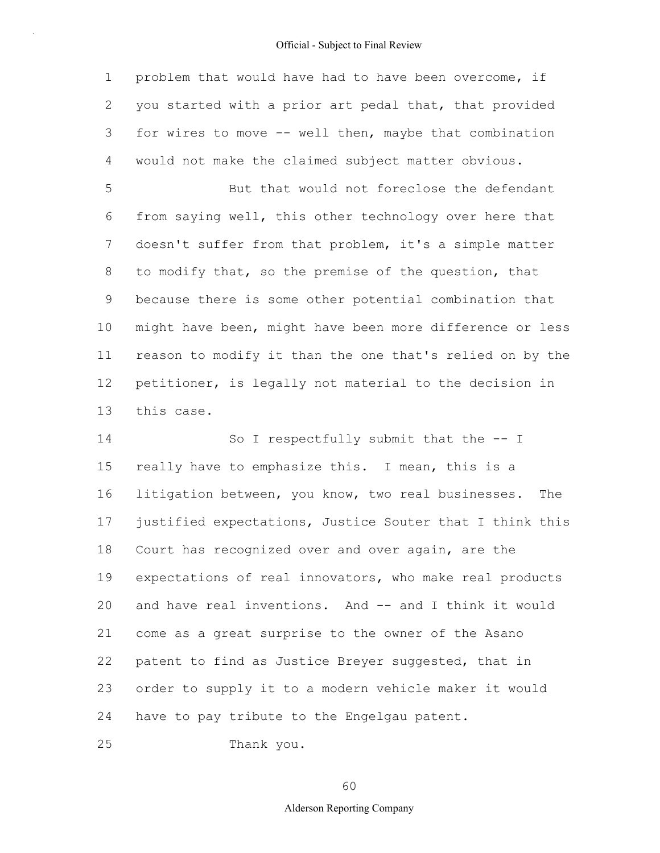1 2 3 4 problem that would have had to have been overcome, if you started with a prior art pedal that, that provided for wires to move -- well then, maybe that combination would not make the claimed subject matter obvious.

5 6 7 8 9 10 11 12 13 But that would not foreclose the defendant from saying well, this other technology over here that doesn't suffer from that problem, it's a simple matter to modify that, so the premise of the question, that because there is some other potential combination that might have been, might have been more difference or less reason to modify it than the one that's relied on by the petitioner, is legally not material to the decision in this case.

14 15 16 17 18 19 20 21 22 23 24 So I respectfully submit that the -- I really have to emphasize this. I mean, this is a litigation between, you know, two real businesses. The justified expectations, Justice Souter that I think this Court has recognized over and over again, are the expectations of real innovators, who make real products and have real inventions. And -- and I think it would come as a great surprise to the owner of the Asano patent to find as Justice Breyer suggested, that in order to supply it to a modern vehicle maker it would have to pay tribute to the Engelgau patent.

25 Thank you.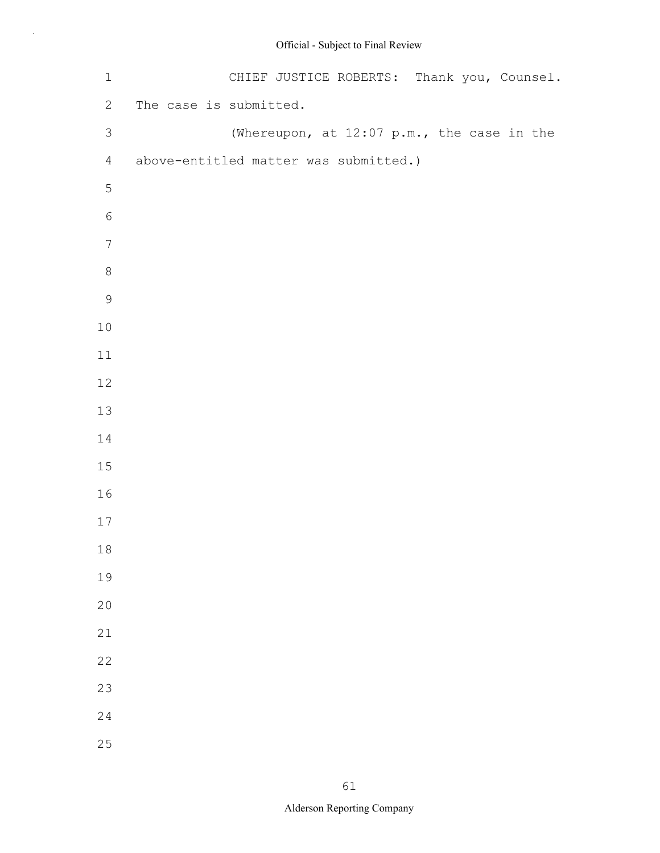| $\mathbbm{1}$  | CHIEF JUSTICE ROBERTS: Thank you, Counsel. |
|----------------|--------------------------------------------|
| $\mathbf{2}$   | The case is submitted.                     |
| $\mathfrak{Z}$ | (Whereupon, at 12:07 p.m., the case in the |
| $\overline{4}$ | above-entitled matter was submitted.)      |
| $\mathsf S$    |                                            |
| $\epsilon$     |                                            |
| $\sqrt{ }$     |                                            |
| $\,8\,$        |                                            |
| $\mathsf 9$    |                                            |
| $10$           |                                            |
| 11             |                                            |
| 12             |                                            |
| 13             |                                            |
| 14             |                                            |
| $15\,$         |                                            |
| 16             |                                            |
| 17             |                                            |
| 18             |                                            |
| 19             |                                            |
| 20             |                                            |
| $21\,$         |                                            |
| 22             |                                            |
| 23             |                                            |
| 24             |                                            |
| 25             |                                            |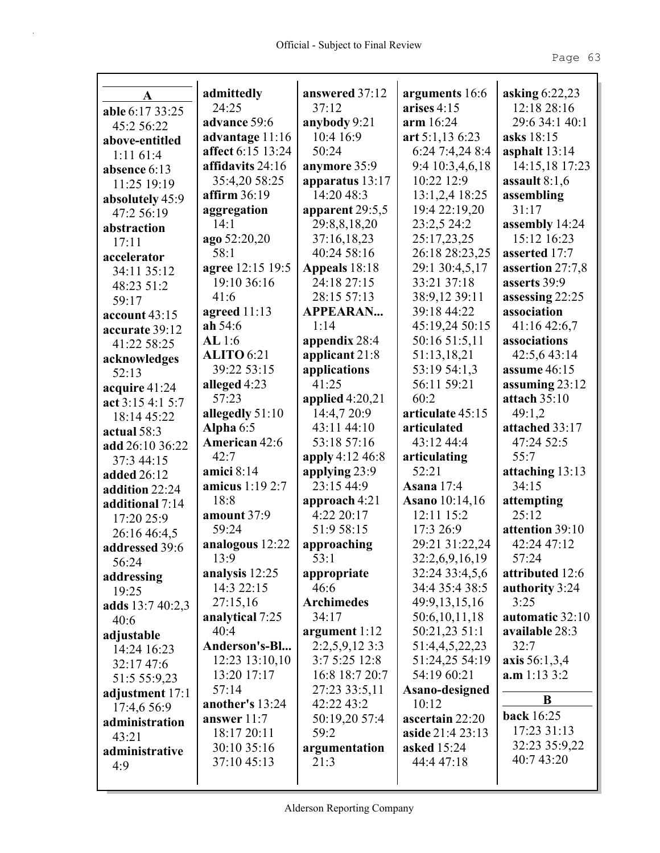| A                 | admittedly                       | answered 37:12                   | arguments 16:6              | asking $6:22,23$<br>12:18 28:16  |
|-------------------|----------------------------------|----------------------------------|-----------------------------|----------------------------------|
| able 6:17 33:25   | 24:25                            | 37:12                            | arises $4:15$               |                                  |
| 45:2 56:22        | advance 59:6                     | anybody 9:21                     | arm 16:24                   | 29:6 34:1 40:1                   |
| above-entitled    | advantage 11:16                  | 10:4 16:9                        | art 5:1,13 6:23             | asks 18:15                       |
| 1:1161:4          | affect 6:15 13:24                | 50:24                            | 6:24 7:4,24 8:4             | asphalt $13:14$                  |
| absence 6:13      | affidavits 24:16                 | anymore 35:9                     | 9:4 10:3,4,6,18             | 14:15,18 17:23                   |
| 11:25 19:19       | 35:4,20 58:25                    | apparatus $13:17$                | 10:22 12:9                  | assault $8:1,6$                  |
| absolutely 45:9   | affirm $36:19$                   | 14:20 48:3                       | 13:1,2,4 18:25              | assembling                       |
| 47:2 56:19        | aggregation                      | apparent 29:5,5                  | 19:4 22:19,20               | 31:17                            |
| abstraction       | 14:1                             | 29:8,8,18,20                     | 23:2,5 24:2                 | assembly 14:24                   |
| 17:11             | ago 52:20,20                     | 37:16,18,23                      | 25:17,23,25                 | 15:12 16:23                      |
| accelerator       | 58:1                             | 40:24 58:16                      | 26:18 28:23,25              | asserted 17:7                    |
| 34:11 35:12       | agree 12:15 19:5                 | Appeals 18:18                    | 29:1 30:4,5,17              | assertion 27:7,8                 |
| 48:23 51:2        | 19:10 36:16                      | 24:18 27:15                      | 33:21 37:18                 | asserts 39:9                     |
| 59:17             | 41:6                             | 28:15 57:13                      | 38:9,12 39:11               | assessing 22:25                  |
| account 43:15     | agreed $11:13$                   | <b>APPEARAN</b>                  | 39:18 44:22                 | association                      |
| accurate 39:12    | ah $54:6$                        | 1:14                             | 45:19,24 50:15              | 41:1642:6,7                      |
| 41:22 58:25       | AL 1:6                           | appendix 28:4                    | 50:16 51:5,11               | associations                     |
| acknowledges      | <b>ALITO</b> 6:21<br>39:22 53:15 | applicant 21:8                   | 51:13,18,21<br>53:19 54:1,3 | 42:5,6 43:14                     |
| 52:13             |                                  | applications<br>41:25            | 56:11 59:21                 | assume $46:15$                   |
| acquire 41:24     | alleged 4:23<br>57:23            |                                  | 60:2                        | assuming $23:12$<br>attach 35:10 |
| act 3:15 4:1 5:7  |                                  | applied $4:20,21$<br>14:4,7 20:9 | articulate 45:15            | 49:1,2                           |
| 18:14 45:22       | allegedly 51:10                  | 43:11 44:10                      | articulated                 | attached 33:17                   |
| actual 58:3       | Alpha $6:5$<br>American 42:6     | 53:18 57:16                      | 43:12 44:4                  | 47:24 52:5                       |
| add 26:10 36:22   | 42:7                             | apply 4:12 46:8                  |                             | 55:7                             |
| 37:3 44:15        | amici $8:14$                     | applying 23:9                    | articulating<br>52:21       |                                  |
| added 26:12       | amicus 1:19 2:7                  | 23:15 44:9                       | Asana $17:4$                | attaching 13:13<br>34:15         |
| addition 22:24    | 18:8                             | approach 4:21                    | <b>Asano</b> 10:14,16       |                                  |
| additional 7:14   | amount 37:9                      | 4:22 20:17                       | 12:11 15:2                  | attempting<br>25:12              |
| 17:20 25:9        | 59:24                            | 51:9 58:15                       | 17:3 26:9                   | attention 39:10                  |
| 26:16 46:4,5      | analogous 12:22                  | approaching                      | 29:21 31:22,24              | 42:24 47:12                      |
| addressed 39:6    | 13:9                             | 53:1                             | 32:2,6,9,16,19              | 57:24                            |
| 56:24             | analysis 12:25                   |                                  | 32:24 33:4,5,6              | attributed 12:6                  |
| addressing        | 14:3 22:15                       | appropriate<br>46:6              | 34:4 35:4 38:5              | authority 3:24                   |
| 19:25             | 27:15,16                         | <b>Archimedes</b>                | 49:9,13,15,16               | 3:25                             |
| adds $13:740:2,3$ | analytical 7:25                  | 34:17                            | 50:6,10,11,18               | automatic 32:10                  |
| 40:6              | 40:4                             | argument $1:12$                  | 50:21,23 51:1               | available 28:3                   |
| adjustable        | Anderson's-Bl                    | $2:2,5,9,12$ 3:3                 | 51:4,4,5,22,23              | 32:7                             |
| 14:24 16:23       | 12:23 13:10,10                   | 3:7 5:25 12:8                    | 51:24,25 54:19              | axis 56:1,3,4                    |
| 32:17 47:6        | 13:20 17:17                      | 16:8 18:7 20:7                   | 54:19 60:21                 | a.m 1:13 3:2                     |
| 51:5 55:9,23      | 57:14                            | 27:23 33:5,11                    | Asano-designed              |                                  |
| adjustment 17:1   | another's 13:24                  | 42:22 43:2                       | 10:12                       | B                                |
| 17:4,6 56:9       | answer $11:7$                    | 50:19,20 57:4                    | ascertain 22:20             | <b>back</b> 16:25                |
| administration    | 18:17 20:11                      | 59:2                             | aside 21:4 23:13            | 17:23 31:13                      |
| 43:21             | 30:10 35:16                      | argumentation                    | <b>asked</b> 15:24          | 32:23 35:9,22                    |
| administrative    | 37:10 45:13                      | 21:3                             | 44:4 47:18                  | 40:7 43:20                       |
| 4:9               |                                  |                                  |                             |                                  |
|                   |                                  |                                  |                             |                                  |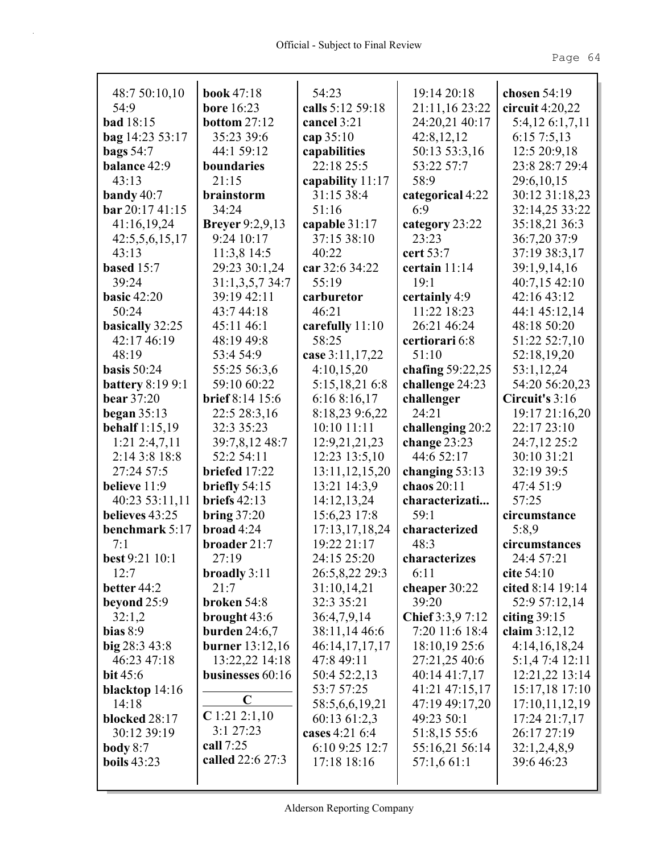| 48:7 50:10,10                    | <b>book</b> 47:18                 | 54:23<br>calls 5:12 59:18      | 19:14 20:18                     | chosen $54:19$                  |
|----------------------------------|-----------------------------------|--------------------------------|---------------------------------|---------------------------------|
| 54:9<br><b>bad</b> 18:15         | <b>bore</b> 16:23                 |                                | 21:11,16 23:22                  | circuit $4:20,22$               |
|                                  | bottom $27:12$                    | cancel 3:21                    | 24:20,21 40:17                  | 5:4,12 6:1,7,11                 |
| bag 14:23 53:17                  | 35:23 39:6<br>44:1 59:12          | cap $35:10$                    | 42:8,12,12                      | 6:157:5,13                      |
| <b>bags</b> 54:7                 |                                   | capabilities                   | 50:13 53:3,16                   | 12:5 20:9,18                    |
| balance 42:9                     | boundaries                        | 22:18 25:5                     | 53:22 57:7                      | 23:8 28:7 29:4                  |
| 43:13                            | 21:15                             | capability 11:17               | 58:9                            | 29:6,10,15                      |
| bandy $40:7$                     | brainstorm                        | 31:15 38:4                     | categorical 4:22                | 30:12 31:18,23                  |
| bar 20:1741:15                   | 34:24                             | 51:16                          | 6:9                             | 32:14,25 33:22                  |
| 41:16,19,24                      | <b>Breyer</b> 9:2,9,13            | capable 31:17                  | category 23:22                  | 35:18,21 36:3                   |
| 42:5,5,6,15,17                   | 9:24 10:17                        | 37:15 38:10                    | 23:23                           | 36:7,20 37:9                    |
| 43:13                            | 11:3,8 14:5                       | 40:22                          | cert 53:7                       | 37:19 38:3,17                   |
| based $15:7$                     | 29:23 30:1,24                     | car 32:6 34:22                 | certain 11:14                   | 39:1,9,14,16                    |
| 39:24                            | 31:1,3,5,734:7                    | 55:19                          | 19:1                            | 40:7,15 42:10                   |
| <b>basic 42:20</b>               | 39:19 42:11                       | carburetor                     | certainly 4:9                   | 42:16 43:12                     |
| 50:24                            | 43:7 44:18                        | 46:21                          | 11:22 18:23                     | 44:1 45:12,14                   |
| basically 32:25                  | 45:11 46:1                        | carefully $11:10$              | 26:21 46:24                     | 48:18 50:20                     |
| 42:17 46:19                      | 48:19 49:8                        | 58:25                          | certiorari 6:8                  | 51:22 52:7,10                   |
| 48:19                            | 53:4 54:9                         | case 3:11,17,22                | 51:10                           | 52:18,19,20                     |
| basis $50:24$                    | 55:25 56:3,6                      | 4:10,15,20                     | chafing 59:22,25                | 53:1,12,24                      |
| <b>battery</b> 8:19 9:1          | 59:10 60:22                       | 5:15,18,21 6:8                 | challenge 24:23                 | 54:20 56:20,23                  |
| <b>bear</b> 37:20                | <b>brief</b> 8:14 15:6            | 6:168:16,17                    | challenger                      | Circuit's 3:16                  |
| began $35:13$                    | 22:5 28:3,16                      | 8:18,23 9:6,22                 | 24:21                           | 19:17 21:16,20                  |
| behalf $1:15,19$                 | 32:3 35:23                        | 10:10 11:11                    | challenging 20:2                | 22:17 23:10                     |
| $1:21$ $2:4,7,11$                | 39:7,8,12 48:7                    | 12:9,21,21,23                  | change 23:23                    | 24:7,12 25:2                    |
| 2:14 3:8 18:8                    | 52:2 54:11                        | 12:23 13:5,10                  | 44:6 52:17                      | 30:10 31:21                     |
| 27:24 57:5<br>believe 11:9       | briefed 17:22                     | 13:11, 12, 15, 20              | changing $53:13$<br>chaos 20:11 | 32:19 39:5<br>47:4 51:9         |
|                                  | briefly $54:15$<br>briefs $42:13$ | 13:21 14:3,9                   |                                 | 57:25                           |
| 40:23 53:11,11<br>believes 43:25 |                                   | 14:12,13,24                    | characterizati<br>59:1          | circumstance                    |
| benchmark 5:17                   | bring $37:20$<br>broad $4:24$     | 15:6,23 17:8                   | characterized                   |                                 |
| 7:1                              | broader 21:7                      | 17:13,17,18,24<br>19:22 21:17  | 48:3                            | 5:8,9<br>circumstances          |
| best 9:21 10:1                   | 27:19                             | 24:15 25:20                    | characterizes                   | 24:4 57:21                      |
| 12:7                             |                                   | 26:5,8,22 29:3                 | 6:11                            | cite 54:10                      |
| better 44:2                      | broadly $3:11$<br>21:7            | 31:10,14,21                    | cheaper 30:22                   | cited 8:14 19:14                |
| beyond $25:9$                    | broken 54:8                       | 32:3 35:21                     | 39:20                           | 52:9 57:12,14                   |
| 32:1,2                           | brought 43:6                      | 36:4,7,9,14                    | Chief 3:3,9 7:12                | citing $39:15$                  |
| bias $8:9$                       | burden $24:6,7$                   | 38:11,14 46:6                  | 7:20 11:6 18:4                  | claim $3:12,12$                 |
| big 28:3 43:8                    | <b>burner</b> 13:12,16            | 46:14,17,17,17                 | 18:10,19 25:6                   | 4:14,16,18,24                   |
| 46:23 47:18                      | 13:22,22 14:18                    | 47:8 49:11                     |                                 | 5:1,47:412:11                   |
| bit $45:6$                       | businesses 60:16                  | 50:4 52:2,13                   | 27:21,25 40:6<br>40:14 41:7,17  | 12:21,22 13:14                  |
|                                  |                                   | 53:7 57:25                     | 41:21 47:15,17                  | 15:17,18 17:10                  |
| blacktop $14:16$<br>14:18        | $\mathbf C$                       |                                |                                 |                                 |
| blocked 28:17                    | $C$ 1:21 2:1,10                   | 58:5,6,6,19,21                 | 47:19 49:17,20<br>49:23 50:1    | 17:10,11,12,19<br>17:24 21:7,17 |
| 30:12 39:19                      | 3:127:23                          | 60:13 61:2,3<br>cases 4:21 6:4 | 51:8,15 55:6                    | 26:17 27:19                     |
| body $8:7$                       | call 7:25                         | 6:10 9:25 12:7                 | 55:16,21 56:14                  | 32:1,2,4,8,9                    |
| <b>boils</b> 43:23               | called 22:6 27:3                  | 17:18 18:16                    | 57:1,661:1                      | 39:6 46:23                      |
|                                  |                                   |                                |                                 |                                 |
|                                  |                                   |                                |                                 |                                 |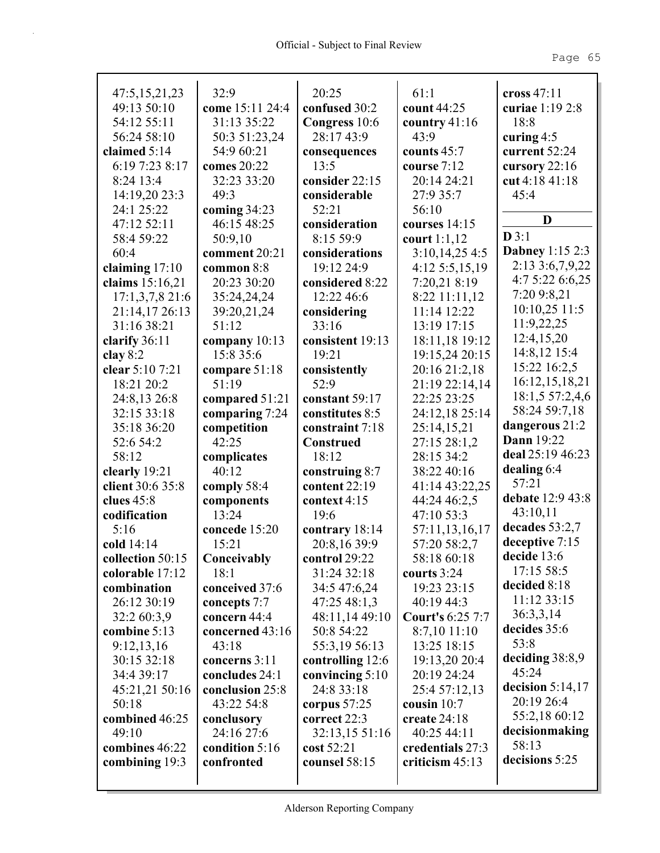| 47:5, 15, 21, 23              | 32:9                          | 20:25                              | 61:1                             | cross $47:11$          |
|-------------------------------|-------------------------------|------------------------------------|----------------------------------|------------------------|
| 49:13 50:10                   | come 15:11 24:4               | confused 30:2                      | count 44:25                      | curiae 1:19 2:8        |
| 54:12 55:11                   | 31:13 35:22                   | Congress 10:6                      | country $41:16$                  | 18:8                   |
| 56:24 58:10                   | 50:3 51:23,24                 | 28:17 43:9                         | 43:9                             | curing $4:5$           |
| claimed 5:14                  | 54:9 60:21                    | consequences                       | counts $45:7$                    | current 52:24          |
| 6:19 7:23 8:17                | comes 20:22                   | 13:5                               | course 7:12                      | cursory 22:16          |
| 8:24 13:4                     | 32:23 33:20                   | consider 22:15                     | 20:14 24:21                      | cut 4:18 41:18         |
| 14:19,20 23:3                 | 49:3                          | considerable                       | 27:9 35:7                        | 45:4                   |
| 24:1 25:22                    | coming $34:23$                | 52:21                              | 56:10                            | D                      |
| 47:12 52:11                   | 46:15 48:25                   | consideration                      | courses 14:15                    | D3:1                   |
| 58:4 59:22                    | 50:9,10                       | 8:15 59:9                          | court $1:1,12$                   | <b>Dabney 1:15 2:3</b> |
| 60:4                          | comment 20:21                 | considerations                     | 3:10,14,254:5                    | 2:13 3:6,7,9,22        |
| claiming $17:10$              | common 8:8                    | 19:12 24:9                         | 4:12 5:5,15,19                   | 4:7 5:22 6:6,25        |
| claims 15:16,21               | 20:23 30:20                   | considered 8:22                    | 7:20,21 8:19                     | 7:20 9:8,21            |
| $17:1,3,7,8$ 21:6             | 35:24,24,24                   | 12:22 46:6                         | $8:22$ 11:11,12                  | 10:10,25 11:5          |
| 21:14,17 26:13                | 39:20,21,24                   | considering                        | 11:14 12:22                      | 11:9,22,25             |
| 31:16 38:21                   | 51:12                         | 33:16                              | 13:19 17:15                      | 12:4,15,20             |
| clarify 36:11                 | company $10:13$<br>15:8 35:6  | consistent 19:13<br>19:21          | 18:11,18 19:12<br>19:15,24 20:15 | 14:8,12 15:4           |
| clay $8:2$<br>clear 5:10 7:21 |                               |                                    |                                  | 15:22 16:2,5           |
| 18:21 20:2                    | compare $51:18$<br>51:19      | consistently<br>52:9               | 20:16 21:2,18<br>21:19 22:14,14  | 16:12,15,18,21         |
|                               |                               |                                    | 22:25 23:25                      | 18:1,5 57:2,4,6        |
| 24:8,13 26:8<br>32:15 33:18   | compared 51:21                | constant 59:17                     | 24:12,18 25:14                   | 58:24 59:7,18          |
| 35:18 36:20                   | comparing 7:24<br>competition | constitutes 8:5<br>constraint 7:18 | 25:14,15,21                      | dangerous 21:2         |
| 52:6 54:2                     | 42:25                         | <b>Construed</b>                   | 27:15 28:1,2                     | <b>Dann</b> 19:22      |
| 58:12                         | complicates                   | 18:12                              | 28:15 34:2                       | deal 25:19 46:23       |
| clearly 19:21                 | 40:12                         | construing $8:7$                   | 38:22 40:16                      | dealing $6:4$          |
| client 30:6 35:8              | comply 58:4                   | content 22:19                      | 41:14 43:22,25                   | 57:21                  |
| clues $45:8$                  | components                    | context 4:15                       | 44:24 46:2,5                     | debate 12:9 43:8       |
| codification                  | 13:24                         | 19:6                               | 47:10 53:3                       | 43:10,11               |
| 5:16                          | concede 15:20                 | contrary 18:14                     | 57:11,13,16,17                   | decades $53:2,7$       |
| cold 14:14                    | 15:21                         | 20:8,16 39:9                       | 57:20 58:2,7                     | deceptive 7:15         |
| collection 50:15              | Conceivably                   | control 29:22                      | 58:18 60:18                      | decide $13:6$          |
| colorable 17:12               | 18:1                          | 31:24 32:18                        | courts $3:24$                    | 17:15 58:5             |
| combination                   | conceived 37:6                | 34:5 47:6,24                       | 19:23 23:15                      | decided 8:18           |
| 26:12 30:19                   | concepts 7:7                  | 47:25 48:1,3                       | 40:19 44:3                       | 11:12 33:15            |
| 32:2 60:3,9                   | concern 44:4                  | 48:11,14 49:10                     | <b>Court's 6:25 7:7</b>          | 36:3,3,14              |
| combine 5:13                  | concerned 43:16               | 50:8 54:22                         | $8:7,10$ 11:10                   | decides 35:6           |
| 9:12,13,16                    | 43:18                         | 55:3,19 56:13                      | 13:25 18:15                      | 53:8                   |
| 30:15 32:18                   | concerns 3:11                 | controlling 12:6                   | 19:13,20 20:4                    | deciding 38:8,9        |
| 34:4 39:17                    | concludes 24:1                | convincing $5:10$                  | 20:19 24:24                      | 45:24                  |
| 45:21,21 50:16                | conclusion 25:8               | 24:8 33:18                         | 25:4 57:12,13                    | decision $5:14,17$     |
| 50:18                         | 43:22 54:8                    | corpus $57:25$                     | cousin $10:7$                    | 20:19 26:4             |
| combined 46:25                | conclusory                    | correct 22:3                       | create 24:18                     | 55:2,18 60:12          |
| 49:10                         | 24:16 27:6                    | 32:13,15 51:16                     | 40:25 44:11                      | decisionmaking         |
| combines 46:22                | condition 5:16                | $\cos t 52:21$                     | credentials 27:3                 | 58:13                  |
| combining 19:3                | confronted                    | counsel 58:15                      | criticism $45:13$                | decisions 5:25         |
|                               |                               |                                    |                                  |                        |
|                               |                               |                                    |                                  |                        |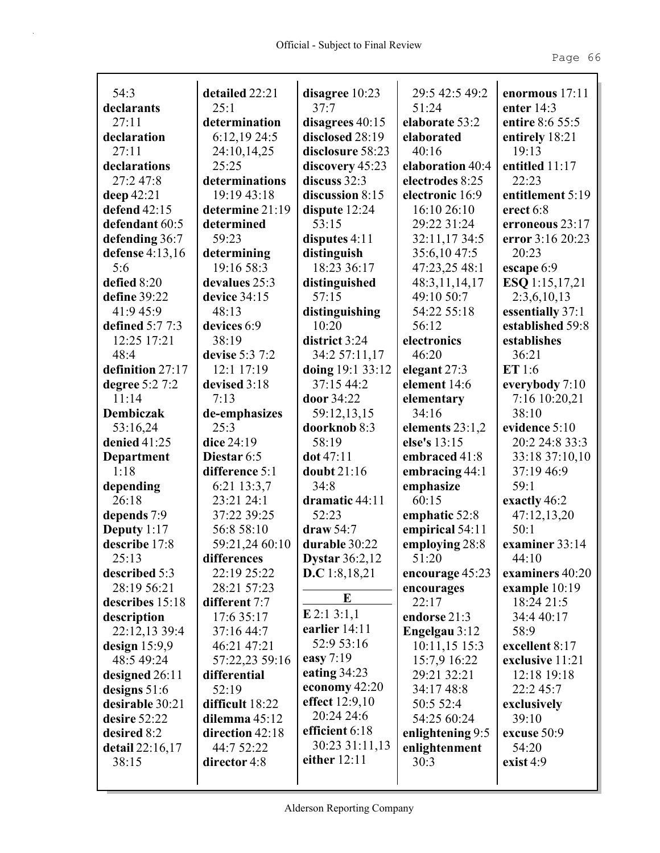| 54:3                   | detailed 22:21  | disagree 10:23        | 29:5 42:5 49:2   | enormous 17:11   |
|------------------------|-----------------|-----------------------|------------------|------------------|
| declarants             | 25:1            | $37 - 7$              | 51:24            | enter $14:3$     |
| 27:11                  | determination   | disagrees 40:15       | elaborate 53:2   | entire 8:6 55:5  |
| declaration            | 6:12,1924:5     | disclosed 28:19       | elaborated       | entirely 18:21   |
| 27:11                  | 24:10,14,25     | disclosure 58:23      | 40:16            | 19:13            |
| declarations           | 25:25           | discovery 45:23       | elaboration 40:4 | entitled 11:17   |
| 27:2 47:8              | determinations  | discuss 32:3          | electrodes 8:25  | 22:23            |
| deep 42:21             | 19:19 43:18     | discussion 8:15       | electronic 16:9  | entitlement 5:19 |
| defend 42:15           | determine 21:19 | dispute 12:24         | 16:10 26:10      | erect 6:8        |
| defendant 60:5         | determined      | 53:15                 | 29:22 31:24      | erroneous 23:17  |
| defending 36:7         | 59:23           | disputes $4:11$       | 32:11,1734:5     | error 3:16 20:23 |
| defense $4:13,16$      | determining     | distinguish           | 35:6,1047:5      | 20:23            |
| 5:6                    | 19:16 58:3      | 18:23 36:17           | 47:23,25 48:1    | escape 6:9       |
| defied 8:20            | devalues 25:3   | distinguished         | 48:3,11,14,17    | ESQ 1:15,17,21   |
| define 39:22           | device 34:15    | 57:15                 | 49:10 50:7       | 2:3,6,10,13      |
| 41:9 45:9              | 48:13           | distinguishing        | 54:22 55:18      | essentially 37:1 |
| defined $5:77:3$       | devices 6:9     | 10:20                 | 56:12            | established 59:8 |
| 12:25 17:21            | 38:19           | district 3:24         | electronics      | establishes      |
| 48:4                   | devise 5:3 7:2  | 34:2 57:11,17         | 46:20            | 36:21            |
| definition 27:17       | 12:1 17:19      | doing 19:1 33:12      | elegant 27:3     | ET 1:6           |
| degree 5:2 7:2         | devised 3:18    | 37:15 44:2            | element 14:6     | everybody 7:10   |
| 11:14                  | 7:13            | door 34:22            | elementary       | 7:16 10:20,21    |
| <b>Dembiczak</b>       | de-emphasizes   | 59:12,13,15           | 34:16            | 38:10            |
| 53:16,24               | 25:3            | doorknob 8:3          | elements 23:1,2  | evidence 5:10    |
| denied 41:25           | dice 24:19      | 58:19                 | else's 13:15     | 20:2 24:8 33:3   |
| <b>Department</b>      | Diestar 6:5     | dot 47:11             | embraced 41:8    | 33:18 37:10,10   |
| 1:18                   | difference 5:1  | doubt 21:16           | embracing 44:1   | 37:19 46:9       |
| depending              | 6:21 13:3,7     | 34:8                  | emphasize        | 59:1             |
| 26:18                  | 23:21 24:1      | dramatic 44:11        | 60:15            | exactly 46:2     |
| depends 7:9            | 37:22 39:25     | 52:23                 | emphatic 52:8    | 47:12,13,20      |
| Deputy $1:17$          | 56:8 58:10      | draw 54:7             | empirical 54:11  | 50:1             |
| describe 17:8          | 59:21,24 60:10  | durable 30:22         | employing 28:8   | examiner 33:14   |
| 25:13                  | differences     | <b>Dystar</b> 36:2,12 | 51:20            | 44:10            |
| described 5:3          | 22:19 25:22     | <b>D.C</b> 1:8,18,21  | encourage 45:23  | examiners 40:20  |
| 28:19 56:21            | 28:21 57:23     |                       | encourages       | example 10:19    |
| describes 15:18        | different 7:7   | E                     | 22:17            | 18:24 21:5       |
| description            | 17:6 35:17      | $E$ 2:1 3:1,1         | endorse 21:3     | 34:4 40:17       |
| 22:12,13 39:4          | 37:16 44:7      | earlier 14:11         | Engelgau 3:12    | 58:9             |
| design $15:9.9$        | 46:21 47:21     | 52:9 53:16            | 10:11,15 15:3    | excellent 8:17   |
| 48:5 49:24             | 57:22,23 59:16  | easy 7:19             | 15:7,9 16:22     | exclusive 11:21  |
| designed 26:11         | differential    | eating $34:23$        | 29:21 32:21      | 12:18 19:18      |
| designs $51:6$         | 52:19           | economy 42:20         | 34:17 48:8       | 22:2 45:7        |
| desirable 30:21        | difficult 18:22 | effect 12:9,10        | 50:5 52:4        | exclusively      |
| desire 52:22           | dilemma 45:12   | 20:24 24:6            | 54:25 60:24      | 39:10            |
| desired 8:2            | direction 42:18 | efficient 6:18        | enlightening 9:5 | excuse 50:9      |
| <b>detail</b> 22:16,17 | 44:7 52:22      | 30:23 31:11,13        | enlightenment    | 54:20            |
| 38:15                  | director 4:8    | either 12:11          | 30:3             | exist $4:9$      |
|                        |                 |                       |                  |                  |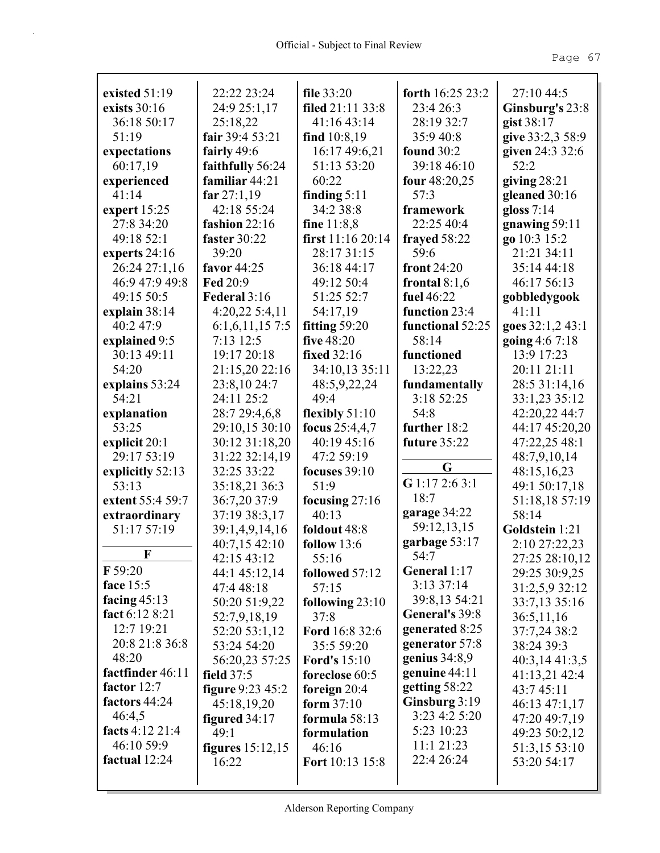| existed 51:19    | 22:22 23:24        | file 33:20          | forth 16:25 23:2 | 27:10 44:5       |
|------------------|--------------------|---------------------|------------------|------------------|
| exists 30:16     | 24:9 25:1,17       | filed 21:11 33:8    | 23:4 26:3        | Ginsburg's 23:8  |
| 36:18 50:17      | 25:18,22           | 41:16 43:14         | 28:19 32:7       | gist 38:17       |
| 51:19            | fair 39:4 53:21    | find 10:8,19        | 35:9 40:8        | give 33:2,3 58:9 |
| expectations     | fairly 49:6        | 16:17 49:6,21       | found $30:2$     | given 24:3 32:6  |
| 60:17,19         | faithfully 56:24   | 51:13 53:20         | 39:18 46:10      | 52:2             |
| experienced      | familiar 44:21     | 60:22               | four 48:20,25    | giving $28:21$   |
| 41:14            | far $27:1,19$      | finding $5:11$      | 57:3             | gleaned 30:16    |
| expert $15:25$   | 42:18 55:24        | 34:2 38:8           | framework        | gloss $7:14$     |
| 27:8 34:20       | fashion 22:16      | fine $11:8,8$       | 22:25 40:4       | gnawing 59:11    |
| 49:18 52:1       | faster 30:22       | first 11:16 20:14   | frayed 58:22     | go 10:3 15:2     |
| experts 24:16    | 39:20              | 28:17 31:15         | 59:6             | 21:21 34:11      |
| 26:24 27:1,16    | favor 44:25        | 36:18 44:17         | front $24:20$    | 35:14 44:18      |
| 46:9 47:9 49:8   | Fed 20:9           | 49:12 50:4          | frontal $8:1,6$  | 46:17 56:13      |
| 49:15 50:5       | Federal 3:16       | 51:25 52:7          | fuel 46:22       | gobbledygook     |
| explain $38:14$  | 4:20,22 5:4,11     | 54:17,19            | function 23:4    | 41:11            |
| 40:2 47:9        | 6:1,6,11,157:5     | fitting 59:20       | functional 52:25 | goes 32:1,2 43:1 |
| explained 9:5    | 7:13 12:5          | five 48:20          | 58:14            | going 4:6 7:18   |
| 30:13 49:11      | 19:17 20:18        | fixed 32:16         | functioned       | 13:9 17:23       |
| 54:20            | 21:15,20 22:16     | 34:10,13 35:11      | 13:22,23         | 20:11 21:11      |
| explains 53:24   | 23:8,10 24:7       | 48:5,9,22,24        | fundamentally    | 28:5 31:14,16    |
| 54:21            | 24:11 25:2         | 49:4                | 3:18 52:25       | 33:1,23 35:12    |
| explanation      | 28:7 29:4,6,8      | flexibly $51:10$    | 54:8             | 42:20,22 44:7    |
| 53:25            | 29:10,15 30:10     | focus 25:4,4,7      | further 18:2     | 44:17 45:20,20   |
| explicit $20:1$  | 30:12 31:18,20     | 40:19 45:16         | future 35:22     | 47:22,25 48:1    |
| 29:17 53:19      | 31:22 32:14,19     | 47:2 59:19          |                  | 48:7,9,10,14     |
| explicitly 52:13 | 32:25 33:22        | focuses $39:10$     | G                | 48:15,16,23      |
| 53:13            | 35:18,21 36:3      | 51:9                | G 1:17 2:6 3:1   | 49:1 50:17,18    |
| extent 55:4 59:7 | 36:7,20 37:9       | focusing $27:16$    | 18:7             | 51:18,18 57:19   |
| extraordinary    | 37:19 38:3,17      | 40:13               | garage 34:22     | 58:14            |
| 51:17 57:19      | 39:1,4,9,14,16     | foldout 48:8        | 59:12,13,15      | Goldstein 1:21   |
|                  | 40:7,15 42:10      | follow $13:6$       | garbage 53:17    | 2:10 27:22,23    |
| F                | 42:15 43:12        | 55:16               | 54:7             | 27:25 28:10,12   |
| F 59:20          | 44:1 45:12,14      | followed 57:12      | General 1:17     | 29:25 30:9,25    |
| face 15:5        | 47:4 48:18         | 57:15               | 3:13 37:14       | 31:2,5,9 32:12   |
| facing $45:13$   | 50:20 51:9,22      | following $23:10$   | 39:8,13 54:21    | 33:7,13 35:16    |
| fact 6:12 8:21   | 52:7,9,18,19       | 37:8                | General's 39:8   | 36:5,11,16       |
| 12:7 19:21       | 52:20 53:1,12      | Ford 16:8 32:6      | generated 8:25   | 37:7,24 38:2     |
| 20:8 21:8 36:8   | 53:24 54:20        | 35:5 59:20          | generator 57:8   | 38:24 39:3       |
| 48:20            | 56:20,23 57:25     | <b>Ford's</b> 15:10 | genius $34:8,9$  | 40:3,14 41:3,5   |
| factfinder 46:11 | field $37:5$       | foreclose 60:5      | genuine 44:11    | 41:13,21 42:4    |
| factor 12:7      | figure 9:23 45:2   | foreign $20:4$      | getting 58:22    | 43:7 45:11       |
| factors 44:24    | 45:18,19,20        | form $37:10$        | Ginsburg 3:19    | 46:13 47:1,17    |
| 46:4,5           | figured $34:17$    | formula $58:13$     | 3:23 4:2 5:20    | 47:20 49:7,19    |
| facts 4:12 21:4  | 49:1               | formulation         | 5:23 10:23       | 49:23 50:2,12    |
| 46:10 59:9       | figures $15:12,15$ | 46:16               | 11:121:23        | 51:3,15 53:10    |
| factual 12:24    | 16:22              | Fort 10:13 15:8     | 22:4 26:24       | 53:20 54:17      |
|                  |                    |                     |                  |                  |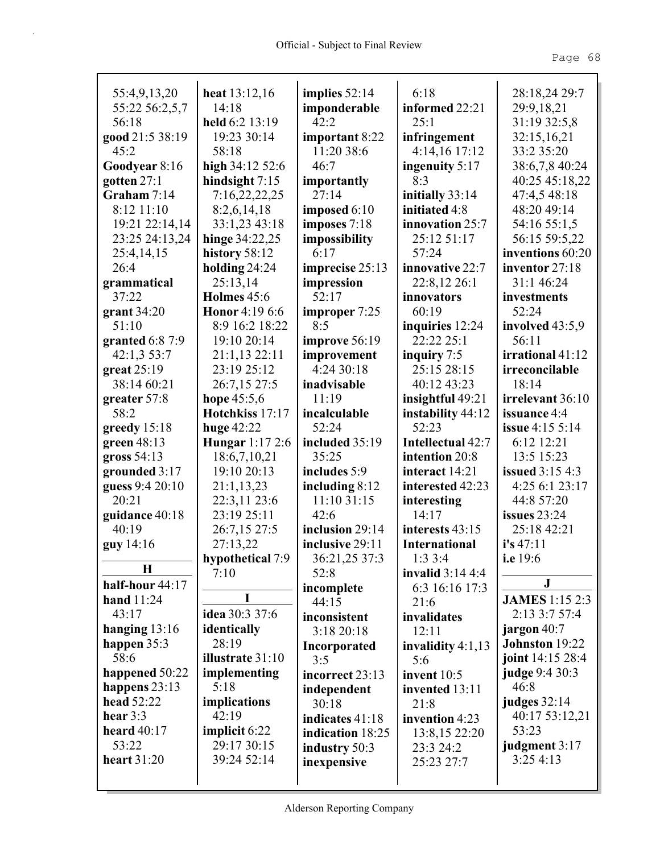| 55:4,9,13,20       | heat $13:12,16$         | implies $52:14$  | 6:18                 | 28:18,24 29:7          |
|--------------------|-------------------------|------------------|----------------------|------------------------|
| 55:22 56:2,5,7     | 14:18                   | imponderable     | informed 22:21       | 29:9,18,21             |
| 56:18              | held 6:2 13:19          | 42:2             | 25:1                 | 31:19 32:5,8           |
| good 21:5 38:19    | 19:23 30:14             | important 8:22   | infringement         | 32:15,16,21            |
| 45:2               | 58:18                   | 11:20 38:6       | 4:14,16 17:12        | 33:2 35:20             |
| Goodyear 8:16      | high $34:1252:6$        | 46:7             | ingenuity 5:17       | 38:6,7,8 40:24         |
| gotten 27:1        | hindsight 7:15          | importantly      | 8:3                  | 40:25 45:18,22         |
| Graham 7:14        | 7:16,22,22,25           | 27:14            | initially 33:14      | 47:4,5 48:18           |
| 8:12 11:10         | 8:2,6,14,18             | imposed $6:10$   | initiated 4:8        | 48:20 49:14            |
| 19:21 22:14,14     | 33:1,23 43:18           | imposes 7:18     | innovation 25:7      | 54:16 55:1,5           |
| 23:25 24:13,24     | hinge 34:22,25          | impossibility    | 25:12 51:17          | 56:15 59:5,22          |
| 25:4,14,15         | history 58:12           | 6:17             | 57:24                | inventions 60:20       |
| 26:4               | holding 24:24           | imprecise 25:13  | innovative 22:7      | inventor 27:18         |
| grammatical        | 25:13,14                | impression       | 22:8,12 26:1         | 31:1 46:24             |
| 37:22              | <b>Holmes</b> 45:6      | 52:17            | innovators           | investments            |
| grant $34:20$      | <b>Honor</b> 4:19 6:6   | improper 7:25    | 60:19                | 52:24                  |
| 51:10              | 8:9 16:2 18:22          | 8:5              | inquiries 12:24      | involved 43:5,9        |
| granted $6:87:9$   | 19:10 20:14             | improve 56:19    | 22:22 25:1           | 56:11                  |
| 42:1,3 53:7        | 21:1,13 22:11           | improvement      | inquiry 7:5          | irrational 41:12       |
| great $25:19$      | 23:19 25:12             | 4:24 30:18       | 25:15 28:15          | irreconcilable         |
| 38:14 60:21        | 26:7,15 27:5            | inadvisable      | 40:12 43:23          | 18:14                  |
| greater 57:8       | hope $45:5,6$           | 11:19            | insightful 49:21     | irrelevant 36:10       |
| 58:2               | Hotchkiss 17:17         | incalculable     | instability 44:12    | issuance 4:4           |
| greedy $15:18$     | huge $42:22$            | 52:24            | 52:23                | <b>issue</b> 4:15 5:14 |
| green $48:13$      | Hungar 1:17 2:6         | included 35:19   | Intellectual 42:7    | 6:12 12:21             |
| gross 54:13        | 18:6,7,10,21            | 35:25            | intention 20:8       | 13:5 15:23             |
| grounded 3:17      | 19:10 20:13             | includes 5:9     | interact 14:21       | <b>issued</b> 3:15 4:3 |
| guess 9:4 20:10    | 21:1,13,23              | including 8:12   | interested 42:23     | 4:25 6:1 23:17         |
| 20:21              | 22:3,11 23:6            | 11:10 31:15      | interesting          | 44:8 57:20             |
| guidance 40:18     | 23:19 25:11             | 42:6             | 14:17                | issues $23:24$         |
| 40:19              | 26:7,15 27:5            | inclusion 29:14  | interests 43:15      | 25:18 42:21            |
| guy 14:16          | 27:13,22                | inclusive 29:11  | <b>International</b> | i's 47:11              |
|                    | hypothetical 7:9        | 36:21,25 37:3    | 1:33:4               | i.e 19:6               |
| $\mathbf H$        | 7:10                    | 52:8             | invalid $3:144:4$    |                        |
| half-hour 44:17    |                         | incomplete       | 6:3 16:16 17:3       | ${\bf J}$              |
| hand $11:24$       | I                       | 44:15            | 21:6                 | <b>JAMES</b> 1:15 2:3  |
| 43:17              | idea 30:3 37:6          | inconsistent     | invalidates          | 2:13 3:7 57:4          |
| hanging $13:16$    | identically             | 3:18 20:18       | 12:11                | jargon 40:7            |
| happen 35:3        | 28:19                   | Incorporated     | invalidity $4:1,13$  | Johnston 19:22         |
| 58:6               | <b>illustrate</b> 31:10 | 3:5              | 5:6                  | joint 14:15 28:4       |
| happened 50:22     | implementing            | incorrect 23:13  | invent $10:5$        | <b>judge</b> 9:4 30:3  |
| happens 23:13      | 5:18                    | independent      | invented 13:11       | 46:8                   |
| head 52:22         | implications            | 30:18            | 21:8                 | judges $32:14$         |
| hear $3:3$         | 42:19                   | indicates 41:18  | invention 4:23       | 40:17 53:12,21         |
| heard $40:17$      | <b>implicit</b> 6:22    | indication 18:25 | 13:8,15 22:20        | 53:23                  |
| 53:22              | 29:17 30:15             | industry 50:3    | 23:3 24:2            | judgment 3:17          |
| <b>heart</b> 31:20 | 39:24 52:14             | inexpensive      | 25:23 27:7           | 3:25 4:13              |
|                    |                         |                  |                      |                        |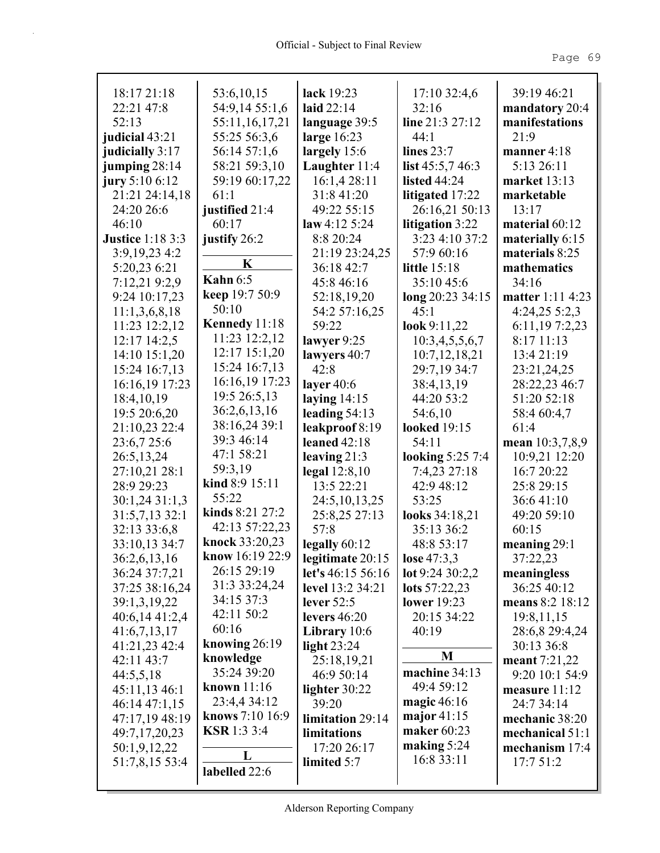| 18:17 21:18             | 53:6,10,15         | lack 19:23         | 17:10 32:4,6        | 39:19 46:21             |
|-------------------------|--------------------|--------------------|---------------------|-------------------------|
| 22:21 47:8              | 54:9,14 55:1,6     | laid $22:14$       | 32:16               | mandatory 20:4          |
| 52:13                   | 55:11,16,17,21     | language 39:5      | line 21:3 27:12     | manifestations          |
| judicial 43:21          | 55:25 56:3,6       | large $16:23$      | 44:1                | 21:9                    |
| judicially 3:17         | 56:14 57:1,6       | largely $15:6$     | lines $23:7$        | manner 4:18             |
| jumping 28:14           | 58:21 59:3,10      | Laughter 11:4      | list $45:5,746:3$   | 5:13 26:11              |
| jury 5:10 $6:12$        | 59:19 60:17,22     | 16:1,428:11        | listed $44:24$      | <b>market</b> 13:13     |
| 21:21 24:14,18          | 61:1               | 31:8 41:20         | litigated 17:22     | marketable              |
| 24:20 26:6              | justified 21:4     | 49:22 55:15        | 26:16,21 50:13      | 13:17                   |
| 46:10                   | 60:17              | law 4:12 5:24      | litigation 3:22     | material $60:12$        |
| <b>Justice 1:18 3:3</b> | justify 26:2       | 8:8 20:24          | 3:23 4:10 37:2      | materially 6:15         |
| 3:9, 19, 23 4: 2        |                    | 21:19 23:24,25     | 57:9 60:16          | materials 8:25          |
| 5:20,23 6:21            | K                  | 36:18 42:7         | <b>little</b> 15:18 | mathematics             |
| 7:12,21 9:2,9           | Kahn $6:5$         | 45:8 46:16         | 35:10 45:6          | 34:16                   |
| 9:24 10:17,23           | keep 19:7 50:9     | 52:18,19,20        | long 20:23 34:15    | <b>matter</b> 1:11 4:23 |
| 11:1,3,6,8,18           | 50:10              | 54:2 57:16,25      | 45:1                | $4:24,25\;5:2,3$        |
| 11:23 12:2,12           | Kennedy 11:18      | 59:22              | look $9:11,22$      | 6:11,197:2,23           |
| $12:17$ $14:2,5$        | 11:23 12:2,12      | lawyer $9:25$      | 10:3,4,5,5,6,7      | 8:17 11:13              |
| 14:10 15:1,20           | 12:17 15:1,20      | lawyers 40:7       | 10:7,12,18,21       | 13:4 21:19              |
| 15:24 16:7,13           | 15:24 16:7,13      | 42:8               | 29:7,19 34:7        | 23:21,24,25             |
| 16:16,19 17:23          | 16:16,19 17:23     | layer $40:6$       | 38:4,13,19          | 28:22,23 46:7           |
| 18:4, 10, 19            | 19:5 26:5,13       | laying $14:15$     | 44:20 53:2          | 51:20 52:18             |
| 19:5 20:6,20            | 36:2,6,13,16       | leading $54:13$    | 54:6,10             | 58:4 60:4,7             |
| 21:10,23 22:4           | 38:16,24 39:1      | leakproof 8:19     | <b>looked</b> 19:15 | 61:4                    |
| 23:6,7 25:6             | 39:3 46:14         | leaned $42:18$     | 54:11               | mean 10:3,7,8,9         |
| 26:5,13,24              | 47:1 58:21         | leaving $21:3$     | looking 5:25 7:4    | 10:9,21 12:20           |
| 27:10,21 28:1           | 59:3,19            | legal $12:8,10$    | 7:4,23 27:18        | 16:7 20:22              |
| 28:9 29:23              | kind 8:9 15:11     | 13:5 22:21         | 42:9 48:12          | 25:8 29:15              |
| 30:1,24 31:1,3          | 55:22              | 24:5, 10, 13, 25   | 53:25               | 36:641:10               |
| 31:5,7,13 32:1          | kinds $8:21$ 27:2  | 25:8,25 27:13      | looks 34:18,21      | 49:20 59:10             |
| 32:13 33:6,8            | 42:13 57:22,23     | 57:8               | 35:13 36:2          | 60:15                   |
| 33:10,13 34:7           | knock 33:20,23     | legally 60:12      | 48:8 53:17          | meaning $29:1$          |
| 36:2,6,13,16            | know 16:19 22:9    | legitimate $20:15$ | <b>lose</b> 47:3,3  | 37:22,23                |
| 36:24 37:7,21           | 26:15 29:19        | let's 46:15 56:16  | lot $9:2430:2,2$    | meaningless             |
| 37:25 38:16,24          | 31:3 33:24,24      | level 13:2 34:21   | lots 57:22,23       | 36:25 40:12             |
| 39:1,3,19,22            | 34:15 37:3         | lever $52:5$       | lower $19:23$       | means 8:2 18:12         |
| 40:6,14 41:2,4          | 42:11 50:2         | levers $46:20$     | 20:15 34:22         | 19:8,11,15              |
| 41:6,7,13,17            | 60:16              | Library $10:6$     | 40:19               | 28:6,8 29:4,24          |
| 41:21,23 42:4           | knowing $26:19$    | light $23:24$      |                     | 30:13 36:8              |
| 42:11 43:7              | knowledge          | 25:18,19,21        | M                   | meant 7:21,22           |
| 44:5,5,18               | 35:24 39:20        | 46:9 50:14         | machine 34:13       | 9:20 10:1 54:9          |
| 45:11,13 46:1           | known $11:16$      | lighter 30:22      | 49:4 59:12          | measure 11:12           |
| 46:14 47:1,15           | 23:4,4 34:12       | 39:20              | magic $46:16$       | 24:7 34:14              |
| 47:17,19 48:19          | knows 7:10 16:9    | limitation 29:14   | major $41:15$       | mechanic 38:20          |
| 49:7,17,20,23           | <b>KSR</b> 1:3 3:4 | limitations        | maker 60:23         | mechanical 51:1         |
| 50:1,9,12,22            |                    | 17:20 26:17        | making $5:24$       | mechanism 17:4          |
| 51:7,8,15 53:4          | L                  | limited 5:7        | 16:8 33:11          | 17:7 51:2               |
|                         | labelled 22:6      |                    |                     |                         |
|                         |                    |                    |                     |                         |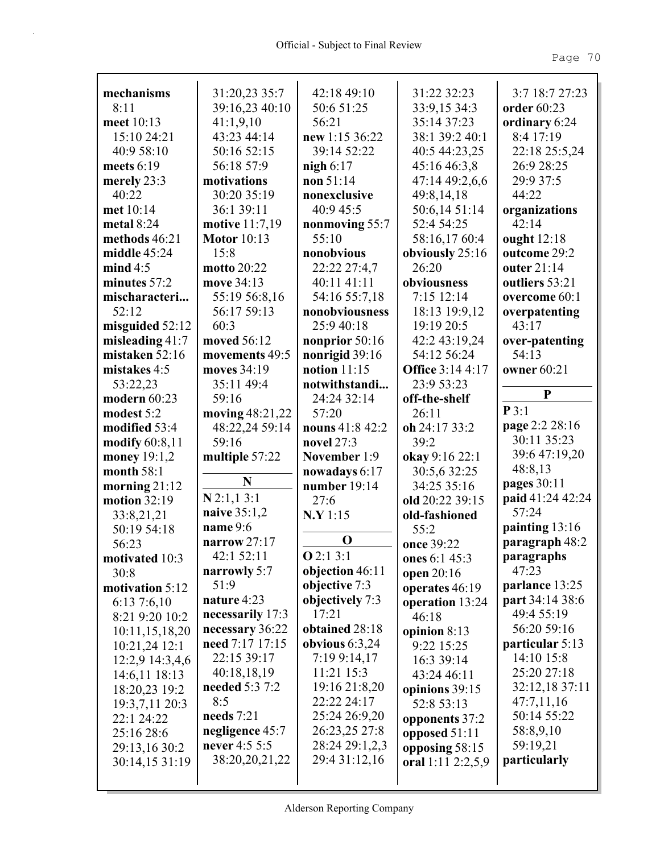| mechanisms        | 31:20,23 35:7         | 42:18 49:10      | 31:22 32:23             | 3:7 18:7 27:23   |
|-------------------|-----------------------|------------------|-------------------------|------------------|
| 8:11              | 39:16,23 40:10        | 50:6 51:25       | 33:9,15 34:3            | order 60:23      |
| meet 10:13        | 41:1,9,10             | 56:21            | 35:14 37:23             | ordinary 6:24    |
| 15:10 24:21       | 43:23 44:14           | new 1:15 36:22   | 38:1 39:2 40:1          | 8:4 17:19        |
| 40:9 58:10        | 50:16 52:15           | 39:14 52:22      | 40:5 44:23,25           | 22:18 25:5,24    |
| meets $6:19$      | 56:18 57:9            | nigh $6:17$      | 45:16 46:3,8            | 26:9 28:25       |
| merely 23:3       | motivations           | non 51:14        | 47:14 49:2,6,6          | 29:9 37:5        |
| 40:22             | 30:20 35:19           | nonexclusive     | 49:8,14,18              | 44:22            |
| met 10:14         | 36:1 39:11            | 40:9 45:5        | 50:6,14 51:14           | organizations    |
| metal $8:24$      | <b>motive</b> 11:7,19 | nonmoving 55:7   | 52:4 54:25              | 42:14            |
| methods 46:21     | <b>Motor</b> 10:13    | 55:10            | 58:16,17 60:4           | ought 12:18      |
| middle 45:24      | 15:8                  | nonobvious       | obviously 25:16         | outcome 29:2     |
| mind 4:5          | motto 20:22           | 22:22 27:4,7     | 26:20                   | outer 21:14      |
| minutes 57:2      | move 34:13            | 40:11 41:11      | obviousness             | outliers 53:21   |
| mischaracteri     | 55:19 56:8,16         | 54:16 55:7,18    | 7:15 12:14              | overcome 60:1    |
| 52:12             | 56:17 59:13           | nonobviousness   | 18:13 19:9,12           | overpatenting    |
| misguided $52:12$ | 60:3                  | 25:9 40:18       | 19:19 20:5              | 43:17            |
| misleading $41:7$ | moved 56:12           | nonprior 50:16   | 42:2 43:19,24           | over-patenting   |
| mistaken 52:16    | movements 49:5        | nonrigid 39:16   | 54:12 56:24             | 54:13            |
| mistakes 4:5      | moves 34:19           | notion $11:15$   | <b>Office 3:14 4:17</b> | owner 60:21      |
| 53:22,23          | 35:11 49:4            | notwithstandi    | 23:9 53:23              | P                |
| modern 60:23      | 59:16                 | 24:24 32:14      | off-the-shelf           |                  |
| modest 5:2        | moving 48:21,22       | 57:20            | 26:11                   | P3:1             |
| modified 53:4     | 48:22,24 59:14        | nouns 41:8 42:2  | oh 24:17 33:2           | page 2:2 28:16   |
|                   |                       |                  |                         |                  |
| modify 60:8,11    | 59:16                 | novel 27:3       | 39:2                    | 30:11 35:23      |
| money 19:1,2      | multiple 57:22        | November 1:9     | okay 9:16 22:1          | 39:6 47:19,20    |
| month $58:1$      |                       | nowadays 6:17    | 30:5,6 32:25            | 48:8,13          |
| morning $21:12$   | N                     | number $19:14$   | 34:25 35:16             | pages 30:11      |
| motion 32:19      | $N$ 2:1,1 3:1         | 27:6             | old 20:22 39:15         | paid 41:24 42:24 |
| 33:8,21,21        | naive 35:1,2          | N.Y 1:15         | old-fashioned           | 57:24            |
| 50:19 54:18       | name 9:6              |                  | 55:2                    | painting 13:16   |
| 56:23             | narrow $27:17$        | $\mathbf 0$      | once 39:22              | paragraph 48:2   |
| motivated 10:3    | 42:1 52:11            | Q2:13:1          | ones 6:1 45:3           | paragraphs       |
| 30:8              | narrowly 5:7          | objection 46:11  | open 20:16              | 47:23            |
| motivation 5:12   | 51:9                  | objective 7:3    | operates 46:19          | parlance 13:25   |
| 6:137:6,10        | nature 4:23           | objectively 7:3  | operation 13:24         | part 34:14 38:6  |
| 8:21 9:20 10:2    | necessarily 17:3      | 17:21            | 46:18                   | 49:4 55:19       |
| 10:11,15,18,20    | necessary 36:22       | obtained 28:18   | opinion $8:13$          | 56:20 59:16      |
| $10:21,24$ 12:1   | need 7:17 17:15       | obvious $6:3,24$ | 9:22 15:25              | particular 5:13  |
| 12:2,9 14:3,4,6   | 22:15 39:17           | 7:19 9:14,17     | 16:3 39:14              | 14:10 15:8       |
| 14:6,11 18:13     | 40:18,18,19           | $11:21$ 15:3     | 43:24 46:11             | 25:20 27:18      |
| 18:20,23 19:2     | needed 5:3 7:2        | 19:16 21:8,20    | opinions 39:15          | 32:12,18 37:11   |
| 19:3,7,11 20:3    | 8:5                   | 22:22 24:17      | 52:8 53:13              | 47:7,11,16       |
| 22:1 24:22        | needs 7:21            | 25:24 26:9,20    | opponents 37:2          | 50:14 55:22      |
| 25:16 28:6        | negligence 45:7       | 26:23,25 27:8    | opposed 51:11           | 58:8,9,10        |
| 29:13,16 30:2     | never 4:5 5:5         | 28:24 29:1,2,3   | opposing 58:15          | 59:19,21         |
| 30:14,15 31:19    | 38:20,20,21,22        | 29:4 31:12,16    | oral $1:11$ $2:2,5,9$   | particularly     |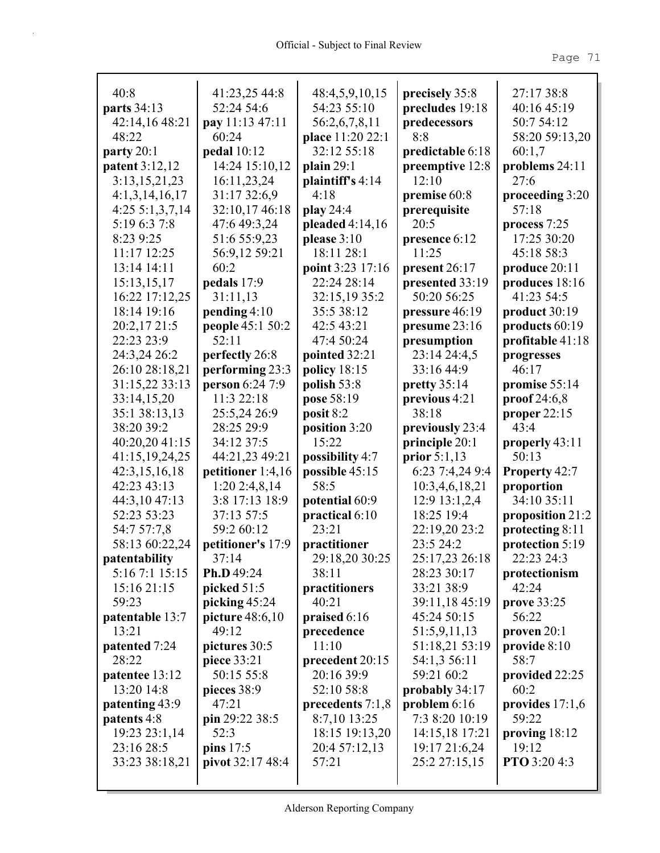| 40:8                         | 41:23,25 44:8                 | 48:4,5,9,10,15                    | precisely 35:8                 | 27:17 38:8                          |
|------------------------------|-------------------------------|-----------------------------------|--------------------------------|-------------------------------------|
| parts 34:13                  | 52:24 54:6                    | 54:23 55:10                       | precludes 19:18                | 40:16 45:19                         |
| 42:14,16 48:21               | pay 11:13 47:11               | 56:2,6,7,8,11                     | predecessors                   | 50:7 54:12                          |
| 48:22                        | 60:24                         | place 11:20 22:1                  | 8:8                            | 58:20 59:13,20                      |
| party $20:1$                 | pedal 10:12                   | 32:12 55:18                       | predictable 6:18               | 60:1,7                              |
| patent 3:12,12               | 14:24 15:10,12                | plain $29:1$                      | preemptive 12:8<br>12:10       | problems 24:11                      |
| 3:13,15,21,23                | 16:11,23,24                   | plaintiff's 4:14                  |                                | 27:6                                |
| 4:1,3,14,16,17               | 31:17 32:6,9                  | 4:18                              | premise 60:8                   | proceeding 3:20<br>57:18            |
| 4:255:1,3,7,14               | 32:10,17 46:18                | play 24:4                         | prerequisite                   |                                     |
| 5:19 6:3 7:8                 | 47:6 49:3,24                  | pleaded $4:14,16$                 | 20:5                           | process 7:25                        |
| 8:23 9:25                    | 51:6 55:9,23                  | please $3:10$                     | presence 6:12                  | 17:25 30:20                         |
| 11:17 12:25                  | 56:9,12 59:21                 | 18:11 28:1                        | 11:25                          | 45:18 58:3                          |
| 13:14 14:11                  | 60:2                          | point 3:23 17:16                  | present 26:17                  | produce 20:11                       |
| 15:13,15,17                  | pedals 17:9                   | 22:24 28:14                       | presented 33:19                | produces 18:16                      |
| 16:22 17:12,25               | 31:11,13                      | 32:15,19 35:2                     | 50:20 56:25                    | 41:23 54:5                          |
| 18:14 19:16                  | pending $4:10$                | 35:5 38:12<br>42:5 43:21          | pressure 46:19                 | product 30:19<br>products 60:19     |
| 20:2,17 21:5<br>22:23 23:9   | people 45:1 50:2<br>52:11     | 47:4 50:24                        | presume 23:16                  |                                     |
| 24:3,24 26:2                 |                               |                                   | presumption                    | profitable 41:18                    |
| 26:10 28:18,21               | perfectly 26:8                | pointed 32:21                     | 23:14 24:4,5<br>33:16 44:9     | progresses<br>46:17                 |
|                              | performing 23:3               | policy $18:15$                    |                                |                                     |
| 31:15,22 33:13               | person 6:24 7:9<br>11:3 22:18 | polish 53:8                       | pretty $35:14$                 | promise 55:14                       |
| 33:14,15,20                  |                               | pose 58:19                        | previous 4:21<br>38:18         | proof $24:6,8$                      |
| 35:1 38:13,13<br>38:20 39:2  | 25:5,24 26:9<br>28:25 29:9    | posit 8:2                         |                                | proper $22:15$<br>43:4              |
| 40:20,20 41:15               | 34:12 37:5                    | position 3:20<br>15:22            | previously 23:4                |                                     |
| 41:15,19,24,25               | 44:21,23 49:21                |                                   | principle 20:1<br>prior 5:1,13 | properly 43:11<br>50:13             |
|                              | petitioner 1:4,16             | possibility 4:7<br>possible 45:15 | 6:23 7:4,24 9:4                |                                     |
| 42:3,15,16,18<br>42:23 43:13 | $1:20$ 2:4,8,14               | 58:5                              | 10:3,4,6,18,21                 | <b>Property 42:7</b><br>proportion  |
| 44:3,10 47:13                | 3:8 17:13 18:9                | potential 60:9                    | 12:9 13:1,2,4                  | 34:10 35:11                         |
| 52:23 53:23                  | 37:13 57:5                    | practical 6:10                    | 18:25 19:4                     |                                     |
| 54:7 57:7,8                  | 59:2 60:12                    | 23:21                             | 22:19,20 23:2                  | proposition 21:2<br>protecting 8:11 |
| 58:13 60:22,24               | petitioner's 17:9             | practitioner                      | 23:5 24:2                      | protection 5:19                     |
| patentability                | 37:14                         | 29:18,20 30:25                    | 25:17,23 26:18                 | 22:23 24:3                          |
| 5:16 7:1 15:15               | Ph.D 49:24                    | 38:11                             | 28:23 30:17                    | protectionism                       |
| 15:16 21:15                  | picked 51:5                   | practitioners                     | 33:21 38:9                     | 42:24                               |
| 59:23                        | picking $45:24$               | 40:21                             | 39:11,18 45:19                 | <b>prove</b> 33:25                  |
| patentable 13:7              | picture $48:6,10$             | praised $6:16$                    | 45:24 50:15                    | 56:22                               |
| 13:21                        | 49:12                         | precedence                        | 51:5,9,11,13                   | proven $20:1$                       |
| patented 7:24                | pictures 30:5                 | 11:10                             | 51:18,21 53:19                 | provide $8:10$                      |
| 28:22                        | piece 33:21                   | precedent 20:15                   | 54:1,3 56:11                   | 58:7                                |
| patentee 13:12               | 50:15 55:8                    | 20:16 39:9                        | 59:21 60:2                     | provided 22:25                      |
| 13:20 14:8                   | pieces 38:9                   | 52:10 58:8                        | probably 34:17                 | 60:2                                |
| patenting 43:9               | 47:21                         | precedents $7:1,8$                | problem $6:16$                 | provides $17:1,6$                   |
| patents 4:8                  | pin 29:22 38:5                | 8:7,10 13:25                      | 7:3 8:20 10:19                 | 59:22                               |
| 19:23 23:1,14                | 52:3                          | 18:15 19:13,20                    | 14:15,18 17:21                 | proving 18:12                       |
| 23:16 28:5                   | pins 17:5                     | 20:4 57:12,13                     | 19:17 21:6,24                  | 19:12                               |
| 33:23 38:18,21               | pivot 32:17 48:4              | 57:21                             | 25:2 27:15,15                  | PTO 3:20 4:3                        |
|                              |                               |                                   |                                |                                     |
|                              |                               |                                   |                                |                                     |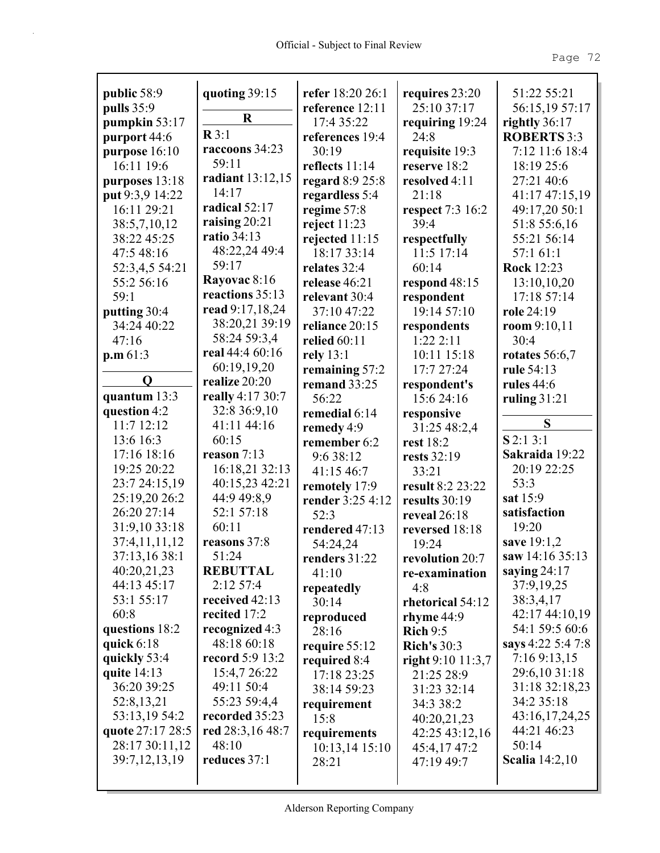| public 58:9                       |                                 | refer 18:20 26:1 | requires 23:20       | 51:22 55:21                       |
|-----------------------------------|---------------------------------|------------------|----------------------|-----------------------------------|
| pulls 35:9                        | quoting 39:15                   | reference 12:11  | 25:10 37:17          | 56:15,19 57:17                    |
| pumpkin 53:17                     | $\mathbf R$                     | 17:4 35:22       | requiring 19:24      | rightly 36:17                     |
| purport 44:6                      | $\mathbb{R}3:1$                 | references 19:4  | 24:8                 | <b>ROBERTS 3:3</b>                |
| purpose 16:10                     | raccoons 34:23                  | 30:19            | requisite 19:3       | 7:12 11:6 18:4                    |
| 16:11 19:6                        | 59:11                           | reflects 11:14   | reserve 18:2         | 18:19 25:6                        |
|                                   | radiant 13:12,15                |                  | resolved 4:11        | 27:21 40:6                        |
| purposes 13:18<br>put 9:3,9 14:22 | 14:17                           | regard 8:9 25:8  | 21:18                |                                   |
| 16:11 29:21                       | radical 52:17                   | regardless 5:4   | respect 7:3 16:2     | 41:17 47:15,19<br>49:17,20 50:1   |
|                                   | raising $20:21$                 | regime 57:8      | 39:4                 |                                   |
| 38:5,7,10,12<br>38:22 45:25       | <b>ratio</b> 34:13              | reject $11:23$   |                      | 51:8 55:6,16                      |
|                                   | 48:22,24 49:4                   | rejected 11:15   | respectfully         | 55:21 56:14                       |
| 47:5 48:16                        | 59:17                           | 18:17 33:14      | 11:5 17:14           | 57:1 61:1                         |
| 52:3,4,5 54:21                    | Rayovac 8:16                    | relates 32:4     | 60:14                | <b>Rock 12:23</b>                 |
| 55:2 56:16                        | reactions 35:13                 | release 46:21    | respond 48:15        | 13:10,10,20                       |
| 59:1                              | read 9:17,18,24                 | relevant 30:4    | respondent           | 17:18 57:14                       |
| putting 30:4                      | 38:20,21 39:19                  | 37:10 47:22      | 19:14 57:10          | role 24:19                        |
| 34:24 40:22                       | 58:24 59:3,4                    | reliance 20:15   | respondents          | room $9:10,11$                    |
| 47:16                             | real 44:4 60:16                 | relied 60:11     | 1:222:11             | 30:4                              |
| p.m.61:3                          |                                 | rely 13:1        | 10:11 15:18          | rotates $56:6,7$                  |
| Q                                 | 60:19,19,20<br>realize 20:20    | remaining 57:2   | 17:7 27:24           | rule 54:13                        |
| quantum 13:3                      | really 4:17 30:7                | remand 33:25     | respondent's         | <b>rules</b> 44:6                 |
| question 4:2                      | 32:8 36:9,10                    | 56:22            | 15:6 24:16           | ruling $31:21$                    |
| 11:7 12:12                        | 41:11 44:16                     | remedial 6:14    | responsive           | S                                 |
|                                   | 60:15                           | remedy 4:9       | 31:25 48:2,4         | $S$ 2:1 3:1                       |
| 13:6 16:3<br>17:16 18:16          | reason $7:13$                   | remember 6:2     | rest 18:2            |                                   |
| 19:25 20:22                       |                                 | 9:6 38:12        | rests 32:19          | Sakraida 19:22<br>20:19 22:25     |
|                                   | 16:18,21 32:13                  | 41:15 46:7       | 33:21                | 53:3                              |
| 23:7 24:15,19                     | 40:15,23 42:21                  | remotely 17:9    | result 8:2 23:22     | sat 15:9                          |
| 25:19,20 26:2<br>26:20 27:14      | 44:9 49:8,9<br>52:1 57:18       | render 3:25 4:12 | results 30:19        |                                   |
| 31:9,10 33:18                     | 60:11                           | 52:3             | reveal 26:18         | satisfaction<br>19:20             |
| 37:4,11,11,12                     |                                 | rendered 47:13   | reversed 18:18       |                                   |
|                                   | reasons 37:8                    | 54:24,24         | 19:24                | save 19:1,2<br>saw $14:16\,35:13$ |
| 37:13,16 38:1                     | 51:24                           | renders 31:22    | revolution 20:7      |                                   |
| 40:20,21,23<br>44:13 45:17        | <b>REBUTTAL</b><br>$2:12\,57:4$ | 41:10            | re-examination       | saying 24:17                      |
| 53:1 55:17                        |                                 | repeatedly       | 4:8                  | 37:9,19,25                        |
|                                   | received 42:13                  | 30:14            | rhetorical 54:12     | 38:3,4,17                         |
| 60:8                              | recited 17:2                    | reproduced       | rhyme $44:9$         | 42:17 44:10,19                    |
| questions 18:2                    | recognized 4:3                  | 28:16            | $\mathbf{Rich}\,9:5$ | 54:1 59:5 60:6                    |
| quick $6:18$                      | 48:18 60:18                     | require 55:12    | <b>Rich's 30:3</b>   | says 4:22 5:4 7:8                 |
| quickly 53:4                      | <b>record</b> 5:9 13:2          | required 8:4     | right 9:10 11:3,7    | 7:16 9:13,15<br>29:6,10 31:18     |
| quite 14:13                       | 15:4,7 26:22                    | 17:18 23:25      | 21:25 28:9           |                                   |
| 36:20 39:25                       | 49:11 50:4                      | 38:14 59:23      | 31:23 32:14          | 31:18 32:18,23<br>34:2 35:18      |
| 52:8,13,21                        | 55:23 59:4,4                    | requirement      | 34:3 38:2            |                                   |
| 53:13,19 54:2                     | recorded 35:23                  | 15:8             | 40:20,21,23          | 43:16,17,24,25                    |
| quote 27:17 28:5                  | red 28:3,16 48:7                | requirements     | 42:25 43:12,16       | 44:21 46:23<br>50:14              |
| 28:17 30:11,12                    | 48:10                           | $10:13,14$ 15:10 | 45:4,17 47:2         |                                   |
| 39:7, 12, 13, 19                  | reduces 37:1                    | 28:21            | 47:19 49:7           | <b>Scalia</b> 14:2,10             |
|                                   |                                 |                  |                      |                                   |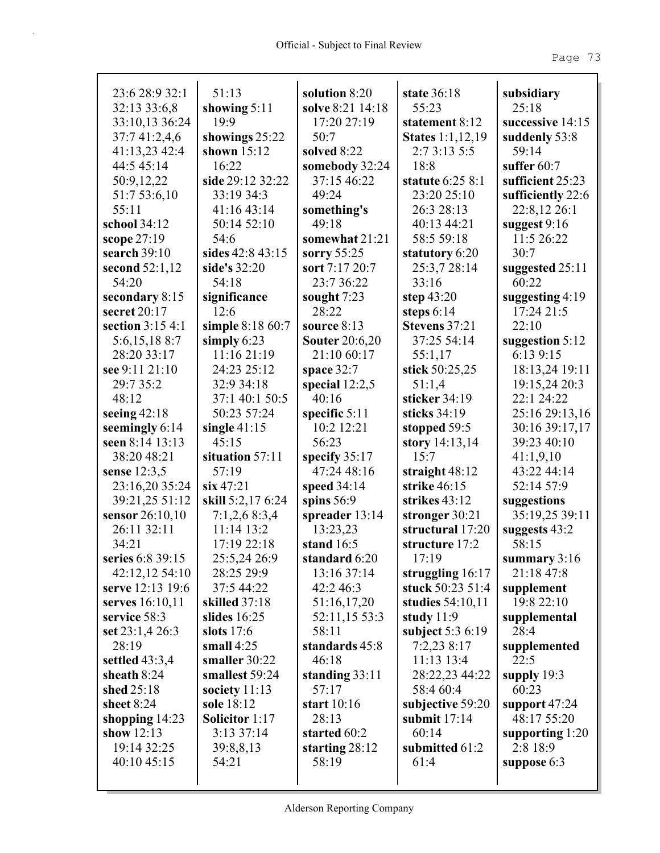| 23:6 28:9 32:1                  | 51:13                        | solution 8:20           | state 36:18                               | subsidiary<br>25:18               |
|---------------------------------|------------------------------|-------------------------|-------------------------------------------|-----------------------------------|
| 32:13 33:6,8                    | showing $5:11$<br>19:9       | solve 8:21 14:18        | 55:23                                     |                                   |
| 33:10,13 36:24<br>37:7 41:2,4,6 | showings 25:22               | 17:20 27:19<br>50:7     | statement 8:12<br><b>States</b> 1:1,12,19 | successive 14:15<br>suddenly 53:8 |
| 41:13,23 42:4                   | shown $15:12$                | solved 8:22             | 2:7 3:13 5:5                              | 59:14                             |
| 44:5 45:14                      | 16:22                        | somebody 32:24          | 18:8                                      | suffer $60:7$                     |
| 50:9,12,22                      | side 29:12 32:22             | 37:15 46:22             | statute 6:25 8:1                          | sufficient 25:23                  |
| 51:7 53:6,10                    | 33:19 34:3                   | 49:24                   | 23:20 25:10                               | sufficiently 22:6                 |
| 55:11                           | 41:1643:14                   | something's             | 26:3 28:13                                | 22:8,12 26:1                      |
| school 34:12                    | 50:14 52:10                  | 49:18                   | 40:13 44:21                               | suggest 9:16                      |
| scope 27:19                     | 54:6                         | somewhat 21:21          | 58:5 59:18                                | 11:5 26:22                        |
| search 39:10                    | sides 42:8 43:15             | sorry 55:25             | statutory 6:20                            | 30:7                              |
| second $52:1,12$                | side's 32:20                 | sort 7:17 20:7          | 25:3,7 28:14                              | suggested 25:11                   |
| 54:20                           | 54:18                        | 23:7 36:22              | 33:16                                     | 60:22                             |
| secondary 8:15                  | significance                 | sought 7:23             | step $43:20$                              | suggesting $4:19$                 |
| secret 20:17                    | 12:6                         | 28:22                   | steps $6:14$                              | 17:24 21:5                        |
| section 3:15 4:1                | simple 8:18 60:7             | source 8:13             | Stevens 37:21                             | 22:10                             |
| 5:6,15,188:7                    | simply $6:23$                | <b>Souter 20:6,20</b>   | 37:25 54:14                               | suggestion 5:12                   |
| 28:20 33:17                     | 11:16 21:19                  | 21:10 60:17             | 55:1,17                                   | 6:13 9:15                         |
| see 9:11 21:10                  | 24:23 25:12                  | space $32:7$            | stick 50:25,25                            | 18:13,24 19:11                    |
| 29:7 35:2                       | 32:9 34:18                   | special $12:2,5$        | 51:1,4                                    | 19:15,24 20:3                     |
| 48:12                           | 37:1 40:1 50:5               | 40:16                   | sticker 34:19                             | 22:1 24:22                        |
| seeing $42:18$                  | 50:23 57:24                  | specific $5:11$         | sticks $34:19$                            | 25:16 29:13,16                    |
| seemingly 6:14                  | single $41:15$               | 10:2 12:21              | stopped 59:5                              | 30:16 39:17,17                    |
| seen 8:14 13:13                 | 45:15                        | 56:23                   | story $14:13,14$                          | 39:23 40:10                       |
| 38:20 48:21                     | situation 57:11              | specify $35:17$         | 15:7                                      | 41:1,9,10                         |
| sense 12:3,5                    | 57:19                        | 47:24 48:16             | straight $48:12$                          | 43:22 44:14                       |
| 23:16,20 35:24                  | $\sin 47:21$                 | speed 34:14             | strike 46:15                              | 52:14 57:9                        |
| 39:21,25 51:12                  | skill 5:2,17 6:24            | spins $56:9$            | strikes $43:12$                           | suggestions                       |
| sensor 26:10,10                 | 7:1,2,68:3,4                 | spreader 13:14          | stronger $30:21$                          | 35:19,25 39:11                    |
| 26:11 32:11                     | 11:14 13:2                   | 13:23,23                | structural 17:20                          | suggests 43:2                     |
| 34:21                           | 17:19 22:18                  | stand 16:5              | structure 17:2                            | 58:15                             |
| series 6:8 39:15                | 25:5,24 26:9                 | standard 6:20           | 17:19                                     | summary 3:16                      |
| 42:12,12 54:10                  | 28:25 29:9                   | 13:16 37:14             | struggling 16:17                          | 21:18 47:8                        |
| serve 12:13 19:6                | 37:5 44:22                   | 42:2 46:3               | stuck 50:23 51:4                          | supplement                        |
| serves 16:10,11                 | skilled 37:18                | 51:16,17,20             | studies $54:10,11$                        | 19:8 22:10                        |
| service 58:3                    | slides $16:25$               | 52:11,15 53:3<br>58:11  | study $11:9$                              | supplemental<br>28:4              |
| set $23:1,426:3$<br>28:19       | slots $17:6$<br>small $4:25$ |                         | subject $5:36:19$                         |                                   |
| settled $43:3,4$                | smaller 30:22                | standards 45:8<br>46:18 | 7:2,238:17<br>11:13 13:4                  | supplemented<br>22:5              |
| sheath $8:24$                   | smallest 59:24               | standing $33:11$        | 28:22,23 44:22                            | supply $19:3$                     |
| shed 25:18                      | society 11:13                | 57:17                   | 58:4 60:4                                 | 60:23                             |
| sheet 8:24                      | sole 18:12                   | start 10:16             | subjective 59:20                          | support 47:24                     |
| shopping $14:23$                | Solicitor 1:17               | 28:13                   | submit $17:14$                            | 48:17 55:20                       |
| show $12:13$                    | $3:13\,37:14$                | started 60:2            | 60:14                                     | supporting $1:20$                 |
| 19:14 32:25                     | 39:8,8,13                    | starting $28:12$        | submitted 61:2                            | 2:8 18:9                          |
| 40:10 45:15                     | 54:21                        | 58:19                   | 61:4                                      | suppose $6:3$                     |
|                                 |                              |                         |                                           |                                   |
|                                 |                              |                         |                                           |                                   |

I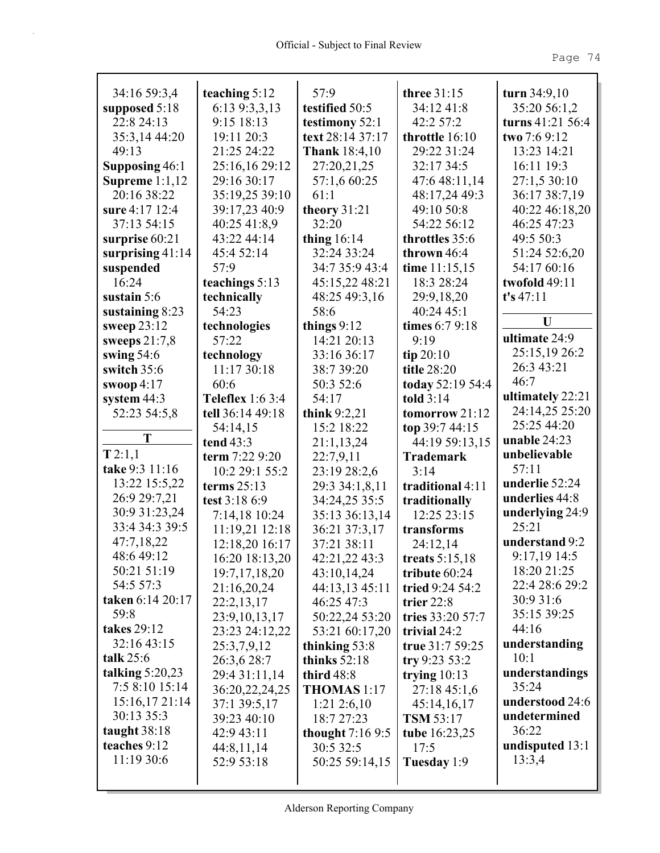| 34:16 59:3,4       | teaching $5:12$         | 57:9                    | three 31:15                        | turn $34:9,10$                      |
|--------------------|-------------------------|-------------------------|------------------------------------|-------------------------------------|
| supposed 5:18      | 6:13 9:3,3,13           | testified 50:5          | 34:12 41:8                         | 35:20 56:1,2                        |
| 22:8 24:13         | 9:15 18:13              | testimony 52:1          | 42:2 57:2                          | turns $41:21\,56:4$<br>two 7:6 9:12 |
| 35:3,14 44:20      | 19:11 20:3              | text 28:14 37:17        | throttle 16:10                     |                                     |
| 49:13              | 21:25 24:22             | <b>Thank</b> 18:4,10    | 29:22 31:24                        | 13:23 14:21                         |
| Supposing 46:1     | 25:16,16 29:12          | 27:20,21,25             | 32:17 34:5                         | 16:11 19:3                          |
| Supreme $1:1,12$   | 29:16 30:17             | 57:1,6 60:25            | 47:6 48:11,14                      | 27:1,5 30:10                        |
| 20:16 38:22        | 35:19,25 39:10          | 61:1                    | 48:17,24 49:3                      | 36:17 38:7,19                       |
| sure 4:17 12:4     | 39:17,23 40:9           | theory $31:21$<br>32:20 | 49:10 50:8                         | 40:22 46:18,20                      |
| 37:13 54:15        | 40:25 41:8,9            |                         | 54:22 56:12                        | 46:25 47:23                         |
| surprise 60:21     | 43:22 44:14             | thing $16:14$           | throttles 35:6                     | 49:5 50:3                           |
| surprising $41:14$ | 45:4 52:14              | 32:24 33:24             | thrown $46:4$                      | 51:24 52:6,20                       |
| suspended          | 57:9                    | 34:7 35:9 43:4          | time $11:15,15$                    | 54:17 60:16                         |
| 16:24              | teachings 5:13          | 45:15,22 48:21          | 18:3 28:24                         | twofold 49:11                       |
| sustain $5:6$      | technically             | 48:25 49:3,16           | 29:9,18,20                         | t's 47:11                           |
| sustaining $8:23$  | 54:23                   | 58:6                    | 40:24 45:1                         | U                                   |
| sweep 23:12        | technologies            | things $9:12$           | times 6:7 9:18<br>9:19             | ultimate 24:9                       |
| sweeps $21:7,8$    | 57:22                   | 14:21 20:13             |                                    | 25:15,19 26:2                       |
| swing $54:6$       | technology              | 33:16 36:17             | tip $20:10$                        | 26:3 43:21                          |
| switch 35:6        | 11:17 30:18             | 38:7 39:20              | title 28:20                        | 46:7                                |
| swoop $4:17$       | 60:6                    | 50:3 52:6               | today 52:19 54:4                   | ultimately 22:21                    |
| system 44:3        | <b>Teleflex</b> 1:6 3:4 | 54:17                   | told $3:14$                        | 24:14,25 25:20                      |
| 52:23 54:5,8       | tell 36:14 49:18        | think $9:2,21$          | tomorrow 21:12                     | 25:25 44:20                         |
| T                  | 54:14,15<br>tend $43:3$ | 15:2 18:22              | top 39:7 44:15                     | unable $24:23$                      |
| T2:1,1             | term 7:22 9:20          | 21:1,13,24<br>22:7,9,11 | 44:19 59:13,15<br><b>Trademark</b> | unbelievable                        |
| take 9:3 11:16     | 10:2 29:1 55:2          | 23:19 28:2,6            | 3:14                               | 57:11                               |
| 13:22 15:5,22      | terms $25:13$           | 29:3 34:1,8,11          | traditional 4:11                   | underlie 52:24                      |
| 26:9 29:7,21       | test 3:18 6:9           | 34:24,25 35:5           | traditionally                      | underlies 44:8                      |
| 30:9 31:23,24      | 7:14,18 10:24           | 35:13 36:13,14          | 12:25 23:15                        | underlying 24:9                     |
| 33:4 34:3 39:5     | 11:19,21 12:18          | 36:21 37:3,17           | transforms                         | 25:21                               |
| 47:7,18,22         | 12:18,20 16:17          | 37:21 38:11             | 24:12,14                           | understand 9:2                      |
| 48:6 49:12         | 16:20 18:13,20          | 42:21,22 43:3           | treats 5:15,18                     | 9:17,19 14:5                        |
| 50:21 51:19        | 19:7,17,18,20           | 43:10,14,24             | tribute $60:24$                    | 18:20 21:25                         |
| 54:5 57:3          | 21:16,20,24             | 44:13,13 45:11          | tried 9:24 54:2                    | 22:4 28:6 29:2                      |
| taken 6:14 20:17   | 22:2,13,17              | 46:25 47:3              | trier $22:8$                       | 30:9 31:6                           |
| 59:8               | 23:9, 10, 13, 17        | 50:22,24 53:20          | tries 33:20 57:7                   | 35:15 39:25                         |
| takes 29:12        | 23:23 24:12,22          | 53:21 60:17,20          | trivial $24:2$                     | 44:16                               |
| 32:16 43:15        | 25:3,7,9,12             | thinking 53:8           | true 31:7 59:25                    | understanding                       |
| talk 25:6          | 26:3,6 28:7             | thinks $52:18$          | try $9:23\,53:2$                   | 10:1                                |
| talking $5:20,23$  | 29:4 31:11,14           | third 48:8              | trying $10:13$                     | understandings                      |
| 7:5 8:10 15:14     | 36:20,22,24,25          | THOMAS 1:17             | 27:18 45:1,6                       | 35:24                               |
| 15:16,1721:14      | 37:1 39:5,17            | $1:21\,2:6,10$          | 45:14,16,17                        | understood 24:6                     |
| 30:13 35:3         | 39:23 40:10             | 18:7 27:23              | <b>TSM 53:17</b>                   | undetermined                        |
| taught $38:18$     | 42:9 43:11              | thought $7:169:5$       | tube 16:23,25                      | 36:22                               |
| teaches 9:12       | 44:8,11,14              | 30:5 32:5               | 17:5                               | undisputed 13:1                     |
| 11:19 30:6         | 52:9 53:18              | 50:25 59:14,15          | Tuesday 1:9                        | 13:3,4                              |
|                    |                         |                         |                                    |                                     |
|                    |                         |                         |                                    |                                     |